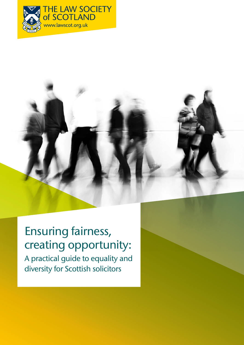



# Ensuring fairness, creating opportunity:

A practical guide to equality and diversity for Scottish solicitors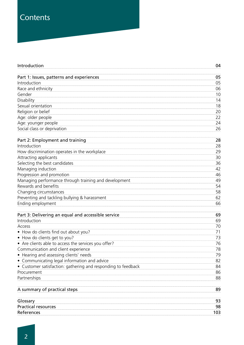# **Contents**

| Introduction                                                | 04  |
|-------------------------------------------------------------|-----|
| Part 1: Issues, patterns and experiences                    | 05  |
| Introduction                                                | 05  |
| Race and ethnicity                                          | 06  |
| Gender                                                      | 10  |
| Disability                                                  | 14  |
| Sexual orientation                                          | 18  |
| Religion or belief                                          | 20  |
| Age: older people                                           | 22  |
| Age: younger people                                         | 24  |
| Social class or deprivation                                 | 26  |
| Part 2: Employment and training                             | 28  |
| Introduction                                                | 28  |
| How discrimination operates in the workplace                | 29  |
| Attracting applicants                                       | 30  |
| Selecting the best candidates                               | 36  |
| Managing induction                                          | 42  |
| Progression and promotion                                   | 46  |
| Managing performance through training and development       | 49  |
| Rewards and benefits                                        | 54  |
| Changing circumstances                                      | 58  |
| Preventing and tackling bullying & harassment               | 62  |
| Ending employment                                           | 66  |
| Part 3: Delivering an equal and accessible service          | 69  |
| Introduction                                                | 69  |
| Access                                                      | 70  |
| How do clients find out about you?                          | 71  |
| How do clients get to you?                                  | 73  |
| • Are clients able to access the services you offer?        | 76  |
| Communication and client experience                         | 78  |
| Hearing and assessing clients' needs                        | 79  |
| Communicating legal information and advice                  | 82  |
| Customer satisfaction: gathering and responding to feedback | 84  |
| Procurement                                                 | 86  |
| Partnerships                                                | 88  |
| A summary of practical steps                                | 89  |
| Glossary                                                    | 93  |
| <b>Practical resources</b>                                  | 98  |
| References                                                  | 103 |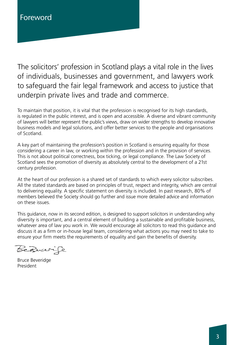The solicitors' profession in Scotland plays a vital role in the lives of individuals, businesses and government, and lawyers work to safeguard the fair legal framework and access to justice that underpin private lives and trade and commerce.

To maintain that position, it is vital that the profession is recognised for its high standards, is regulated in the public interest, and is open and accessible. A diverse and vibrant community of lawyers will better represent the public's views, draw on wider strengths to develop innovative business models and legal solutions, and offer better services to the people and organisations of Scotland.

A key part of maintaining the profession's position in Scotland is ensuring equality for those considering a career in law, or working within the profession and in the provision of services. This is not about political correctness, box ticking, or legal compliance. The Law Society of Scotland sees the promotion of diversity as absolutely central to the development of a 21st century profession.

At the heart of our profession is a shared set of standards to which every solicitor subscribes. All the stated standards are based on principles of trust, respect and integrity, which are central to delivering equality. A specific statement on diversity is included. In past research, 80% of members believed the Society should go further and issue more detailed advice and information on these issues.

This guidance, now in its second edition, is designed to support solicitors in understanding why diversity is important, and a central element of building a sustainable and profitable business, whatever area of law you work in. We would encourage all solicitors to read this guidance and discuss it as a firm or in-house legal team, considering what actions you may need to take to ensure your firm meets the requirements of equality and gain the benefits of diversity.

Berwer

Bruce Beveridge President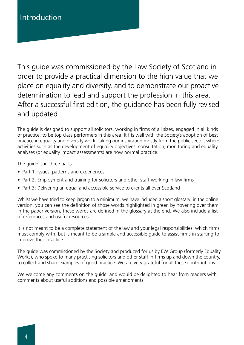This guide was commissioned by the Law Society of Scotland in order to provide a practical dimension to the high value that we place on equality and diversity, and to demonstrate our proactive determination to lead and support the profession in this area. After a successful first edition, the guidance has been fully revised and updated.

The guide is designed to support all solicitors, working in firms of all sizes, engaged in all kinds of practice, to be top class performers in this area. It fits well with the Society's adoption of best practice in equality and diversity work, taking our inspiration mostly from the public sector, where activities such as the development of equality objectives, consultation, monitoring and equality analyses (or equality impact assessments) are now normal practice.

The guide is in three parts:

- Part 1: Issues, patterns and experiences
- Part 2: Employment and training for solicitors and other staff working in law firms
- Part 3: Delivering an equal and accessible service to clients all over Scotland

Whilst we have tried to keep jargon to a minimum, we have included a short glossary: in the online version, you can see the definition of those words highlighted in green by hovering over them. In the paper version, these words are defined in the glossary at the end. We also include a list of references and useful resources.

It is not meant to be a complete statement of the law and your legal responsibilities, which firms must comply with, but is meant to be a simple and accessible guide to assist firms in starting to improve their practice.

The guide was commissioned by the Society and produced for us by EW Group (formerly Equality Works), who spoke to many practising solicitors and other staff in firms up and down the country, to collect and share examples of good practice. We are very grateful for all these contributions.

We welcome any comments on the guide, and would be delighted to hear from readers with comments about useful additions and possible amendments.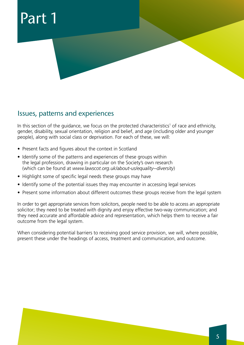# Part 1



In this section of the guidance, we focus on the protected characteristics<sup>1</sup> of race and ethnicity, gender, disability, sexual orientation, religion and belief, and age (including older and younger people), along with social class or deprivation. For each of these, we will:

- Present facts and figures about the context in Scotland
- Identify some of the patterns and experiences of these groups within the legal profession, drawing in particular on the Society's own research (which can be found at *www.lawscot.org.uk/about-us/equality--diversity*)
- Highlight some of specific legal needs these groups may have
- Identify some of the potential issues they may encounter in accessing legal services
- Present some information about different outcomes these groups receive from the legal system

In order to get appropriate services from solicitors, people need to be able to access an appropriate solicitor; they need to be treated with dignity and enjoy effective two-way communication; and they need accurate and affordable advice and representation, which helps them to receive a fair outcome from the legal system.

When considering potential barriers to receiving good service provision, we will, where possible, present these under the headings of access, treatment and communication, and outcome.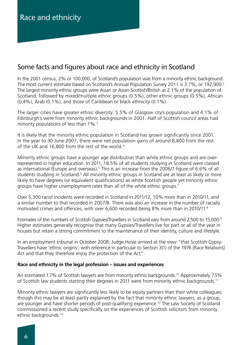# Some facts and figures about race and ethnicity in Scotland

In the 2001 census, 2% or 100,000, of Scotland's population was from a minority ethnic background. The most current estimate based on Scotland's Annual Population Survey 2011 is 3.7%, or 192,900.<sup>2</sup> The largest minority ethnic groups were Asian or Asian Scottish/British at 2.1% of the population of Scotland, followed by mixed/multiple ethnic groups (0.5%), other ethnic groups (0.5%), African (0.4%), Arab (0.1%), and those of Caribbean or black ethnicity (0.1%).

The larger cities have greater ethnic diversity: 5.5% of Glasgow city's population and 4.1% of Edinburgh's were from minority ethnic backgrounds in 2001. Half of Scottish council areas had minority populations of less than 1%.<sup>3</sup>

It is likely that the minority ethnic population in Scotland has grown significantly since 2001. In the year to 30 June 2007, there were net population gains of around 8,800 from the rest of the UK and 16,800 from the rest of the world.<sup>4</sup>

Minority ethnic groups have a younger age distribution than white ethnic groups and are overrepresented in higher education. In 2011, 18.5% of all students studying in Scotland were classed as international (Europe and overseas).<sup>5</sup> This is an increase from the 2006/7 figure of 6.6% of all students studying in Scotland.<sup>6</sup> All minority ethnic groups in Scotland are at least as likely or more likely to have degrees (or equivalent qualifications) as white Scottish people yet minority ethnic groups have higher unemployment rates than all of the white ethnic groups.7

Over 5,300 racist incidents were recorded in Scotland in 2011/12, 10% more than in 2010/11, and a similar number to that recorded in 2007/8. There was also an increase in the number of racially motivated crimes and offences, with over 6,600 recorded being 8% more than in 2010/11.8

Estimates of the numbers of Scottish Gypsies/Travellers in Scotland vary from around 2,500 to 15,000.9 Higher estimates generally recognise that many Gypsies/Travellers live for part or all of the year in houses but retain a strong commitment to the maintenance of their identity, culture and lifestyle.

In an employment tribunal in October 2008, Judge Hosie arrived at the view "that Scottish Gypsy-Travellers have 'ethnic origins', with reference in particular to Section 3(1) of the 1976 [Race Relations] Act and that they therefore enjoy the protection of the Act".

### **Race and ethnicity in the legal profession – issues and experiences**

An estimated 1.7% of Scottish lawyers are from minority ethnic backgrounds.<sup>10</sup> Approximately 7.5% of Scottish law students starting their degrees in 2011 were from minority ethnic backgrounds.<sup>11</sup>

Minority ethnic lawyers are significantly less likely to be equity partners than their white colleagues; though this may be at least partly explained by the fact that minority ethnic lawyers, as a group, are younger and have shorter periods of post-qualifying experience.<sup>12</sup> The Law Society of Scotland commissioned a recent study specifically on the experiences of Scottish solicitors from minority ethnic backgrounds.13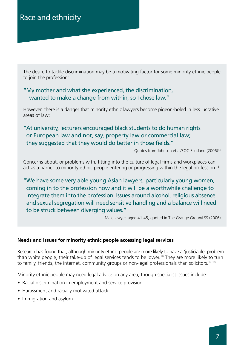The desire to tackle discrimination may be a motivating factor for some minority ethnic people to join the profession:

### "My mother and what she experienced, the discrimination, I wanted to make a change from within, so I chose law."

However, there is a danger that minority ethnic lawyers become pigeon-holed in less lucrative areas of law:

### "At university, lecturers encouraged black students to do human rights or European law and not, say, property law or commercial law; they suggested that they would do better in those fields."

Quotes from Johnson et al/EOC Scotland (2006)14

Concerns about, or problems with, fitting into the culture of legal firms and workplaces can act as a barrier to minority ethnic people entering or progressing within the legal profession.<sup>15</sup>

"We have some very able young Asian lawyers, particularly young women, coming in to the profession now and it will be a worthwhile challenge to integrate them into the profession. Issues around alcohol, religious absence and sexual segregation will need sensitive handling and a balance will need to be struck between diverging values."

Male lawyer, aged 41-45, quoted in The Grange Group/LSS (2006)

### **Needs and issues for minority ethnic people accessing legal services**

Research has found that, although minority ethnic people are more likely to have a 'justiciable' problem than white people, their take-up of legal services tends to be lower.<sup>16</sup> They are more likely to turn to family, friends, the internet, community groups or non-legal professionals than solicitors.<sup>17 18</sup>

Minority ethnic people may need legal advice on any area, though specialist issues include:

- Racial discrimination in employment and service provision
- Harassment and racially motivated attack
- Immigration and asylum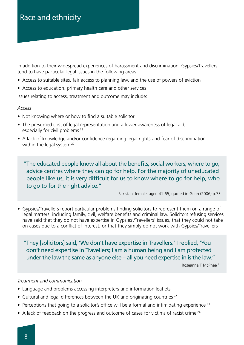In addition to their widespread experiences of harassment and discrimination, Gypsies/Travellers tend to have particular legal issues in the following areas:

- Access to suitable sites, fair access to planning law, and the use of powers of eviction
- Access to education, primary health care and other services

Issues relating to access, treatment and outcome may include:

#### *Access*

- Not knowing where or how to find a suitable solicitor
- The presumed cost of legal representation and a lower awareness of legal aid, especially for civil problems<sup>19</sup>
- A lack of knowledge and/or confidence regarding legal rights and fear of discrimination within the legal system<sup>20</sup>

"The educated people know all about the benefits, social workers, where to go, advice centres where they can go for help. For the majority of uneducated people like us, it is very difficult for us to know where to go for help, who to go to for the right advice."

Pakistani female, aged 41-65, quoted in Genn (2006) p.73

• Gypsies/Travellers report particular problems finding solicitors to represent them on a range of legal matters, including family, civil, welfare benefits and criminal law. Solicitors refusing services have said that they do not have expertise in Gypsies'/Travellers' issues, that they could not take on cases due to a conflict of interest, or that they simply do not work with Gypsies/Travellers

"They [solicitors] said, 'We don't have expertise in Travellers.' I replied, 'You don't need expertise in Travellers; I am a human being and I am protected under the law the same as anyone else – all you need expertise in is the law."

Roseanna T McPhee 21

#### *Treatment and communication*

- Language and problems accessing interpreters and information leaflets
- Cultural and legal differences between the UK and originating countries<sup>22</sup>
- Perceptions that going to a solicitor's office will be a formal and intimidating experience<sup>23</sup>
- A lack of feedback on the progress and outcome of cases for victims of racist crime<sup>24</sup>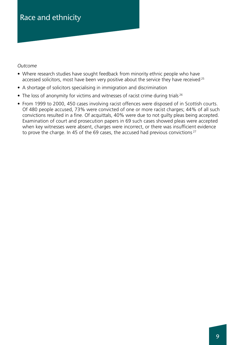### *Outcome*

- Where research studies have sought feedback from minority ethnic people who have accessed solicitors, most have been very positive about the service they have received<sup>25</sup>
- A shortage of solicitors specialising in immigration and discrimination
- The loss of anonymity for victims and witnesses of racist crime during trials <sup>26</sup>
- From 1999 to 2000, 450 cases involving racist offences were disposed of in Scottish courts. Of 480 people accused, 73% were convicted of one or more racist charges; 44% of all such convictions resulted in a fine. Of acquittals, 40% were due to not guilty pleas being accepted. Examination of court and prosecution papers in 69 such cases showed pleas were accepted when key witnesses were absent, charges were incorrect, or there was insufficient evidence to prove the charge. In 45 of the 69 cases, the accused had previous convictions<sup>27</sup>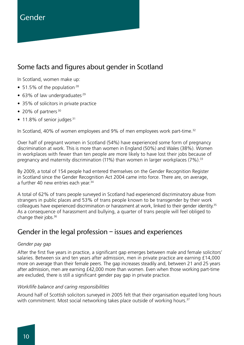# Gender

# Some facts and figures about gender in Scotland

In Scotland, women make up:

- 51.5% of the population  $28$
- $\bullet$  63% of law undergraduates<sup>29</sup>
- 35% of solicitors in private practice
- 20% of partners  $30$
- $\bullet$  11.8% of senior judges  $31$

In Scotland, 40% of women employees and 9% of men employees work part-time.<sup>32</sup>

Over half of pregnant women in Scotland (54%) have experienced some form of pregnancy discrimination at work. This is more than women in England (50%) and Wales (38%). Women in workplaces with fewer than ten people are more likely to have lost their jobs because of pregnancy and maternity discrimination (11%) than women in larger workplaces (7%).<sup>33</sup>

By 2009, a total of 154 people had entered themselves on the Gender Recognition Register in Scotland since the Gender Recognition Act 2004 came into force. There are, on average, a further 40 new entries each year.<sup>34</sup>

A total of 62% of trans people surveyed in Scotland had experienced discriminatory abuse from strangers in public places and 53% of trans people known to be transgender by their work colleagues have experienced discrimination or harassment at work, linked to their gender identity.35 As a consequence of harassment and bullying, a quarter of trans people will feel obliged to change their jobs.36

# Gender in the legal profession – issues and experiences

#### *Gender pay gap*

After the first five years in practice, a significant gap emerges between male and female solicitors' salaries. Between six and ten years after admission, men in private practice are earning £14,000 more on average than their female peers. The gap increases steadily and, between 21 and 25 years after admission, men are earning £42,000 more than women. Even when those working part-time are excluded, there is still a significant gender pay gap in private practice.

#### *Work/life balance and caring responsibilities*

Around half of Scottish solicitors surveyed in 2005 felt that their organisation equated long hours with commitment. Most social networking takes place outside of working hours.<sup>37</sup>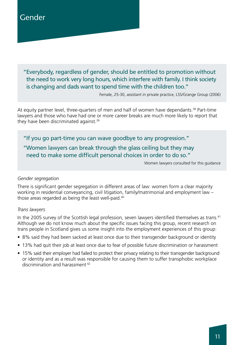# Gender

"Everybody, regardless of gender, should be entitled to promotion without the need to work very long hours, which interfere with family. I think society is changing and dads want to spend time with the children too."

Female, 25-30, assistant in private practice, LSS/Grange Group (2006)

At equity partner level, three-quarters of men and half of women have dependants.<sup>38</sup> Part-time lawyers and those who have had one or more career breaks are much more likely to report that they have been discriminated against.<sup>39</sup>

"If you go part-time you can wave goodbye to any progression."

### "Women lawyers can break through the glass ceiling but they may need to make some difficult personal choices in order to do so."

Women lawyers consulted for this guidance

#### *Gender segregation*

There is significant gender segregation in different areas of law: women form a clear majority working in residential conveyancing, civil litigation, family/matrimonial and employment law – those areas regarded as being the least well-paid.<sup>40</sup>

#### *Trans lawyers*

In the 2005 survey of the Scottish legal profession, seven lawyers identified themselves as trans.<sup>41</sup> Although we do not know much about the specific issues facing this group, recent research on trans people in Scotland gives us some insight into the employment experiences of this group:

- 8% said they had been sacked at least once due to their transgender background or identity
- 13% had quit their job at least once due to fear of possible future discrimination or harassment
- 15% said their employer had failed to protect their privacy relating to their transgender background or identity and as a result was responsible for causing them to suffer transphobic workplace discrimination and harassment <sup>42</sup>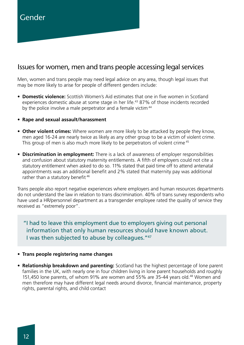# Issues for women, men and trans people accessing legal services

Men, women and trans people may need legal advice on any area, though legal issues that may be more likely to arise for people of different genders include:

- **Domestic violence:** Scottish Women's Aid estimates that one in five women in Scotland experiences domestic abuse at some stage in her life.<sup>43</sup> 87% of those incidents recorded by the police involve a male perpetrator and a female victim<sup>44</sup>
- **Rape and sexual assault/harassment**
- **Other violent crimes:** Where women are more likely to be attacked by people they know, men aged 16-24 are nearly twice as likely as any other group to be a victim of violent crime. This group of men is also much more likely to be perpetrators of violent crime<sup>45</sup>
- **Discrimination in employment:** There is a lack of awareness of employer responsibilities and confusion about statutory maternity entitlements. A fifth of employers could not cite a statutory entitlement when asked to do so. 11% stated that paid time off to attend antenatal appointments was an additional benefit and 2% stated that maternity pay was additional rather than a statutory benefit<sup>46</sup>

Trans people also report negative experiences where employers and human resources departments do not understand the law in relation to trans discrimination. 40% of trans survey respondents who have used a HR/personnel department as a transgender employee rated the quality of service they received as "extremely poor".

"I had to leave this employment due to employers giving out personal information that only human resources should have known about. I was then subjected to abuse by colleagues."47

#### • **Trans people registering name changes**

• **Relationship breakdown and parenting:** Scotland has the highest percentage of lone parent families in the UK, with nearly one in four children living in lone parent households and roughly 151,450 lone parents, of whom 91% are women and 55% are 35-44 years old.<sup>48</sup> Women and men therefore may have different legal needs around divorce, financial maintenance, property rights, parental rights, and child contact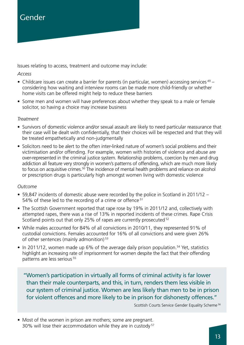Issues relating to access, treatment and outcome may include:

#### *Access*

- Childcare issues can create a barrier for parents (in particular, women) accessing services  $49$ considering how waiting and interview rooms can be made more child-friendly or whether home visits can be offered might help to reduce these barriers
- Some men and women will have preferences about whether they speak to a male or female solicitor, so having a choice may increase business

### *Treatment*

- Survivors of domestic violence and/or sexual assault are likely to need particular reassurance that their case will be dealt with confidentially, that their choices will be respected and that they will be treated empathetically and non-judgmentally
- Solicitors need to be alert to the often inter-linked nature of women's social problems and their victimisation and/or offending. For example, women with histories of violence and abuse are over-represented in the criminal justice system. Relationship problems, coercion by men and drug addiction all feature very strongly in women's patterns of offending, which are much more likely to focus on acquisitive crimes.<sup>50</sup> The incidence of mental health problems and reliance on alcohol or prescription drugs is particularly high amongst women living with domestic violence

### *Outcome*

- 59,847 incidents of domestic abuse were recorded by the police in Scotland in 2011/12 54% of these led to the recording of a crime or offence <sup>51</sup>
- The Scottish Government reported that rape rose by 19% in 2011/12 and, collectively with attempted rapes, there was a rise of 13% in reported incidents of these crimes. Rape Crisis Scotland points out that only 25% of rapes are currently prosecuted <sup>52</sup>
- While males accounted for 84% of all convictions in 2010/11, they represented 91% of custodial convictions. Females accounted for 16% of all convictions and were given 26% of other sentences (mainly admonition) <sup>53</sup>
- In 2011/12, women made up 6% of the average daily prison population.<sup>54</sup> Yet, statistics highlight an increasing rate of imprisonment for women despite the fact that their offending patterns are less serious <sup>55</sup>

"Women's participation in virtually all forms of criminal activity is far lower than their male counterparts, and this, in turn, renders them less visible in our system of criminal justice. Women are less likely than men to be in prison for violent offences and more likely to be in prison for dishonesty offences."

Scottish Courts Service Gender Equality Scheme<sup>56</sup>

• Most of the women in prison are mothers; some are pregnant. 30% will lose their accommodation while they are in custody <sup>57</sup>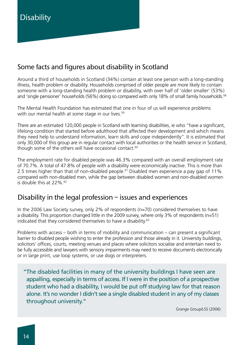# Some facts and figures about disability in Scotland

Around a third of households in Scotland (34%) contain at least one person with a long-standing illness, health problem or disability. Households comprised of older people are more likely to contain someone with a long-standing health problem or disability, with over half of 'older smaller' (53%) and 'single pensioner' households (56%) doing so compared with only 18% of small family households.<sup>58</sup>

The Mental Health Foundation has estimated that one in four of us will experience problems with our mental health at some stage in our lives.<sup>59</sup>

There are an estimated 120,000 people in Scotland with learning disabilities, ie who "have a significant, lifelong condition that started before adulthood that affected their development and which means they need help to understand information, learn skills and cope independently". It is estimated that only 30,000 of this group are in regular contact with local authorities or the health service in Scotland, though some of the others will have occasional contact.<sup>60</sup>

The employment rate for disabled people was 46.3% compared with an overall employment rate of 70.7%. A total of 47.8% of people with a disability were economically inactive. This is more than 2.5 times higher than that of non-disabled people.<sup>61</sup> Disabled men experience a pay gap of 11% compared with non-disabled men, while the gap between disabled women and non-disabled women is double this at  $22\%$ <sup>62</sup>

# Disability in the legal profession – issues and experiences

In the 2006 Law Society survey, only 2% of respondents (n=70) considered themselves to have a disability. This proportion changed little in the 2009 survey, where only 3% of respondents (n=51) indicated that they considered themselves to have a disability.63

Problems with access – both in terms of mobility and communication – can present a significant barrier to disabled people wishing to enter the profession and those already in it. University buildings, solicitors' offices, courts, meeting venues and places where solicitors socialise and entertain need to be fully accessible and lawyers with sensory impairments may need to receive documents electronically or in large print, use loop systems, or use dogs or interpreters.

"The disabled facilities in many of the university buildings I have seen are appalling, especially in terms of access. If I were in the position of a prospective student who had a disability, I would be put off studying law for that reason alone. It's no wonder I didn't see a single disabled student in any of my classes throughout university."

Grange Group/LSS (2006)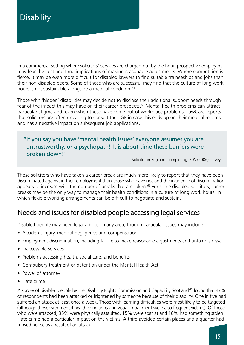In a commercial setting where solicitors' services are charged out by the hour, prospective employers may fear the cost and time implications of making reasonable adjustments. Where competition is fierce, it may be even more difficult for disabled lawyers to find suitable traineeships and jobs than their non-disabled peers. Some of those who are successful may find that the culture of long work hours is not sustainable alongside a medical condition.<sup>64</sup>

Those with 'hidden' disabilities may decide not to disclose their additional support needs through fear of the impact this may have on their career prospects.<sup>65</sup> Mental health problems can attract particular stigma and, even when these have come out of workplace problems, LawCare reports that solicitors are often unwilling to consult their GP in case this ends up on their medical records and has a negative impact on subsequent job applications.

### "If you say you have 'mental health issues' everyone assumes you are untrustworthy, or a psychopath! It is about time these barriers were broken down!"

Solicitor in England, completing GDS (2006) survey

Those solicitors who have taken a career break are much more likely to report that they have been discriminated against in their employment than those who have not and the incidence of discrimination appears to increase with the number of breaks that are taken.<sup>66</sup> For some disabled solicitors, career breaks may be the only way to manage their health conditions in a culture of long work hours, in which flexible working arrangements can be difficult to negotiate and sustain.

# Needs and issues for disabled people accessing legal services

Disabled people may need legal advice on any area, though particular issues may include:

- Accident, injury, medical negligence and compensation
- Employment discrimination, including failure to make reasonable adjustments and unfair dismissal
- Inaccessible services
- Problems accessing health, social care, and benefits
- Compulsory treatment or detention under the Mental Health Act
- Power of attorney
- Hate crime

A survey of disabled people by the Disability Rights Commission and Capability Scotland<sup>67</sup> found that 47% of respondents had been attacked or frightened by someone because of their disability. One in five had suffered an attack at least once a week. Those with learning difficulties were most likely to be targeted (although those with mental health conditions and visual impairment were also frequent victims). Of those who were attacked, 35% were physically assaulted, 15% were spat at and 18% had something stolen. Hate crime had a particular impact on the victims. A third avoided certain places and a quarter had moved house as a result of an attack.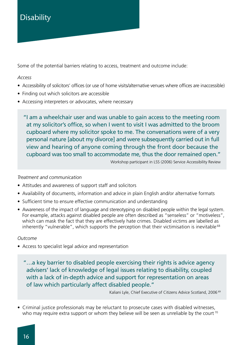# **Disability**

Some of the potential barriers relating to access, treatment and outcome include:

*Access*

- Accessibility of solicitors' offices (or use of home visits/alternative venues where offices are inaccessible)
- Finding out which solicitors are accessible
- Accessing interpreters or advocates, where necessary

"I am a wheelchair user and was unable to gain access to the meeting room at my solicitor's office, so when I went to visit I was admitted to the broom cupboard where my solicitor spoke to me. The conversations were of a very personal nature [about my divorce] and were subsequently carried out in full view and hearing of anyone coming through the front door because the cupboard was too small to accommodate me, thus the door remained open."

Workshop participant in LSS (2006) Service Accessibility Review

### *Treatment and communication*

- Attitudes and awareness of support staff and solicitors
- Availability of documents, information and advice in plain English and/or alternative formats
- Sufficient time to ensure effective communication and understanding
- Awareness of the impact of language and stereotyping on disabled people within the legal system. For example, attacks against disabled people are often described as "senseless" or "motiveless", which can mask the fact that they are effectively hate crimes. Disabled victims are labelled as inherently "vulnerable", which supports the perception that their victimisation is inevitable<sup>68</sup>

### *Outcome*

- Access to specialist legal advice and representation
	- "…a key barrier to disabled people exercising their rights is advice agency advisers' lack of knowledge of legal issues relating to disability, coupled with a lack of in-depth advice and support for representation on areas of law which particularly affect disabled people."

Kaliani Lyle, Chief Executive of Citizens Advice Scotland, 2006<sup>69</sup>

• Criminal justice professionals may be reluctant to prosecute cases with disabled witnesses, who may require extra support or whom they believe will be seen as unreliable by the court<sup>70</sup>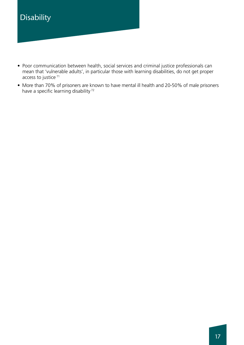# Disability

- Poor communication between health, social services and criminal justice professionals can mean that 'vulnerable adults', in particular those with learning disabilities, do not get proper access to justice <sup>71</sup>
- More than 70% of prisoners are known to have mental ill health and 20-50% of male prisoners have a specific learning disability<sup>72</sup>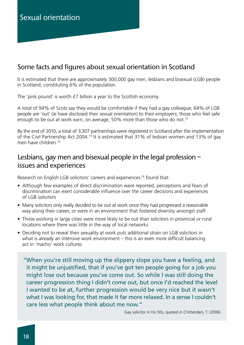# Some facts and figures about sexual orientation in Scotland

It is estimated that there are approximately 300,000 gay men, lesbians and bisexual (LGB) people in Scotland, constituting 6% of the population.

The 'pink pound' is worth £7 billion a year to the Scottish economy.

A total of 94% of Scots say they would be comfortable if they had a gay colleague; 64% of LGB people are 'out' (ie have disclosed their sexual orientation) to their employers; those who feel safe enough to be out at work earn, on average, 50% more than those who do not.<sup>73</sup>

By the end of 2010, a total of 3,307 partnerships were registered in Scotland after the implementation of the Civil Partnership Act 2004.74 It is estimated that 31% of lesbian women and 13% of gay men have children.75

# Lesbians, gay men and bisexual people in the legal profession – issues and experiences

Research on English LGB solicitors' careers and experiences<sup>76</sup> found that:

- Although few examples of direct discrimination were reported, perceptions and fears of discrimination can exert considerable influence over the career decisions and experiences of LGB solicitors
- Many solicitors only really decided to be out at work once they had progressed a reasonable way along their career, or were in an environment that fostered diversity amongst staff
- Those working in large cities were more likely to be out than solicitors in provincial or rural locations where there was little in the way of local networks
- Deciding not to reveal their sexuality at work puts additional strain on LGB solicitors in what is already an intensive work environment – this is an even more difficult balancing act in 'macho' work cultures

"When you're still moving up the slippery slope you have a feeling, and it might be unjustified, that if you've got ten people going for a job you might lose out because you've come out. So while I was still doing the career progression thing I didn't come out, but once I'd reached the level I wanted to be at, further progression would be very nice but it wasn't what I was looking for, that made it far more relaxed. In a sense I couldn't care less what people think about me now."

Gay solicitor in his 50s, quoted in Chittenden, T. (2006)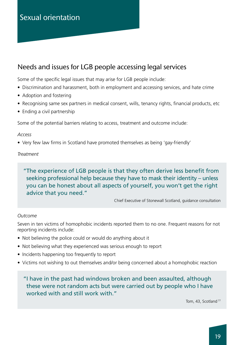# Sexual orientation

# Needs and issues for LGB people accessing legal services

Some of the specific legal issues that may arise for LGB people include:

- Discrimination and harassment, both in employment and accessing services, and hate crime
- Adoption and fostering
- Recognising same sex partners in medical consent, wills, tenancy rights, financial products, etc
- Ending a civil partnership

Some of the potential barriers relating to access, treatment and outcome include:

### *Access*

• Very few law firms in Scotland have promoted themselves as being 'gay-friendly'

### *Treatment*

### "The experience of LGB people is that they often derive less benefit from seeking professional help because they have to mask their identity – unless you can be honest about all aspects of yourself, you won't get the right advice that you need."

Chief Executive of Stonewall Scotland, guidance consultation

### *Outcome*

Seven in ten victims of homophobic incidents reported them to no one. Frequent reasons for not reporting incidents include:

- Not believing the police could or would do anything about it
- Not believing what they experienced was serious enough to report
- Incidents happening too frequently to report
- Victims not wishing to out themselves and/or being concerned about a homophobic reaction

"I have in the past had windows broken and been assaulted, although these were not random acts but were carried out by people who I have worked with and still work with."

Tom, 43, Scotland<sup>77</sup>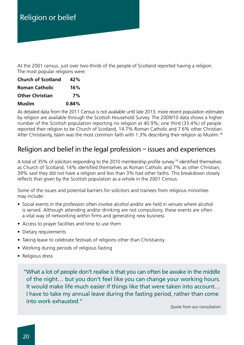At the 2001 census, just over two-thirds of the people of Scotland reported having a religion. The most popular religions were:

| <b>Church of Scotland</b> | 42%   |
|---------------------------|-------|
| <b>Roman Catholic</b>     | 16%   |
| <b>Other Christian</b>    | 7%    |
| <b>Muslim</b>             | 0.84% |

As detailed data from the 2011 Census is not available until late 2013, more recent population estimates by religion are available through the Scottish Household Survey. The 2009/10 data shows a higher number of the Scottish population reporting no religion at 40.9%; one third (33.4%) of people reported their religion to be Church of Scotland, 14.7% Roman Catholic and 7.6% other Christian. After Christianity, Islam was the most common faith with 1.3% describing their religion as Muslim.<sup>78</sup>

# Religion and belief in the legal profession – issues and experiences

A total of 35% of solicitors responding to the 2010 membership profile survey<sup>79</sup> identified themselves as Church of Scotland; 14% identified themselves as Roman Catholic and 7% as other Christian; 39% said they did not have a religion and less than 3% had other faiths. This breakdown closely reflects that given by the Scottish population as a whole in the 2001 Census.

Some of the issues and potential barriers for solicitors and trainees from religious minorities may include:

- Social events in the profession often involve alcohol and/or are held in venues where alcohol is served. Although attending and/or drinking are not compulsory, these events are often a vital way of networking within firms and generating new business
- Access to prayer facilities and time to use them
- Dietary requirements
- Taking leave to celebrate festivals of religions other than Christianity
- Working during periods of religious fasting
- Religious dress

"What a lot of people don't realise is that you can often be awake in the middle of the night… but you don't feel like you can change your working hours. It would make life much easier if things like that were taken into account… I have to take my annual leave during the fasting period, rather than come into work exhausted."

Quote from our consultation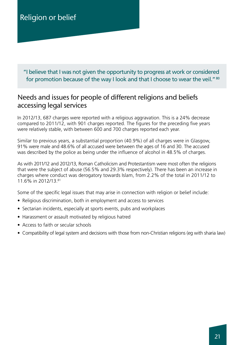"I believe that I was not given the opportunity to progress at work or considered for promotion because of the way I look and that I choose to wear the veil." <sup>80</sup>

# Needs and issues for people of different religions and beliefs accessing legal services

In 2012/13, 687 charges were reported with a religious aggravation. This is a 24% decrease compared to 2011/12, with 901 charges reported. The figures for the preceding five years were relatively stable, with between 600 and 700 charges reported each year.

Similar to previous years, a substantial proportion (40.9%) of all charges were in Glasgow, 91% were male and 48.6% of all accused were between the ages of 16 and 30. The accused was described by the police as being under the influence of alcohol in 48.5% of charges.

As with 2011/12 and 2012/13, Roman Catholicism and Protestantism were most often the religions that were the subject of abuse (56.5% and 29.3% respectively). There has been an increase in charges where conduct was derogatory towards Islam, from 2.2% of the total in 2011/12 to 11.6% in 2012/13.81

Some of the specific legal issues that may arise in connection with religion or belief include:

- Religious discrimination, both in employment and access to services
- Sectarian incidents, especially at sports events, pubs and workplaces
- Harassment or assault motivated by religious hatred
- Access to faith or secular schools
- Compatibility of legal system and decisions with those from non-Christian religions (eg with sharia law)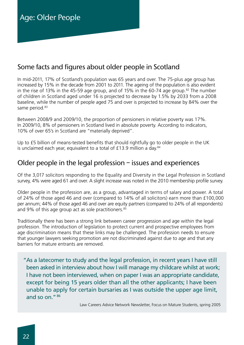# Some facts and figures about older people in Scotland

In mid-2011, 17% of Scotland's population was 65 years and over. The 75-plus age group has increased by 15% in the decade from 2001 to 2011. The ageing of the population is also evident in the rise of 13% in the 45-59 age group, and of 15% in the 60-74 age group.<sup>82</sup> The number of children in Scotland aged under 16 is projected to decrease by 1.5% by 2033 from a 2008 baseline, while the number of people aged 75 and over is projected to increase by 84% over the same period.<sup>83</sup>

Between 2008/9 and 2009/10, the proportion of pensioners in relative poverty was 17%. In 2009/10, 8% of pensioners in Scotland lived in absolute poverty. According to indicators, 10% of over 65's in Scotland are "materially deprived".

Up to £5 billion of means-tested benefits that should rightfully go to older people in the UK is unclaimed each year, equivalent to a total of £13.9 million a day.<sup>84</sup>

# Older people in the legal profession – issues and experiences

Of the 3,017 solicitors responding to the Equality and Diversity in the Legal Profession in Scotland survey, 4% were aged 61 and over. A slight increase was noted in the 2010 membership profile survey.

Older people in the profession are, as a group, advantaged in terms of salary and power. A total of 24% of those aged 46 and over (compared to 14% of all solicitors) earn more than £100,000 per annum; 44% of those aged 46 and over are equity partners (compared to 24% of all respondents) and 9% of this age group act as sole practitioners.<sup>85</sup>

Traditionally there has been a strong link between career progression and age within the legal profession. The introduction of legislation to protect current and prospective employees from age discrimination means that these links may be challenged. The profession needs to ensure that younger lawyers seeking promotion are not discriminated against due to age and that any barriers for mature entrants are removed.

"As a latecomer to study and the legal profession, in recent years I have still been asked in interview about how I will manage my childcare whilst at work; I have not been interviewed, when on paper I was an appropriate candidate, except for being 15 years older than all the other applicants; I have been unable to apply for certain bursaries as I was outside the upper age limit, and so on."86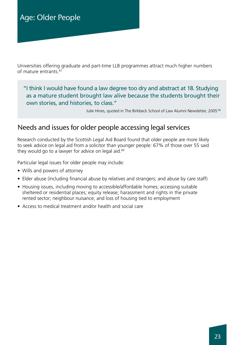Universities offering graduate and part-time LLB programmes attract much higher numbers of mature entrants.87

"I think I would have found a law degree too dry and abstract at 18. Studying as a mature student brought law alive because the students brought their own stories, and histories, to class."

Julie Hines, quoted in The Birkbeck School of Law Alumni Newsletter, 2005<sup>88</sup>

# Needs and issues for older people accessing legal services

Research conducted by the Scottish Legal Aid Board found that older people are more likely to seek advice on legal aid from a solicitor than younger people: 67% of those over 55 said they would go to a lawyer for advice on legal aid.<sup>89</sup>

Particular legal issues for older people may include:

- Wills and powers of attorney
- Elder abuse (including financial abuse by relatives and strangers; and abuse by care staff)
- Housing issues, including moving to accessible/affordable homes; accessing suitable sheltered or residential places; equity release; harassment and rights in the private rented sector; neighbour nuisance; and loss of housing tied to employment
- Access to medical treatment and/or health and social care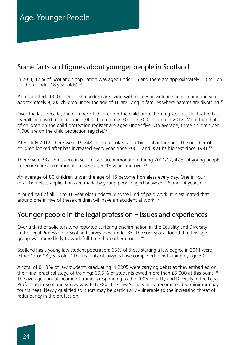# Some facts and figures about younger people in Scotland

In 2011, 17% of Scotland's population was aged under 16 and there are approximately 1.3 million children (under 18 year olds).<sup>90</sup>

An estimated 100,000 Scottish children are living with domestic violence and, in any one year, approximately 8,000 children under the age of 16 are living in families where parents are divorcing.<sup>91</sup>

Over the last decade, the number of children on the child protection register has fluctuated but overall increased from around 2,000 children in 2002 to 2,700 children in 2012. More than half of children on the child protection register are aged under five. On average, three children per 1,000 are on the child protection register.<sup>92</sup>

At 31 July 2012, there were 16,248 children looked after by local authorities. The number of children looked after has increased every year since 2001, and is at its highest since 1981.<sup>93</sup>

There were 237 admissions in secure care accommodation during 2011/12; 42% of young people in secure care accommodation were aged 16 years and over.<sup>94</sup>

An average of 80 children under the age of 16 become homeless every day. One in four of all homeless applications are made by young people aged between 16 and 24 years old.

Around half of all 13 to 16 year olds undertake some kind of paid work. It is estimated that around one in five of these children will have an accident at work.<sup>95</sup>

# Younger people in the legal profession – issues and experiences

Over a third of solicitors who reported suffering discrimination in the Equality and Diversity in the Legal Profession in Scotland survey were under 35. The survey also found that this age group was more likely to work full-time than other groups.<sup>96</sup>

Scotland has a young law student population; 65% of those starting a law degree in 2011 were either 17 or 18 years old.<sup>97</sup> The majority of lawyers have completed their training by age 30.

A total of 81.3% of law students graduating in 2005 were carrying debts as they embarked on their final practical stage of training; 60.5% of students owed more than £5,000 at this point.<sup>98</sup> The average annual income of trainees responding to the 2006 Equality and Diversity in the Legal Profession in Scotland survey was £16,380. The Law Society has a recommended minimum pay for trainees. Newly qualified solicitors may be particularly vulnerable to the increasing threat of redundancy in the profession.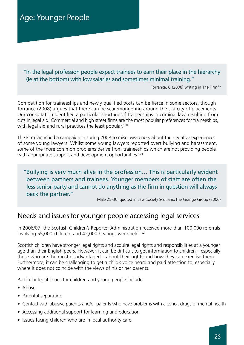### "In the legal profession people expect trainees to earn their place in the hierarchy (ie at the bottom) with low salaries and sometimes minimal training."

Torrance, C (2008) writing in The Firm <sup>99</sup>

Competition for traineeships and newly qualified posts can be fierce in some sectors, though Torrance (2008) argues that there can be scaremongering around the scarcity of placements. Our consultation identified a particular shortage of traineeships in criminal law, resulting from cuts in legal aid. Commercial and high street firms are the most popular preferences for traineeships, with legal aid and rural practices the least popular.<sup>100</sup>

The Firm launched a campaign in spring 2008 to raise awareness about the negative experiences of some young lawyers. Whilst some young lawyers reported overt bullying and harassment, some of the more common problems derive from traineeships which are not providing people with appropriate support and development opportunities.<sup>101</sup>

### "Bullying is very much alive in the profession… This is particularly evident between partners and trainees. Younger members of staff are often the less senior party and cannot do anything as the firm in question will always back the partner."

Male 25-30, quoted in Law Society Scotland/The Grange Group (2006)

# Needs and issues for younger people accessing legal services

In 2006/07, the Scottish Children's Reporter Administration received more than 100,000 referrals involving 55,000 children, and 42,000 hearings were held.<sup>102</sup>

Scottish children have stronger legal rights and acquire legal rights and responsibilities at a younger age than their English peers. However, it can be difficult to get information to children – especially those who are the most disadvantaged – about their rights and how they can exercise them. Furthermore, it can be challenging to get a child's voice heard and paid attention to, especially where it does not coincide with the views of his or her parents.

Particular legal issues for children and young people include:

- Abuse
- Parental separation
- Contact with abusive parents and/or parents who have problems with alcohol, drugs or mental health
- Accessing additional support for learning and education
- Issues facing children who are in local authority care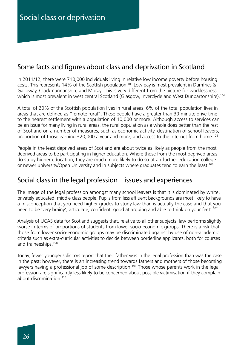# Some facts and figures about class and deprivation in Scotland

In 2011/12, there were 710,000 individuals living in relative low income poverty before housing costs. This represents 14% of the Scottish population.<sup>103</sup> Low pay is most prevalent in Dumfries & Galloway, Clackmannanshire and Moray. This is very different from the picture for worklessness which is most prevalent in west central Scotland (Glasgow, Inverclyde and West Dunbartonshire).<sup>104</sup>

A total of 20% of the Scottish population lives in rural areas; 6% of the total population lives in areas that are defined as "remote rural". These people have a greater than 30-minute drive time to the nearest settlement with a population of 10,000 or more. Although access to services can be an issue for many living in rural areas, the rural population as a whole does better than the rest of Scotland on a number of measures, such as economic activity, destination of school leavers, proportion of those earning £20,000 a year and more; and access to the internet from home.<sup>105</sup>

People in the least deprived areas of Scotland are about twice as likely as people from the most deprived areas to be participating in higher education. Where those from the most deprived areas do study higher education, they are much more likely to do so at an further education college or newer university/Open University and in subjects where graduates tend to earn the least.<sup>106</sup>

# Social class in the legal profession – issues and experiences

The image of the legal profession amongst many school leavers is that it is dominated by white, privately educated, middle class people. Pupils from less affluent backgrounds are most likely to have a misconception that you need higher grades to study law than is actually the case and that you need to be 'very brainy', articulate, confident, good at arguing and able to think on your feet'.<sup>107</sup>

Analysis of UCAS data for Scotland suggests that, relative to all other subjects, law performs slightly worse in terms of proportions of students from lower socio-economic groups. There is a risk that those from lower socio-economic groups may be discriminated against by use of non-academic criteria such as extra-curricular activities to decide between borderline applicants, both for courses and traineeships.108

Today, fewer younger solicitors report that their father was in the legal profession than was the case in the past; however, there is an increasing trend towards fathers and mothers of those becoming lawyers having a professional job of some description.<sup>109</sup> Those whose parents work in the legal profession are significantly less likely to be concerned about possible victimisation if they complain about discrimination<sup>110</sup>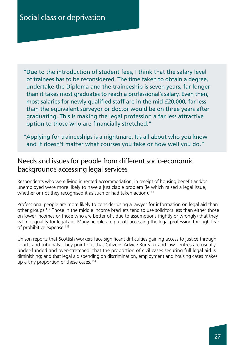"Due to the introduction of student fees, I think that the salary level of trainees has to be reconsidered. The time taken to obtain a degree, undertake the Diploma and the traineeship is seven years, far longer than it takes most graduates to reach a professional's salary. Even then, most salaries for newly qualified staff are in the mid-£20,000, far less than the equivalent surveyor or doctor would be on three years after graduating. This is making the legal profession a far less attractive option to those who are financially stretched."

"Applying for traineeships is a nightmare. It's all about who you know and it doesn't matter what courses you take or how well you do."

# Needs and issues for people from different socio-economic backgrounds accessing legal services

Respondents who were living in rented accommodation, in receipt of housing benefit and/or unemployed were more likely to have a justiciable problem (ie which raised a legal issue, whether or not they recognised it as such or had taken action).<sup>111</sup>

Professional people are more likely to consider using a lawyer for information on legal aid than other groups.112 Those in the middle income brackets tend to use solicitors less than either those on lower incomes or those who are better off, due to assumptions (rightly or wrongly) that they will not qualify for legal aid. Many people are put off accessing the legal profession through fear of prohibitive expense.<sup>113</sup>

Unison reports that Scottish workers face significant difficulties gaining access to justice through courts and tribunals. They point out that Citizens Advice Bureaux and law centres are usually under-funded and over-stretched; that the proportion of civil cases securing full legal aid is diminishing; and that legal aid spending on discrimination, employment and housing cases makes up a tiny proportion of these cases.<sup>114</sup>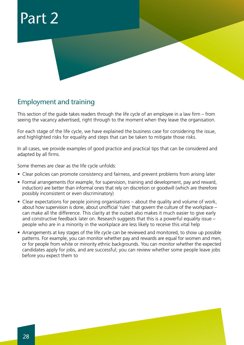

# Employment and training

This section of the guide takes readers through the life cycle of an employee in a law firm – from seeing the vacancy advertised, right through to the moment when they leave the organisation.

For each stage of the life cycle, we have explained the business case for considering the issue, and highlighted risks for equality and steps that can be taken to mitigate those risks.

In all cases, we provide examples of good practice and practical tips that can be considered and adapted by all firms.

Some themes are clear as the life cycle unfolds:

- Clear policies can promote consistency and fairness, and prevent problems from arising later
- Formal arrangements (for example, for supervision, training and development, pay and reward, induction) are better than informal ones that rely on discretion or goodwill (which are therefore possibly inconsistent or even discriminatory)
- Clear expectations for people joining organisations about the quality and volume of work, about how supervision is done, about unofficial 'rules' that govern the culture of the workplace – can make all the difference. This clarity at the outset also makes it much easier to give early and constructive feedback later on. Research suggests that this is a powerful equality issue – people who are in a minority in the workplace are less likely to receive this vital help
- Arrangements at key stages of the life cycle can be reviewed and monitored, to show up possible patterns. For example, you can monitor whether pay and rewards are equal for women and men, or for people from white or minority ethnic backgrounds. You can monitor whether the expected candidates apply for jobs, and are successful; you can review whether some people leave jobs before you expect them to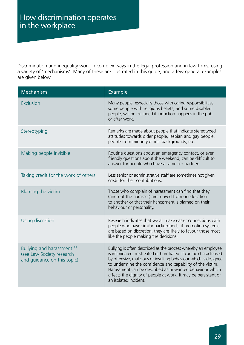Discrimination and inequality work in complex ways in the legal profession and in law firms, using a variety of 'mechanisms'. Many of these are illustrated in this guide, and a few general examples are given below.

| Mechanism                                                                                          | Example                                                                                                                                                                                                                                                                                                                                                                                                                    |
|----------------------------------------------------------------------------------------------------|----------------------------------------------------------------------------------------------------------------------------------------------------------------------------------------------------------------------------------------------------------------------------------------------------------------------------------------------------------------------------------------------------------------------------|
| Exclusion                                                                                          | Many people, especially those with caring responsibilities,<br>some people with religious beliefs, and some disabled<br>people, will be excluded if induction happens in the pub,<br>or after work.                                                                                                                                                                                                                        |
| Stereotyping                                                                                       | Remarks are made about people that indicate stereotyped<br>attitudes towards older people, lesbian and gay people,<br>people from minority ethnic backgrounds, etc.                                                                                                                                                                                                                                                        |
| Making people invisible                                                                            | Routine questions about an emergency contact, or even<br>friendly questions about the weekend, can be difficult to<br>answer for people who have a same sex partner.                                                                                                                                                                                                                                                       |
| Taking credit for the work of others                                                               | Less senior or administrative staff are sometimes not given<br>credit for their contributions.                                                                                                                                                                                                                                                                                                                             |
| Blaming the victim                                                                                 | Those who complain of harassment can find that they<br>(and not the harasser) are moved from one location<br>to another or that their harassment is blamed on their<br>behaviour or personality.                                                                                                                                                                                                                           |
| Using discretion                                                                                   | Research indicates that we all make easier connections with<br>people who have similar backgrounds: if promotion systems<br>are based on discretion, they are likely to favour those most<br>like the people making the decisions.                                                                                                                                                                                         |
| Bullying and harassment <sup>115</sup><br>(see Law Society research<br>and guidance on this topic) | Bullying is often described as the process whereby an employee<br>is intimidated, mistreated or humiliated. It can be characterised<br>by offensive, malicious or insulting behaviour which is designed<br>to undermine the confidence and capability of the victim.<br>Harassment can be described as unwanted behaviour which<br>affects the dignity of people at work. It may be persistent or<br>an isolated incident. |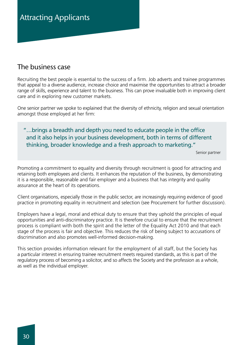# The business case

Recruiting the best people is essential to the success of a firm. Job adverts and trainee programmes that appeal to a diverse audience, increase choice and maximise the opportunities to attract a broader range of skills, experience and talent to the business. This can prove invaluable both in improving client care and in exploring new customer markets.

One senior partner we spoke to explained that the diversity of ethnicity, religion and sexual orientation amongst those employed at her firm:

"…brings a breadth and depth you need to educate people in the office and it also helps in your business development, both in terms of different thinking, broader knowledge and a fresh approach to marketing."

Senior partner

Promoting a commitment to equality and diversity through recruitment is good for attracting and retaining both employees and clients. It enhances the reputation of the business, by demonstrating it is a responsible, reasonable and fair employer and a business that has integrity and quality assurance at the heart of its operations.

Client organisations, especially those in the public sector, are increasingly requiring evidence of good practice in promoting equality in recruitment and selection (see Procurement for further discussion).

Employers have a legal, moral and ethical duty to ensure that they uphold the principles of equal opportunities and anti-discriminatory practice. It is therefore crucial to ensure that the recruitment process is compliant with both the spirit and the letter of the Equality Act 2010 and that each stage of the process is fair and objective. This reduces the risk of being subject to accusations of discrimination and also promotes well-informed decision-making.

This section provides information relevant for the employment of all staff, but the Society has a particular interest in ensuring trainee recruitment meets required standards, as this is part of the regulatory process of becoming a solicitor, and so affects the Society and the profession as a whole, as well as the individual employer.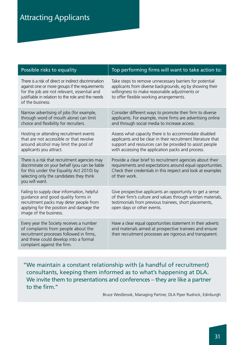| Possible risks to equality                                                                                                                                                                                                     | Top performing firms will want to take action to:                                                                                                                                                                                    |
|--------------------------------------------------------------------------------------------------------------------------------------------------------------------------------------------------------------------------------|--------------------------------------------------------------------------------------------------------------------------------------------------------------------------------------------------------------------------------------|
| There is a risk of direct or indirect discrimination<br>against one or more groups if the requirements<br>for the job are not relevant, essential and<br>justifiable in relation to the role and the needs<br>of the business. | Take steps to remove unnecessary barriers for potential<br>applicants from diverse backgrounds, eg by showing their<br>willingness to make reasonable adjustments or<br>to offer flexible working arrangements.                      |
| Narrow advertising of jobs (for example,<br>through word of mouth alone) can limit<br>choice and flexibility for recruiters.                                                                                                   | Consider different ways to promote their firm to diverse<br>applicants. For example, more firms are advertising online<br>and through social media to increase access.                                                               |
| Hosting or attending recruitment events<br>that are not accessible or that revolve<br>around alcohol may limit the pool of<br>applicants you attract.                                                                          | Assess what capacity there is to accommodate disabled<br>applicants and be clear in their recruitment literature that<br>support and resources can be provided to assist people<br>with accessing the application packs and process. |
| There is a risk that recruitment agencies may<br>discriminate on your behalf (you can be liable<br>for this under the Equality Act 2010) by<br>selecting only the candidates they think<br>you will want.                      | Provide a clear brief to recruitment agencies about their<br>requirements and expectations around equal opportunities.<br>Check their credentials in this respect and look at examples<br>of their work.                             |
| Failing to supply clear information, helpful<br>guidance and good quality forms in<br>recruitment packs may deter people from<br>applying for the position and damage the<br>image of the business.                            | Give prospective applicants an opportunity to get a sense<br>of their firm's culture and values through written materials,<br>testimonials from previous trainees, short placements,<br>open days or other events.                   |
| Every year the Society receives a number<br>of complaints from people about the<br>recruitment processes followed in firms,<br>and these could develop into a formal<br>complaint against the firm.                            | Have a clear equal opportunities statement in their adverts<br>and materials aimed at prospective trainees and ensure<br>their recruitment processes are rigorous and transparent.                                                   |

"We maintain a constant relationship with (a handful of recruitment) consultants, keeping them informed as to what's happening at DLA. We invite them to presentations and conferences – they are like a partner to the firm."

Bruce Westbrook, Managing Partner, DLA Piper Rudnick, Edinburgh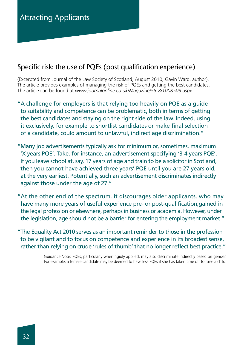# Specific risk: the use of PQEs (post qualification experience)

(Excerpted from Journal of the Law Society of Scotland, August 2010, Gavin Ward, author). The article provides examples of managing the risk of PQEs and getting the best candidates. The article can be found at *www.journalonline.co.uk/Magazine/55-8/1008509.aspx*

- "A challenge for employers is that relying too heavily on PQE as a guide to suitability and competence can be problematic, both in terms of getting the best candidates and staying on the right side of the law. Indeed, using it exclusively, for example to shortlist candidates or make final selection of a candidate, could amount to unlawful, indirect age discrimination."
- "Many job advertisements typically ask for minimum or, sometimes, maximum 'X years PQE'. Take, for instance, an advertisement specifying '3-4 years PQE'. If you leave school at, say, 17 years of age and train to be a solicitor in Scotland, then you cannot have achieved three years' PQE until you are 27 years old, at the very earliest. Potentially, such an advertisement discriminates indirectly against those under the age of 27."
- "At the other end of the spectrum, it discourages older applicants, who may have many more years of useful experience pre- or post-qualification,gained in the legal profession or elsewhere, perhaps in business or academia. However, under the legislation, age should not be a barrier for entering the employment market."
- "The Equality Act 2010 serves as an important reminder to those in the profession to be vigilant and to focus on competence and experience in its broadest sense, rather than relying on crude 'rules of thumb' that no longer reflect best practice."

Guidance Note: PQEs, particularly when rigidly applied, may also discriminate indirectly based on gender. For example, a female candidate may be deemed to have less PQEs if she has taken time off to raise a child.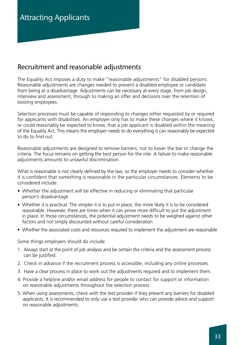# Recruitment and reasonable adjustments

The Equality Act imposes a duty to make "reasonable adjustments" for disabled persons. Reasonable adjustments are changes needed to prevent a disabled employee or candidate from being at a disadvantage. Adjustments can be necessary at every stage, from job design, interview and assessment, through to making an offer and decisions over the retention of existing employees.

Selection processes must be capable of responding to changes either requested by or required for applicants with disabilities. An employer only has to make these changes where it knows, or could reasonably be expected to know, that a job applicant is disabled within the meaning of the Equality Act. This means the employer needs to do everything it can reasonably be expected to do to find out.

Reasonable adjustments are designed to remove barriers, not to lower the bar or change the criteria. The focus remains on getting the best person for the role. A failure to make reasonable adjustments amounts to unlawful discrimination.

What is reasonable is not clearly defined by the law, so the employer needs to consider whether it is confident that something is reasonable in the particular circumstances. Elements to be considered include:

- Whether the adjustment will be effective in reducing or eliminating that particular person's disadvantage
- Whether it is practical. The simpler it is to put in place, the more likely it is to be considered reasonable. However, there are times when it can prove more difficult to put the adjustment in place. In those circumstances, the potential adjustment needs to be weighed against other factors and not simply discounted without careful consideration
- Whether the associated costs and resources required to implement the adjustment are reasonable

Some things employers should do include:

- 1. Always start at the point of job analysis and be certain the criteria and the assessment process can be justified.
- 2. Check in advance if the recruitment process is accessible, including any online processes.
- 3. Have a clear process in place to work out the adjustments required and to implement them.
- 4. Provide a helpline and/or email address for people to contact for support or information on reasonable adjustments throughout the selection process.
- 5. When using assessments, check with the test provider if they present any barriers for disabled applicants. It is recommended to only use a test provider who can provide advice and support on reasonable adjustments.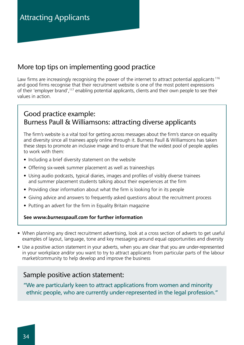# More top tips on implementing good practice

Law firms are increasingly recognising the power of the internet to attract potential applicants<sup>116</sup> and good firms recognise that their recruitment website is one of the most potent expressions of their 'employer brand',117 enabling potential applicants, clients and their own people to see their values in action.

# Good practice example: Burness Paull & Williamsons: attracting diverse applicants

The firm's website is a vital tool for getting across messages about the firm's stance on equality and diversity since all trainees apply online through it. Burness Paull & Williamsons has taken these steps to promote an inclusive image and to ensure that the widest pool of people applies to work with them:

- Including a brief diversity statement on the website
- Offering six-week summer placement as well as traineeships
- Using audio podcasts, typical diaries, images and profiles of visibly diverse trainees and summer placement students talking about their experiences at the firm
- Providing clear information about what the firm is looking for in its people
- Giving advice and answers to frequently asked questions about the recruitment process
- Putting an advert for the firm in Equality Britain magazine

### **See** *www.burnesspaull.com* **for further information**

- When planning any direct recruitment advertising, look at a cross section of adverts to get useful examples of layout, language, tone and key messaging around equal opportunities and diversity
- Use a positive action statement in your adverts, when you are clear that you are under-represented in your workplace and/or you want to try to attract applicants from particular parts of the labour market/community to help develop and improve the business

### Sample positive action statement:

"We are particularly keen to attract applications from women and minority ethnic people, who are currently under-represented in the legal profession."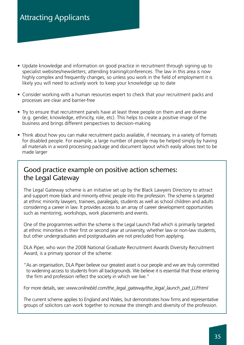# Attracting Applicants

- Update knowledge and information on good practice in recruitment through signing up to specialist websites/newsletters; attending training/conferences. The law in this area is now highly complex and frequently changes, so unless you work in the field of employment it is likely you will need to actively work to keep your knowledge up to date
- Consider working with a human resources expert to check that your recruitment packs and processes are clear and barrier-free
- Try to ensure that recruitment panels have at least three people on them and are diverse (e.g. gender, knowledge, ethnicity, role, etc). This helps to create a positive image of the business and brings different perspectives to decision-making
- Think about how you can make recruitment packs available, if necessary, in a variety of formats for disabled people. For example, a large number of people may be helped simply by having all materials in a word processing package and document layout which easily allows text to be made larger

# Good practice example on positive action schemes: the Legal Gateway

The Legal Gateway scheme is an initiative set up by the Black Lawyers Directory to attract and support more black and minority ethnic people into the profession. The scheme is targeted at ethnic minority lawyers, trainees, paralegals, students as well as school children and adults considering a career in law. It provides access to an array of career development opportunities such as mentoring, workshops, work placements and events.

One of the programmes within the scheme is the Legal Launch Pad which is primarily targeted at ethnic minorities in their first or second year at university, whether law or non-law students, but other undergraduates and postgraduates are not precluded from applying.

DLA Piper, who won the 2008 National Graduate Recruitment Awards Diversity Recruitment Award, is a primary sponsor of the scheme:

"As an organisation, DLA Piper believe our greatest asset is our people and we are truly committed to widening access to students from all backgrounds. We believe it is essential that those entering the firm and profession reflect the society in which we live."

For more details, see: *www.onlinebld.com/the\_legal\_gateway/the\_legal\_launch\_pad\_LLP.html*

The current scheme applies to England and Wales, but demonstrates how firms and representative groups of solicitors can work together to increase the strength and diversity of the profession.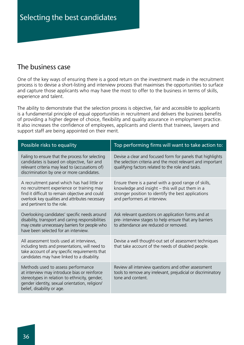# The business case

One of the key ways of ensuring there is a good return on the investment made in the recruitment process is to devise a short-listing and interview process that maximises the opportunities to surface and capture those applicants who may have the most to offer to the business in terms of skills, experience and talent.

The ability to demonstrate that the selection process is objective, fair and accessible to applicants is a fundamental principle of equal opportunities in recruitment and delivers the business benefits of providing a higher degree of choice, flexibility and quality assurance in employment practice. It also increases the confidence of employees, applicants and clients that trainees, lawyers and support staff are being appointed on their merit.

| Possible risks to equality                                                                                                                                                                                                   | Top performing firms will want to take action to:                                                                                                                                              |
|------------------------------------------------------------------------------------------------------------------------------------------------------------------------------------------------------------------------------|------------------------------------------------------------------------------------------------------------------------------------------------------------------------------------------------|
| Failing to ensure that the process for selecting<br>candidates is based on objective, fair and<br>relevant criteria may lead to (accusations of)<br>discrimination by one or more candidates.                                | Devise a clear and focused form for panels that highlights<br>the selection criteria and the most relevant and important<br>qualifying factors related to the role and tasks.                  |
| A recruitment panel which has had little or<br>no recruitment experience or training may<br>find it difficult to remain objective and could<br>overlook key qualities and attributes necessary<br>and pertinent to the role. | Ensure there is a panel with a good range of skills,<br>knowledge and insight - this will put them in a<br>stronger position to identify the best applications<br>and performers at interview. |
| Overlooking candidates' specific needs around<br>disability, transport and caring responsibilities<br>may create unnecessary barriers for people who<br>have been selected for an interview.                                 | Ask relevant questions on application forms and at<br>pre- interview stages to help ensure that any barriers<br>to attendance are reduced or removed.                                          |
| All assessment tools used at interviews,<br>including tests and presentations, will need to<br>take account of any specific requirements that<br>candidates may have linked to a disability.                                 | Devise a well thought-out set of assessment techniques<br>that take account of the needs of disabled people.                                                                                   |
| Methods used to assess performance<br>at interview may introduce bias or reinforce<br>stereotypes in relation to ethnicity, gender,<br>gender identity, sexual orientation, religion/<br>belief, disability or age.          | Review all interview questions and other assessment<br>tools to remove any irrelevant, prejudicial or discriminatory<br>tone and content.                                                      |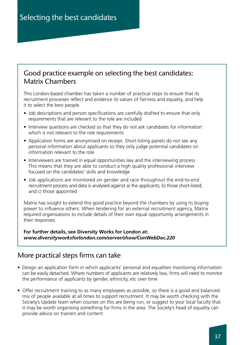### Good practice example on selecting the best candidates: Matrix Chambers

This London-based chamber has taken a number of practical steps to ensure that its recruitment processes reflect and evidence its values of fairness and equality, and help it to select the best people.

- Job descriptions and person specifications are carefully drafted to ensure that only requirements that are relevant to the role are included
- Interview questions are checked so that they do not ask candidates for information which is not relevant to the role requirements
- Application forms are anonymised on receipt. Short-listing panels do not see any personal information about applicants so they only judge potential candidates on information relevant to the role
- Interviewers are trained in equal opportunities law and the interviewing process. This means that they are able to conduct a high quality professional interview focused on the candidates' skills and knowledge
- Job applications are monitored on gender and race throughout the end-to-end recruitment process and data is analysed against a) the applicants; b) those short-listed; and c) those appointed

Matrix has sought to extend this good practice beyond the chambers by using its buying power to influence others. When tendering for an external recruitment agency, Matrix required organisations to include details of their own equal opportunity arrangements in their responses.

**For further details, see Diversity Works for London at:**  *www.diversityworksforlondon.com/server/show/ConWebDoc.220*

### More practical steps firms can take

- Design an application form in which applicants' personal and equalities monitoring information can be easily detached. Where numbers of applicants are relatively low, firms will need to monitor the performance of applicants by gender, ethnicity, etc over time
- Offer recruitment training to as many employees as possible, so there is a good and balanced mix of people available at all times to support recruitment. It may be worth checking with the Society's Update team when courses on this are being run, or suggest to your local faculty that it may be worth organising something for firms in the area. The Society's head of equality can provide advice on trainers and content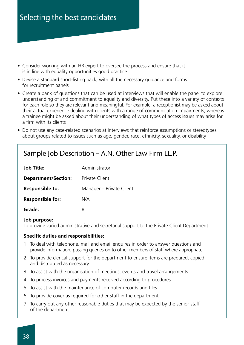- Consider working with an HR expert to oversee the process and ensure that it is in line with equality opportunities good practice
- Devise a standard short-listing pack, with all the necessary guidance and forms for recruitment panels
- Create a bank of questions that can be used at interviews that will enable the panel to explore understanding of and commitment to equality and diversity. Put these into a variety of contexts for each role so they are relevant and meaningful. For example, a receptionist may be asked about their actual experience dealing with clients with a range of communication impairments, whereas a trainee might be asked about their understanding of what types of access issues may arise for a firm with its clients
- Do not use any case-related scenarios at interviews that reinforce assumptions or stereotypes about groups related to issues such as age, gender, race, ethnicity, sexuality, or disability

### Sample Job Description – A.N. Other Law Firm LL.P.

| <b>Job Title:</b>          | Administrator            |
|----------------------------|--------------------------|
| <b>Department/Section:</b> | <b>Private Client</b>    |
| Responsible to:            | Manager - Private Client |
| <b>Responsible for:</b>    | N/A                      |
| Grade:                     | R                        |

#### **Job purpose:**

To provide varied administrative and secretarial support to the Private Client Department.

#### **Specific duties and responsibilities:**

- 1. To deal with telephone, mail and email enquires in order to answer questions and provide information, passing queries on to other members of staff where appropriate.
- 2. To provide clerical support for the department to ensure items are prepared, copied and distributed as necessary.
- 3. To assist with the organisation of meetings, events and travel arrangements.
- 4. To process invoices and payments received according to procedures.
- 5. To assist with the maintenance of computer records and files.
- 6. To provide cover as required for other staff in the department.
- 7. To carry out any other reasonable duties that may be expected by the senior staff of the department.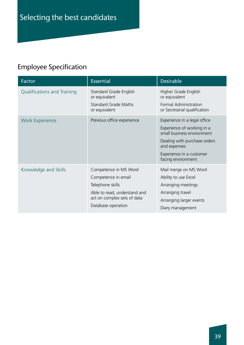# Employee Specification

| Factor                             | <b>Essential</b>                                                                                                                                      | <b>Desirable</b>                                                                                                                                                                           |
|------------------------------------|-------------------------------------------------------------------------------------------------------------------------------------------------------|--------------------------------------------------------------------------------------------------------------------------------------------------------------------------------------------|
| <b>Qualifications and Training</b> | Standard Grade English<br>or equivalent<br><b>Standard Grade Maths</b><br>or equivalent                                                               | Higher Grade English<br>or equivalent<br>Formal Administration<br>or Secretarial qualification                                                                                             |
| <b>Work Experience</b>             | Previous office experience                                                                                                                            | Experience in a legal office<br>Experience of working in a<br>small business environment<br>Dealing with purchase orders<br>and expenses<br>Experience in a customer<br>facing environment |
| Knowledge and Skills               | Competence in MS Word<br>Competence in email<br>Telephone skills<br>Able to read, understand and<br>act on complex sets of data<br>Database operation | Mail merge on MS Word<br>Ability to use Excel<br>Arranging meetings<br>Arranging travel<br>Arranging larger events<br>Diary management                                                     |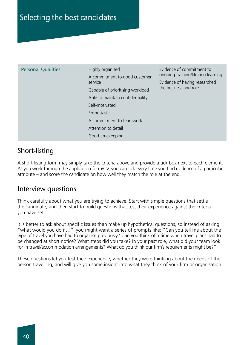| <b>Personal Qualities</b> | Highly organised                         | Evidence of commitment to                                           |
|---------------------------|------------------------------------------|---------------------------------------------------------------------|
|                           | A commitment to good customer<br>service | ongoing training/lifelong learning<br>Evidence of having researched |
|                           | Capable of prioritising workload         | the business and role                                               |
|                           | Able to maintain confidentiality         |                                                                     |
|                           | Self-motivated                           |                                                                     |
|                           | Enthusiastic                             |                                                                     |
|                           | A commitment to teamwork                 |                                                                     |
|                           | Attention to detail                      |                                                                     |
|                           | Good timekeeping                         |                                                                     |

### Short-listing

A short-listing form may simply take the criteria above and provide a tick box next to each element. As you work through the application form/CV, you can tick every time you find evidence of a particular attribute – and score the candidate on how well they match the role at the end.

### Interview questions

Think carefully about what you are trying to achieve. Start with simple questions that settle the candidate, and then start to build questions that test their experience against the criteria you have set.

It is better to ask about specific issues than make up hypothetical questions, so instead of asking "what would you do if…", you might want a series of prompts like: "Can you tell me about the type of travel you have had to organise previously? Can you think of a time when travel plans had to be changed at short notice? What steps did you take? In your past role, what did your team look for in travel/accommodation arrangements? What do you think our firm's requirements might be?"

These questions let you test their experience, whether they were thinking about the needs of the person travelling, and will give you some insight into what they think of your firm or organisation.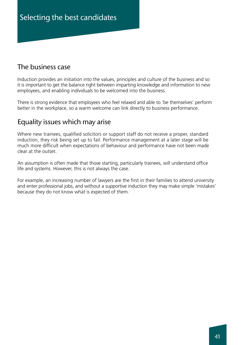### The business case

Induction provides an initiation into the values, principles and culture of the business and so it is important to get the balance right between imparting knowledge and information to new employees, and enabling individuals to be welcomed into the business.

There is strong evidence that employees who feel relaxed and able to 'be themselves' perform better in the workplace, so a warm welcome can link directly to business performance.

### Equality issues which may arise

Where new trainees, qualified solicitors or support staff do not receive a proper, standard induction, they risk being set up to fail. Performance management at a later stage will be much more difficult when expectations of behaviour and performance have not been made clear at the outset.

An assumption is often made that those starting, particularly trainees, will understand office life and systems. However, this is not always the case.

For example, an increasing number of lawyers are the first in their families to attend university and enter professional jobs, and without a supportive induction they may make simple 'mistakes' because they do not know what is expected of them.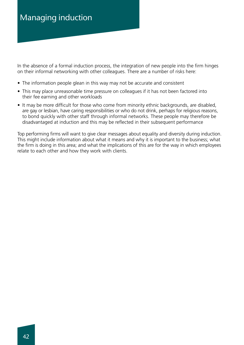In the absence of a formal induction process, the integration of new people into the firm hinges on their informal networking with other colleagues. There are a number of risks here:

- The information people glean in this way may not be accurate and consistent
- This may place unreasonable time pressure on colleagues if it has not been factored into their fee earning and other workloads
- It may be more difficult for those who come from minority ethnic backgrounds, are disabled, are gay or lesbian, have caring responsibilities or who do not drink, perhaps for religious reasons, to bond quickly with other staff through informal networks. These people may therefore be disadvantaged at induction and this may be reflected in their subsequent performance

Top performing firms will want to give clear messages about equality and diversity during induction. This might include information about what it means and why it is important to the business; what the firm is doing in this area; and what the implications of this are for the way in which employees relate to each other and how they work with clients.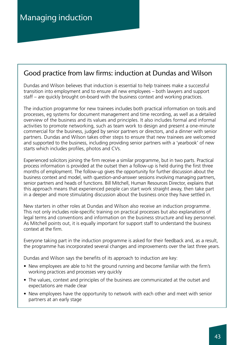### Good practice from law firms: induction at Dundas and Wilson

Dundas and Wilson believes that induction is essential to help trainees make a successful transition into employment and to ensure all new employees – both lawyers and support staff – are quickly brought on-board with the business context and working practices.

The induction programme for new trainees includes both practical information on tools and processes, eg systems for document management and time recording, as well as a detailed overview of the business and its values and principles. It also includes formal and informal activities to promote networking, such as team work to design and present a one-minute commercial for the business, judged by senior partners or directors, and a dinner with senior partners. Dundas and Wilson takes other steps to ensure that new trainees are welcomed and supported to the business, including providing senior partners with a 'yearbook' of new starts which includes profiles, photos and CVs.

Experienced solicitors joining the firm receive a similar programme, but in two parts. Practical process information is provided at the outset then a follow-up is held during the first three months of employment. The follow-up gives the opportunity for further discussion about the business context and model, with question-and-answer sessions involving managing partners, senior partners and heads of functions. Bill Mitchell, Human Resources Director, explains that this approach means that experienced people can start work straight away, then take part in a deeper and more stimulating discussion about the business once they have settled in.

New starters in other roles at Dundas and Wilson also receive an induction programme. This not only includes role-specific training on practical processes but also explanations of legal terms and conventions and information on the business structure and key personnel. As Mitchell points out, it is equally important for support staff to understand the business context at the firm.

Everyone taking part in the induction programme is asked for their feedback and, as a result, the programme has incorporated several changes and improvements over the last three years.

Dundas and Wilson says the benefits of its approach to induction are key:

- New employees are able to hit the ground running and become familiar with the firm's working practices and processes very quickly
- The values, context and principles of the business are communicated at the outset and expectations are made clear
- New employees have the opportunity to network with each other and meet with senior partners at an early stage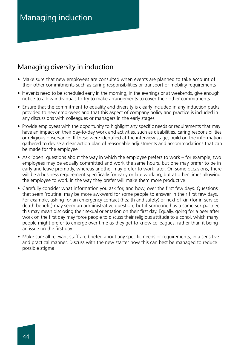# Managing induction

### Managing diversity in induction

- Make sure that new employees are consulted when events are planned to take account of their other commitments such as caring responsibilities or transport or mobility requirements
- If events need to be scheduled early in the morning, in the evenings or at weekends, give enough notice to allow individuals to try to make arrangements to cover their other commitments
- Ensure that the commitment to equality and diversity is clearly included in any induction packs provided to new employees and that this aspect of company policy and practice is included in any discussions with colleagues or managers in the early stages
- Provide employees with the opportunity to highlight any specific needs or requirements that may have an impact on their day-to-day work and activities, such as disabilities, caring responsibilities or religious observance. If these were identified at the interview stage, build on the information gathered to devise a clear action plan of reasonable adjustments and accommodations that can be made for the employee
- Ask 'open' questions about the way in which the employee prefers to work for example, two employees may be equally committed and work the same hours, but one may prefer to be in early and leave promptly, whereas another may prefer to work later. On some occasions, there will be a business requirement specifically for early or late working, but at other times allowing the employee to work in the way they prefer will make them more productive
- Carefully consider what information you ask for, and how, over the first few days. Questions that seem 'routine' may be more awkward for some people to answer in their first few days. For example, asking for an emergency contact (health and safety) or next of kin (for in-service death benefit) may seem an administrative question, but if someone has a same sex partner, this may mean disclosing their sexual orientation on their first day. Equally, going for a beer after work on the first day may force people to discuss their religious attitude to alcohol, which many people might prefer to emerge over time as they get to know colleagues, rather than it being an issue on the first day
- Make sure all relevant staff are briefed about any specific needs or requirements, in a sensitive and practical manner. Discuss with the new starter how this can best be managed to reduce possible stigma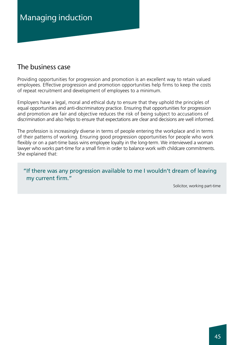### The business case

Providing opportunities for progression and promotion is an excellent way to retain valued employees. Effective progression and promotion opportunities help firms to keep the costs of repeat recruitment and development of employees to a minimum.

Employers have a legal, moral and ethical duty to ensure that they uphold the principles of equal opportunities and anti-discriminatory practice. Ensuring that opportunities for progression and promotion are fair and objective reduces the risk of being subject to accusations of discrimination and also helps to ensure that expectations are clear and decisions are well informed.

The profession is increasingly diverse in terms of people entering the workplace and in terms of their patterns of working. Ensuring good progression opportunities for people who work flexibly or on a part-time basis wins employee loyalty in the long-term. We interviewed a woman lawyer who works part-time for a small firm in order to balance work with childcare commitments. She explained that:

"If there was any progression available to me I wouldn't dream of leaving my current firm."

Solicitor, working part-time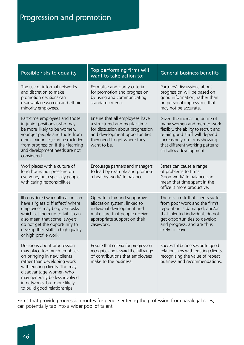| Possible risks to equality                                                                                                                                                                                                                                                             | Top performing firms will<br>want to take action to:                                                                                                                               | <b>General business benefits</b>                                                                                                                                                                                                      |
|----------------------------------------------------------------------------------------------------------------------------------------------------------------------------------------------------------------------------------------------------------------------------------------|------------------------------------------------------------------------------------------------------------------------------------------------------------------------------------|---------------------------------------------------------------------------------------------------------------------------------------------------------------------------------------------------------------------------------------|
| The use of informal networks<br>and discretion to make<br>promotion decisions can<br>disadvantage women and ethnic<br>minority employees.                                                                                                                                              | Formalise and clarify criteria<br>for promotion and progression,<br>by using and communicating<br>standard criteria.                                                               | Partners' discussions about<br>progression will be based on<br>good information, rather than<br>on personal impressions that<br>may not be accurate.                                                                                  |
| Part-time employees and those<br>in junior positions (who may<br>be more likely to be women,<br>younger people and those from<br>ethnic minorities) can be excluded<br>from progression if their learning<br>and development needs are not<br>considered.                              | Ensure that all employees have<br>a structured and regular time<br>for discussion about progression<br>and development opportunities<br>they need to get where they<br>want to be. | Given the increasing desire of<br>many women and men to work<br>flexibly, the ability to recruit and<br>retain good staff will depend<br>increasingly on firms showing<br>that different working patterns<br>still allow development. |
| Workplaces with a culture of<br>long hours put pressure on<br>everyone, but especially people<br>with caring responsibilities.                                                                                                                                                         | Encourage partners and managers<br>to lead by example and promote<br>a healthy work/life balance.                                                                                  | Stress can cause a range<br>of problems to firms.<br>Good work/life balance can<br>mean that time spent in the<br>office is more productive.                                                                                          |
| Ill-considered work allocation can<br>have a 'glass cliff effect' where<br>employees may be given tasks<br>which set them up to fail. It can<br>also mean that some lawyers<br>do not get the opportunity to<br>develop their skills in high quality<br>or high profile work.          | Operate a fair and supportive<br>allocation system, linked to<br>individual development and<br>make sure that people receive<br>appropriate support on their<br>casework.          | There is a risk that clients suffer<br>from poor work and the firm's<br>reputation is damaged; and/or<br>that talented individuals do not<br>get opportunities to develop<br>and progress, and are thus<br>likely to leave.           |
| Decisions about progression<br>may place too much emphasis<br>on bringing in new clients<br>rather than developing work<br>with existing clients. This may<br>disadvantage women who<br>may generally be less involved<br>in networks, but more likely<br>to build good relationships. | Ensure that criteria for progression<br>recognise and reward the full range<br>of contributions that employees<br>make to the business.                                            | Successful businesses build good<br>relationships with existing clients,<br>recognising the value of repeat<br>business and recommendations.                                                                                          |

Firms that provide progression routes for people entering the profession from paralegal roles, can potentially tap into a wider pool of talent.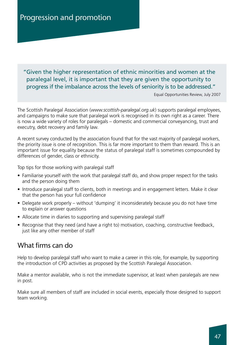### "Given the higher representation of ethnic minorities and women at the paralegal level, it is important that they are given the opportunity to progress if the imbalance across the levels of seniority is to be addressed."

Equal Opportunities Review, July 2007

The Scottish Paralegal Association (*www.scottish-paralegal.org.uk*) supports paralegal employees, and campaigns to make sure that paralegal work is recognised in its own right as a career. There is now a wide variety of roles for paralegals – domestic and commercial conveyancing, trust and executry, debt recovery and family law.

A recent survey conducted by the association found that for the vast majority of paralegal workers, the priority issue is one of recognition. This is far more important to them than reward. This is an important issue for equality because the status of paralegal staff is sometimes compounded by differences of gender, class or ethnicity.

Top tips for those working with paralegal staff

- Familiarise yourself with the work that paralegal staff do, and show proper respect for the tasks and the person doing them
- Introduce paralegal staff to clients, both in meetings and in engagement letters. Make it clear that the person has your full confidence
- Delegate work properly without 'dumping' it inconsiderately because you do not have time to explain or answer questions
- Allocate time in diaries to supporting and supervising paralegal staff
- Recognise that they need (and have a right to) motivation, coaching, constructive feedback, just like any other member of staff

### What firms can do

Help to develop paralegal staff who want to make a career in this role, for example, by supporting the introduction of CPD activities as proposed by the Scottish Paralegal Association.

Make a mentor available, who is not the immediate supervisor, at least when paralegals are new in post.

Make sure all members of staff are included in social events, especially those designed to support team working.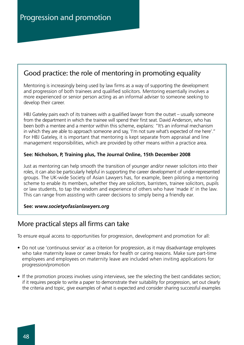### Good practice: the role of mentoring in promoting equality

Mentoring is increasingly being used by law firms as a way of supporting the development and progression of both trainees and qualified solicitors. Mentoring essentially involves a more experienced or senior person acting as an informal adviser to someone seeking to develop their career.

HBJ Gateley pairs each of its trainees with a qualified lawyer from the outset – usually someone from the department in which the trainee will spend their first seat. David Anderson, who has been both a mentee and a mentor within this scheme, explains: "It's an informal mechanism in which they are able to approach someone and say, 'I'm not sure what's expected of me here'." For HBJ Gateley, it is important that mentoring is kept separate from appraisal and line management responsibilities, which are provided by other means within a practice area.

#### **See: Nicholson, P, Training plus, The Journal Online, 15th December 2008**

Just as mentoring can help smooth the transition of younger and/or newer solicitors into their roles, it can also be particularly helpful in supporting the career development of under-represented groups. The UK-wide Society of Asian Lawyers has, for example, been piloting a mentoring scheme to enable its members, whether they are solicitors, barristers, trainee solicitors, pupils or law students, to tap the wisdom and experience of others who have 'made it' in the law. This can range from assisting with career decisions to simply being a friendly ear.

#### **See:** *www.societyofasianlawyers.org*

### More practical steps all firms can take

To ensure equal access to opportunities for progression, development and promotion for all:

- Do not use 'continuous service' as a criterion for progression, as it may disadvantage employees who take maternity leave or career breaks for health or caring reasons. Make sure part-time employees and employees on maternity leave are included when inviting applications for progression/promotion
- If the promotion process involves using interviews, see the selecting the best candidates section; if it requires people to write a paper to demonstrate their suitability for progression, set out clearly the criteria and topic, give examples of what is expected and consider sharing successful examples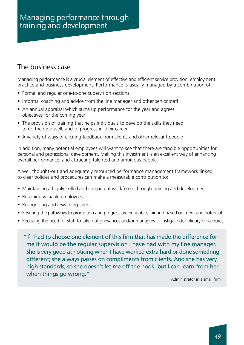### The business case

Managing performance is a crucial element of effective and efficient service provision, employment practice and business development. Performance is usually managed by a combination of:

- Formal and regular one-to-one supervision sessions
- Informal coaching and advice from the line manager and other senior staff
- An annual appraisal which sums up performance for the year and agrees objectives for the coming year
- The provision of training that helps individuals to develop the skills they need to do their job well, and to progress in their career
- A variety of ways of eliciting feedback from clients and other relevant people

In addition, many potential employees will want to see that there are tangible opportunities for personal and professional development. Making this investment is an excellent way of enhancing overall performance, and attracting talented and ambitious people.

A well thought-out and adequately resourced performance management framework linked to clear policies and procedures can make a measurable contribution to:

- Maintaining a highly skilled and competent workforce, through training and development
- Retaining valuable employees
- Recognising and rewarding talent
- Ensuring the pathways to promotion and progress are equitable, fair and based on merit and potential
- Reducing the need for staff to take out grievances and/or managers to instigate disciplinary procedures

"If I had to choose one element of this firm that has made the difference for me it would be the regular supervision I have had with my line manager. She is very good at noticing when I have worked extra hard or done something different; she always passes on compliments from clients. And she has very high standards, so she doesn't let me off the hook, but I can learn from her when things go wrong."

Administrator in a small firm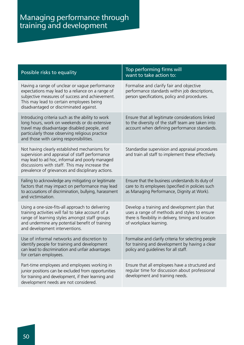| Possible risks to equality                                                                                                                                                                                                                                | Top performing firms will<br>want to take action to:                                                                                                                            |
|-----------------------------------------------------------------------------------------------------------------------------------------------------------------------------------------------------------------------------------------------------------|---------------------------------------------------------------------------------------------------------------------------------------------------------------------------------|
| Having a range of unclear or vague performance<br>expectations may lead to a reliance on a range of<br>subjective measures of success and achievement.<br>This may lead to certain employees being<br>disadvantaged or discriminated against.             | Formalise and clarify fair and objective<br>performance standards within job descriptions,<br>person specifications, policy and procedures.                                     |
| Introducing criteria such as the ability to work<br>long hours, work on weekends or do extensive<br>travel may disadvantage disabled people, and<br>particularly those observing religious practice<br>and those with caring responsibilities.            | Ensure that all legitimate considerations linked<br>to the diversity of the staff team are taken into<br>account when defining performance standards.                           |
| Not having clearly established mechanisms for<br>supervision and appraisal of staff performance<br>may lead to ad hoc, informal and poorly managed<br>discussions with staff. This may increase the<br>prevalence of grievances and disciplinary actions. | Standardise supervision and appraisal procedures<br>and train all staff to implement these effectively.                                                                         |
| Failing to acknowledge any mitigating or legitimate<br>factors that may impact on performance may lead<br>to accusations of discrimination, bullying, harassment<br>and victimisation.                                                                    | Ensure that the business understands its duty of<br>care to its employees (specified in policies such<br>as Managing Performance, Dignity at Work).                             |
| Using a one-size-fits-all approach to delivering<br>training activities will fail to take account of a<br>range of learning styles amongst staff groups<br>and undermine any potential benefit of training<br>and development interventions.              | Develop a training and development plan that<br>uses a range of methods and styles to ensure<br>there is flexibility in delivery, timing and location<br>of workplace learning. |
| Use of informal networks and discretion to<br>identify people for training and development<br>can lead to discrimination and unfair advantages<br>for certain employees.                                                                                  | Formalise and clarify criteria for selecting people<br>for training and development by having a clear<br>policy and guidelines for all staff.                                   |
| Part-time employees and employees working in<br>junior positions can be excluded from opportunities<br>for training and development, if their learning and<br>development needs are not considered.                                                       | Ensure that all employees have a structured and<br>regular time for discussion about professional<br>development and training needs.                                            |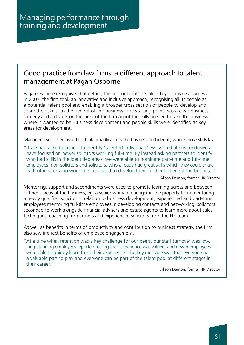### Good practice from law firms: a different approach to talent management at Pagan Osborne

Pagan Osborne recognises that getting the best out of its people is key to business success. In 2007, the firm took an innovative and inclusive approach, recognising all its people as a potential talent pool and enabling a broader cross section of people to develop and share their skills, to the benefit of the business. The starting point was a clear business strategy and a discussion throughout the firm about the skills needed to take the business where it wanted to be. Business development and people skills were identified as key areas for development.

Managers were then asked to think broadly across the business and identify where those skills lay:

"If we had asked partners to identify 'talented individuals', we would almost exclusively have focused on newer solicitors working full-time. By instead asking partners to identify who had skills in the identified areas, we were able to nominate part-time and full-time employees, non-solicitors and solicitors, who already had great skills which they could share with others, or who would be interested to develop them further to benefit the business."

Alison Denton, former HR Director

Mentoring, support and secondments were used to promote learning across and between different areas of the business, eg. a senior woman manager in the property team mentoring a newly qualified solicitor in relation to business development; experienced and part-time employees mentoring full-time employees in developing contacts and networking; solicitors seconded to work alongside financial advisers and estate agents to learn more about sales techniques; coaching for partners and experienced solicitors from the HR team.

As well as benefits in terms of productivity and contribution to business strategy, the firm also saw indirect benefits of employee engagement.

"At a time when retention was a key challenge for our peers, our staff turnover was low, long-standing employees reported feeling their experience was valued, and newer employees were able to quickly learn from their experience. The key message was that everyone has a valuable part to play and everyone can be part of the talent pool at different stages in their career."

Alison Denton, former HR Director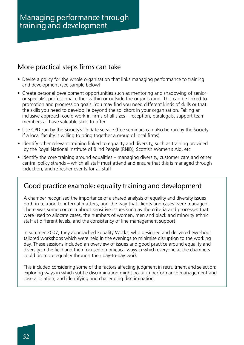### More practical steps firms can take

- Devise a policy for the whole organisation that links managing performance to training and development (see sample below)
- Create personal development opportunities such as mentoring and shadowing of senior or specialist professional either within or outside the organisation. This can be linked to promotion and progression goals. You may find you need different kinds of skills or that the skills you need to develop lie beyond the solicitors in your organisation. Taking an inclusive approach could work in firms of all sizes – reception, paralegals, support team members all have valuable skills to offer
- Use CPD run by the Society's Update service (free seminars can also be run by the Society if a local faculty is willing to bring together a group of local firms)
- Identify other relevant training linked to equality and diversity, such as training provided by the Royal National Institute of Blind People (RNIB), Scottish Women's Aid, etc
- Identify the core training around equalities managing diversity, customer care and other central policy strands – which all staff must attend and ensure that this is managed through induction, and refresher events for all staff

### Good practice example: equality training and development

A chamber recognised the importance of a shared analysis of equality and diversity issues both in relation to internal matters, and the way that clients and cases were managed. There was some concern about sensitive issues such as the criteria and processes that were used to allocate cases, the numbers of women, men and black and minority ethnic staff at different levels, and the consistency of line management support.

In summer 2007, they approached Equality Works, who designed and delivered two-hour, tailored workshops which were held in the evenings to minimise disruption to the working day. These sessions included an overview of issues and good practice around equality and diversity in the field and then focused on practical ways in which everyone at the chambers could promote equality through their day-to-day work.

This included considering some of the factors affecting judgment in recruitment and selection; exploring ways in which subtle discrimination might occur in performance management and case allocation; and identifying and challenging discrimination.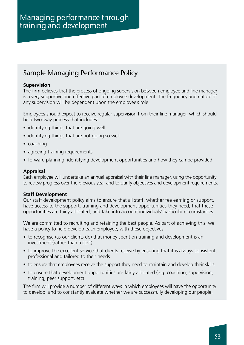### Sample Managing Performance Policy

#### **Supervision**

The firm believes that the process of ongoing supervision between employee and line manager is a very supportive and effective part of employee development. The frequency and nature of any supervision will be dependent upon the employee's role.

Employees should expect to receive regular supervision from their line manager, which should be a two-way process that includes:

- identifying things that are going well
- identifying things that are not going so well
- coaching
- agreeing training requirements
- forward planning, identifying development opportunities and how they can be provided

#### **Appraisal**

Each employee will undertake an annual appraisal with their line manager, using the opportunity to review progress over the previous year and to clarify objectives and development requirements.

#### **Staff Development**

Our staff development policy aims to ensure that all staff, whether fee earning or support, have access to the support, training and development opportunities they need; that these opportunities are fairly allocated, and take into account individuals' particular circumstances.

We are committed to recruiting and retaining the best people. As part of achieving this, we have a policy to help develop each employee, with these objectives:

- to recognise (as our clients do) that money spent on training and development is an investment (rather than a cost)
- to improve the excellent service that clients receive by ensuring that it is always consistent, professional and tailored to their needs
- to ensure that employees receive the support they need to maintain and develop their skills
- to ensure that development opportunities are fairly allocated (e.g. coaching, supervision, training, peer support, etc)

The firm will provide a number of different ways in which employees will have the opportunity to develop, and to constantly evaluate whether we are successfully developing our people.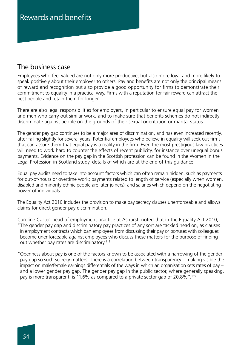### The business case

Employees who feel valued are not only more productive, but also more loyal and more likely to speak positively about their employer to others. Pay and benefits are not only the principal means of reward and recognition but also provide a good opportunity for firms to demonstrate their commitment to equality in a practical way. Firms with a reputation for fair reward can attract the best people and retain them for longer.

There are also legal responsibilities for employers, in particular to ensure equal pay for women and men who carry out similar work, and to make sure that benefits schemes do not indirectly discriminate against people on the grounds of their sexual orientation or marital status.

The gender pay gap continues to be a major area of discrimination, and has even increased recently, after falling slightly for several years. Potential employees who believe in equality will seek out firms that can assure them that equal pay is a reality in the firm. Even the most prestigious law practices will need to work hard to counter the effects of recent publicity, for instance over unequal bonus payments. Evidence on the pay gap in the Scottish profession can be found in the Women in the Legal Profession in Scotland study, details of which are at the end of this guidance.

Equal pay audits need to take into account factors which can often remain hidden, such as payments for out-of-hours or overtime work; payments related to length of service (especially when women, disabled and minority ethnic people are later joiners); and salaries which depend on the negotiating power of individuals.

The Equality Act 2010 includes the provision to make pay secrecy clauses unenforceable and allows claims for direct gender pay discrimination.

Caroline Carter, head of employment practice at Ashurst, noted that in the Equality Act 2010, "The gender pay gap and discriminatory pay practices of any sort are tackled head on, as clauses in employment contracts which ban employees from discussing their pay or bonuses with colleagues become unenforceable against employees who discuss these matters for the purpose of finding out whether pay rates are discriminatory.118

"Openness about pay is one of the factors known to be associated with a narrowing of the gender pay gap so such secrecy matters. There is a correlation between transparency – making visible the impact on male/female earnings differentials of the ways in which an organisation sets rates of pay – and a lower gender pay gap. The gender pay gap in the public sector, where generally speaking, pay is more transparent, is 11.6% as compared to a private sector gap of 20.8%".119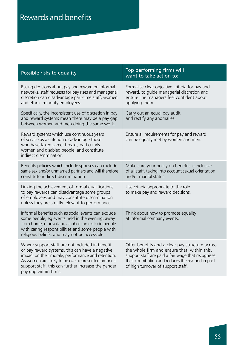# Rewards and benefits

| Possible risks to equality                                                                                                                                                                                                                                                                     | Top performing firms will<br>want to take action to:                                                                                                                                                                                              |
|------------------------------------------------------------------------------------------------------------------------------------------------------------------------------------------------------------------------------------------------------------------------------------------------|---------------------------------------------------------------------------------------------------------------------------------------------------------------------------------------------------------------------------------------------------|
| Basing decisions about pay and reward on informal<br>networks, staff requests for pay rises and managerial<br>discretion can disadvantage part-time staff, women<br>and ethnic minority employees.                                                                                             | Formalise clear objective criteria for pay and<br>reward, to guide managerial discretion and<br>ensure line managers feel confident about<br>applying them.                                                                                       |
| Specifically, the inconsistent use of discretion in pay<br>and reward systems mean there may be a pay gap<br>between women and men doing the same work.                                                                                                                                        | Carry out an equal pay audit<br>and rectify any anomalies.                                                                                                                                                                                        |
| Reward systems which use continuous years<br>of service as a criterion disadvantage those<br>who have taken career breaks, particularly<br>women and disabled people, and constitute<br>indirect discrimination.                                                                               | Ensure all requirements for pay and reward<br>can be equally met by women and men.                                                                                                                                                                |
| Benefits policies which include spouses can exclude<br>same sex and/or unmarried partners and will therefore<br>constitute indirect discrimination.                                                                                                                                            | Make sure your policy on benefits is inclusive<br>of all staff, taking into account sexual orientation<br>and/or marital status.                                                                                                                  |
| Linking the achievement of formal qualifications<br>to pay rewards can disadvantage some groups<br>of employees and may constitute discrimination<br>unless they are strictly relevant to performance.                                                                                         | Use criteria appropriate to the role<br>to make pay and reward decisions.                                                                                                                                                                         |
| Informal benefits such as social events can exclude<br>some people, eg events held in the evening, away<br>from home, or involving alcohol can exclude people<br>with caring responsibilities and some people with<br>religious beliefs, and may not be accessible.                            | Think about how to promote equality<br>at informal company events.                                                                                                                                                                                |
| Where support staff are not included in benefit<br>or pay reward systems, this can have a negative<br>impact on their morale, performance and retention.<br>As women are likely to be over-represented amongst<br>support staff, this can further increase the gender<br>pay gap within firms. | Offer benefits and a clear pay structure across<br>the whole firm and ensure that, within this,<br>support staff are paid a fair wage that recognises<br>their contribution and reduces the risk and impact<br>of high turnover of support staff. |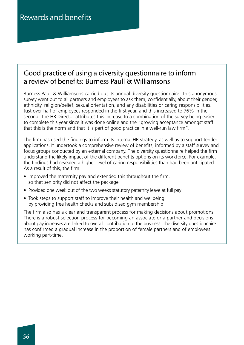### Good practice of using a diversity questionnaire to inform a review of benefits: Burness Paull & Williamsons

Burness Paull & Williamsons carried out its annual diversity questionnaire. This anonymous survey went out to all partners and employees to ask them, confidentially, about their gender, ethnicity, religion/belief, sexual orientation, and any disabilities or caring responsibilities. Just over half of employees responded in the first year, and this increased to 76% in the second. The HR Director attributes this increase to a combination of the survey being easier to complete this year since it was done online and the "growing acceptance amongst staff that this is the norm and that it is part of good practice in a well-run law firm".

The firm has used the findings to inform its internal HR strategy, as well as to support tender applications. It undertook a comprehensive review of benefits, informed by a staff survey and focus groups conducted by an external company. The diversity questionnaire helped the firm understand the likely impact of the different benefits options on its workforce. For example, the findings had revealed a higher level of caring responsibilities than had been anticipated. As a result of this, the firm:

- Improved the maternity pay and extended this throughout the firm, so that seniority did not affect the package
- Provided one week out of the two weeks statutory paternity leave at full pay
- Took steps to support staff to improve their health and wellbeing by providing free health checks and subsidised gym membership

The firm also has a clear and transparent process for making decisions about promotions. There is a robust selection process for becoming an associate or a partner and decisions about pay increases are linked to overall contribution to the business. The diversity questionnaire has confirmed a gradual increase in the proportion of female partners and of employees working part-time.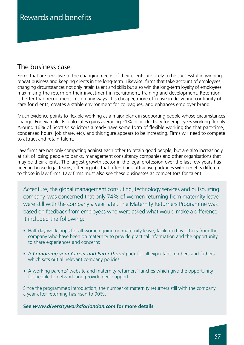### The business case

Firms that are sensitive to the changing needs of their clients are likely to be successful in winning repeat business and keeping clients in the long-term. Likewise, firms that take account of employees' changing circumstances not only retain talent and skills but also win the long-term loyalty of employees, maximising the return on their investment in recruitment, training and development. Retention is better than recruitment in so many ways: it is cheaper, more effective in delivering continuity of care for clients, creates a stable environment for colleagues, and enhances employer brand.

Much evidence points to flexible working as a major plank in supporting people whose circumstances change. For example, BT calculates gains averaging 21% in productivity for employees working flexibly. Around 16% of Scottish solicitors already have some form of flexible working (be that part-time, condensed hours, job share, etc), and this figure appears to be increasing. Firms will need to compete to attract and retain talent.

Law firms are not only competing against each other to retain good people, but are also increasingly at risk of losing people to banks, management consultancy companies and other organisations that may be their clients. The largest growth sector in the legal profession over the last few years has been in-house legal teams, offering jobs that often bring attractive packages with benefits different to those in law firms. Law firms must also see these businesses as competitors for talent.

Accenture, the global management consulting, technology services and outsourcing company, was concerned that only 74% of women returning from maternity leave were still with the company a year later. The Maternity Returners Programme was based on feedback from employees who were asked what would make a difference. It included the following:

- Half-day workshops for all women going on maternity leave, facilitated by others from the company who have been on maternity to provide practical information and the opportunity to share experiences and concerns
- A *Combining your Career and Parenthood* pack for all expectant mothers and fathers which sets out all relevant company policies
- A working parents' website and maternity returners' lunches which give the opportunity for people to network and provide peer support

Since the programme's introduction, the number of maternity returners still with the company a year after returning has risen to 90%.

**See** *www.diversityworksforlondon.com* **for more details**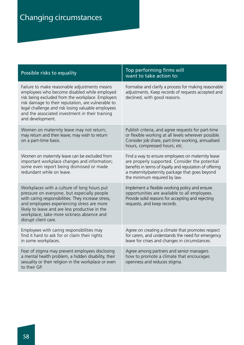| Possible risks to equality                                                                                                                                                                                                                                                                                                           | Top performing firms will<br>want to take action to:                                                                                                                                                                                             |
|--------------------------------------------------------------------------------------------------------------------------------------------------------------------------------------------------------------------------------------------------------------------------------------------------------------------------------------|--------------------------------------------------------------------------------------------------------------------------------------------------------------------------------------------------------------------------------------------------|
| Failure to make reasonable adjustments means<br>employees who become disabled while employed<br>risk being excluded from the workplace. Employers<br>risk damage to their reputation, are vulnerable to<br>legal challenge and risk losing valuable employees<br>and the associated investment in their training<br>and development. | Formalise and clarify a process for making reasonable<br>adjustments. Keep records of requests accepted and<br>declined, with good reasons.                                                                                                      |
| Women on maternity leave may not return;<br>may return and then leave; may wish to return<br>on a part-time basis.                                                                                                                                                                                                                   | Publish criteria, and agree requests for part-time<br>or flexible working at all levels wherever possible.<br>Consider job share, part-time working, annualised<br>hours, compressed hours, etc.                                                 |
| Women on maternity leave can be excluded from<br>important workplace changes and information;<br>some even report being dismissed or made<br>redundant while on leave.                                                                                                                                                               | Find a way to ensure employees on maternity leave<br>are properly supported. Consider the potential<br>benefits in terms of loyalty and reputation of offering<br>a maternity/paternity package that goes beyond<br>the minimum required by law. |
| Workplaces with a culture of long hours put<br>pressure on everyone, but especially people<br>with caring responsibilities. They increase stress,<br>and employees experiencing stress are more<br>likely to leave and are less productive in the<br>workplace, take more sickness absence and<br>disrupt client care.               | Implement a flexible working policy and ensure<br>opportunities are available to all employees.<br>Provide solid reasons for accepting and rejecting<br>requests, and keep records.                                                              |
| Employees with caring responsibilities may<br>find it hard to ask for or claim their rights<br>in some workplaces.                                                                                                                                                                                                                   | Agree on creating a climate that promotes respect<br>for carers, and understands the need for emergency<br>leave for crises and changes in circumstances.                                                                                        |
| Fear of stigma may prevent employees disclosing<br>a mental health problem, a hidden disability, their<br>sexuality or their religion in the workplace or even<br>to their GP.                                                                                                                                                       | Agree among partners and senior managers<br>how to promote a climate that encourages<br>openness and reduces stigma.                                                                                                                             |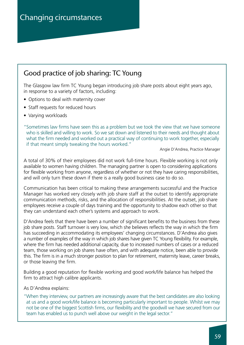## Good practice of job sharing: TC Young

The Glasgow law firm TC Young began introducing job share posts about eight years ago, in response to a variety of factors, including:

- Options to deal with maternity cover
- Staff requests for reduced hours
- Varying workloads

"Sometimes law firms have seen this as a problem but we took the view that we have someone who is skilled and willing to work. So we sat down and listened to their needs and thought about what the firm needed and worked out a practical way of continuing to work together, especially if that meant simply tweaking the hours worked."

Angie D'Andrea, Practice Manager

A total of 30% of their employees did not work full-time hours. Flexible working is not only available to women having children. The managing partner is open to considering applications for flexible working from anyone, regardless of whether or not they have caring responsibilities, and will only turn these down if there is a really good business case to do so.

Communication has been critical to making these arrangements successful and the Practice Manager has worked very closely with job share staff at the outset to identify appropriate communication methods, risks, and the allocation of responsibilities. At the outset, job share employees receive a couple of days training and the opportunity to shadow each other so that they can understand each other's systems and approach to work.

D'Andrea feels that there have been a number of significant benefits to the business from these job share posts. Staff turnover is very low, which she believes reflects the way in which the firm has succeeding in accommodating its employees' changing circumstances. D'Andrea also gives a number of examples of the way in which job shares have given TC Young flexibility. For example, where the firm has needed additional capacity, due to increased numbers of cases or a reduced team, those working on job shares have often, and with adequate notice, been able to provide this. The firm is in a much stronger position to plan for retirement, maternity leave, career breaks, or those leaving the firm.

Building a good reputation for flexible working and good work/life balance has helped the firm to attract high calibre applicants.

As D'Andrea explains:

"When they interview, our partners are increasingly aware that the best candidates are also looking at us and a good work/life balance is becoming particularly important to people. Whilst we may not be one of the biggest Scottish firms, our flexibility and the goodwill we have secured from our team has enabled us to punch well above our weight in the legal sector."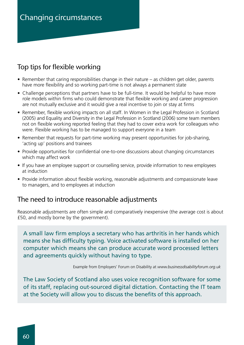# Changing circumstances

### Top tips for flexible working

- Remember that caring responsibilities change in their nature as children get older, parents have more flexibility and so working part-time is not always a permanent state
- Challenge perceptions that partners have to be full-time. It would be helpful to have more role models within firms who could demonstrate that flexible working and career progression are not mutually exclusive and it would give a real incentive to join or stay at firms
- Remember, flexible working impacts on all staff. In Women in the Legal Profession in Scotland (2005) and Equality and Diversity in the Legal Profession in Scotland (2006) some team members not on flexible working reported feeling that they had to cover extra work for colleagues who were. Flexible working has to be managed to support everyone in a team
- Remember that requests for part-time working may present opportunities for job-sharing, 'acting up' positions and trainees
- Provide opportunities for confidential one-to-one discussions about changing circumstances which may affect work
- If you have an employee support or counselling service, provide information to new employees at induction
- Provide information about flexible working, reasonable adjustments and compassionate leave to managers, and to employees at induction

### The need to introduce reasonable adjustments

Reasonable adjustments are often simple and comparatively inexpensive (the average cost is about £50, and mostly borne by the government).

A small law firm employs a secretary who has arthritis in her hands which means she has difficulty typing. Voice activated software is installed on her computer which means she can produce accurate word processed letters and agreements quickly without having to type.

Example from Employers' Forum on Disability at *www.businessdisabilityforum.org.uk*

The Law Society of Scotland also uses voice recognition software for some of its staff, replacing out-sourced digital dictation. Contacting the IT team at the Society will allow you to discuss the benefits of this approach.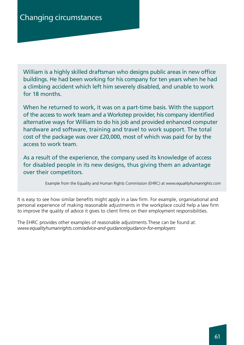William is a highly skilled draftsman who designs public areas in new office buildings. He had been working for his company for ten years when he had a climbing accident which left him severely disabled, and unable to work for 18 months.

When he returned to work, it was on a part-time basis. With the support of the access to work team and a Workstep provider, his company identified alternative ways for William to do his job and provided enhanced computer hardware and software, training and travel to work support. The total cost of the package was over £20,000, most of which was paid for by the access to work team.

As a result of the experience, the company used its knowledge of access for disabled people in its new designs, thus giving them an advantage over their competitors.

Example from the Equality and Human Rights Commission (EHRC) at *www.equalityhumanrights.com*

It is easy to see how similar benefits might apply in a law firm. For example, organisational and personal experience of making reasonable adjustments in the workplace could help a law firm to improve the quality of advice it gives to client firms on their employment responsibilities.

The EHRC provides other examples of reasonable adjustments.These can be found at: *www.equalityhumanrights.com/advice-and-guidance/guidance-for-employers*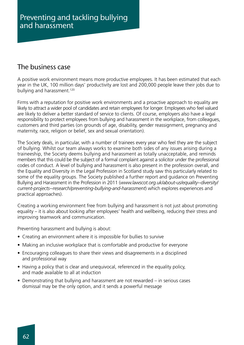### The business case

A positive work environment means more productive employees. It has been estimated that each year in the UK, 100 million days' productivity are lost and 200,000 people leave their jobs due to bullying and harassment.<sup>120</sup>

Firms with a reputation for positive work environments and a proactive approach to equality are likely to attract a wider pool of candidates and retain employees for longer. Employees who feel valued are likely to deliver a better standard of service to clients. Of course, employers also have a legal responsibility to protect employees from bullying and harassment in the workplace, from colleagues, customers and third parties (on grounds of age, disability, gender reassignment, pregnancy and maternity, race, religion or belief, sex and sexual orientation).

The Society deals, in particular, with a number of trainees every year who feel they are the subject of bullying. Whilst our team always works to examine both sides of any issues arising during a traineeship, the Society deems bullying and harassment as totally unacceptable, and reminds members that this could be the subject of a formal complaint against a solicitor under the professional codes of conduct. A level of bullying and harassment is also present in the profession overall, and the Equality and Diversity in the Legal Profession in Scotland study saw this particularly related to some of the equality groups. The Society published a further report and guidance on Preventing Bullying and Harassment in the Profession in 2011 (*www.lawscot.org.uk/about-us/equality--diversity/ current-projects--research/preventing-bullying-and-harassment*) which explores experiences and practical approaches).

Creating a working environment free from bullying and harassment is not just about promoting equality – it is also about looking after employees' health and wellbeing, reducing their stress and improving teamwork and communication.

Preventing harassment and bullying is about:

- Creating an environment where it is impossible for bullies to survive
- Making an inclusive workplace that is comfortable and productive for everyone
- Encouraging colleagues to share their views and disagreements in a disciplined and professional way
- Having a policy that is clear and unequivocal, referenced in the equality policy, and made available to all at induction
- Demonstrating that bullying and harassment are not rewarded in serious cases dismissal may be the only option, and it sends a powerful message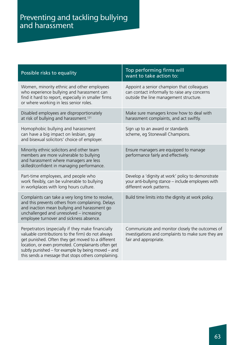# Preventing and tackling bullying and harassment

| Possible risks to equality                                                                                                                                                                                                                                                                                                     | Top performing firms will<br>want to take action to:                                                                                |
|--------------------------------------------------------------------------------------------------------------------------------------------------------------------------------------------------------------------------------------------------------------------------------------------------------------------------------|-------------------------------------------------------------------------------------------------------------------------------------|
| Women, minority ethnic and other employees<br>who experience bullying and harassment can<br>find it hard to report, especially in smaller firms<br>or where working in less senior roles.                                                                                                                                      | Appoint a senior champion that colleagues<br>can contact informally to raise any concerns<br>outside the line management structure. |
| Disabled employees are disproportionately<br>at risk of bullying and harassment. <sup>121</sup>                                                                                                                                                                                                                                | Make sure managers know how to deal with<br>harassment complaints, and act swiftly.                                                 |
| Homophobic bullying and harassment<br>can have a big impact on lesbian, gay<br>and bisexual solicitors' choice of employer.                                                                                                                                                                                                    | Sign up to an award or standards<br>scheme, eg Stonewall Champions.                                                                 |
| Minority ethnic solicitors and other team<br>members are more vulnerable to bullying<br>and harassment where managers are less<br>skilled/confident in managing performance.                                                                                                                                                   | Ensure managers are equipped to manage<br>performance fairly and effectively.                                                       |
| Part-time employees, and people who<br>work flexibly, can be vulnerable to bullying<br>in workplaces with long hours culture.                                                                                                                                                                                                  | Develop a 'dignity at work' policy to demonstrate<br>your anti-bullying stance - include employees with<br>different work patterns. |
| Complaints can take a very long time to resolve,<br>and this prevents others from complaining. Delays<br>and inaction mean bullying and harassment go<br>unchallenged and unresolved - increasing<br>employee turnover and sickness absence.                                                                                   | Build time limits into the dignity at work policy.                                                                                  |
| Perpetrators (especially if they make financially<br>valuable contributions to the firm) do not always<br>get punished. Often they get moved to a different<br>location, or even promoted. Complainants often get<br>subtly punished – for example by being moved – and<br>this sends a message that stops others complaining. | Communicate and monitor closely the outcomes of<br>investigations and complaints to make sure they are<br>fair and appropriate.     |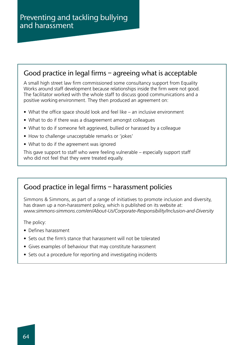### Good practice in legal firms – agreeing what is acceptable

A small high street law firm commissioned some consultancy support from Equality Works around staff development because relationships inside the firm were not good. The facilitator worked with the whole staff to discuss good communications and a positive working environment. They then produced an agreement on:

- What the office space should look and feel like an inclusive environment
- What to do if there was a disagreement amongst colleagues
- What to do if someone felt aggrieved, bullied or harassed by a colleague
- How to challenge unacceptable remarks or 'jokes'
- What to do if the agreement was ignored

This gave support to staff who were feeling vulnerable – especially support staff who did not feel that they were treated equally.

### Good practice in legal firms – harassment policies

Simmons & Simmons, as part of a range of initiatives to promote inclusion and diversity, has drawn up a non-harassment policy, which is published on its website at: *www.simmons-simmons.com/en/About-Us/Corporate-Responsibility/Inclusion-and-Diversity*

The policy:

- Defines harassment
- Sets out the firm's stance that harassment will not be tolerated
- Gives examples of behaviour that may constitute harassment
- Sets out a procedure for reporting and investigating incidents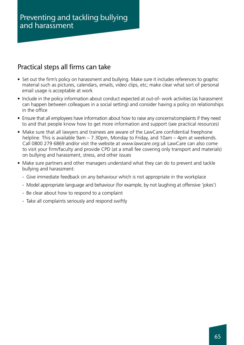### Practical steps all firms can take

- Set out the firm's policy on harassment and bullying. Make sure it includes references to graphic material such as pictures, calendars, emails, video clips, etc; make clear what sort of personal email usage is acceptable at work
- Include in the policy information about conduct expected at out-of- work activities (as harassment can happen between colleagues in a social setting) and consider having a policy on relationships in the office
- Ensure that all employees have information about how to raise any concerns/complaints if they need to and that people know how to get more information and support (see practical resources)
- Make sure that all lawyers and trainees are aware of the LawCare confidential freephone helpline. This is available 9am – 7.30pm, Monday to Friday, and 10am – 4pm at weekends. Call 0800 279 6869 and/or visit the website at *www.lawcare.org.uk* LawCare can also come to visit your firm/faculty and provide CPD (at a small fee covering only transport and materials) on bullying and harassment, stress, and other issues
- Make sure partners and other managers understand what they can do to prevent and tackle bullying and harassment:
	- Give immediate feedback on any behaviour which is not appropriate in the workplace
	- Model appropriate language and behaviour (for example, by not laughing at offensive 'jokes')
	- Be clear about how to respond to a complaint
	- Take all complaints seriously and respond swiftly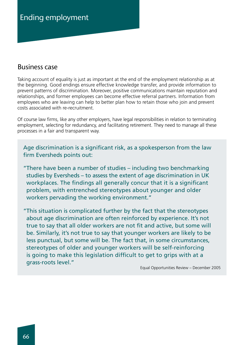# Ending employment

#### Business case

Taking account of equality is just as important at the end of the employment relationship as at the beginning. Good endings ensure effective knowledge transfer, and provide information to prevent patterns of discrimination. Moreover, positive communications maintain reputation and relationships, and former employees can become effective referral partners. Information from employees who are leaving can help to better plan how to retain those who join and prevent costs associated with re-recruitment.

Of course law firms, like any other employers, have legal responsibilities in relation to terminating employment, selecting for redundancy, and facilitating retirement. They need to manage all these processes in a fair and transparent way.

Age discrimination is a significant risk, as a spokesperson from the law firm Eversheds points out:

"There have been a number of studies – including two benchmarking studies by Eversheds – to assess the extent of age discrimination in UK workplaces. The findings all generally concur that it is a significant problem, with entrenched stereotypes about younger and older workers pervading the working environment."

"This situation is complicated further by the fact that the stereotypes about age discrimination are often reinforced by experience. It's not true to say that all older workers are not fit and active, but some will be. Similarly, it's not true to say that younger workers are likely to be less punctual, but some will be. The fact that, in some circumstances, stereotypes of older and younger workers will be self-reinforcing is going to make this legislation difficult to get to grips with at a grass-roots level."

Equal Opportunities Review – December 2005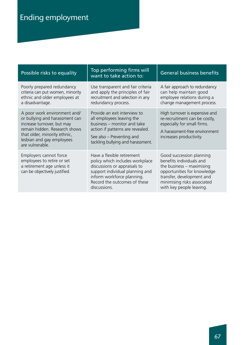| Possible risks to equality                                                                                                                                                                                    | Top performing firms will<br>want to take action to:                                                                                                                                                           | <b>General business benefits</b>                                                                                                                                                                           |
|---------------------------------------------------------------------------------------------------------------------------------------------------------------------------------------------------------------|----------------------------------------------------------------------------------------------------------------------------------------------------------------------------------------------------------------|------------------------------------------------------------------------------------------------------------------------------------------------------------------------------------------------------------|
| Poorly prepared redundancy<br>criteria can put women, minority<br>ethnic and older employees at<br>a disadvantage.                                                                                            | Use transparent and fair criteria<br>and apply the principles of fair<br>recruitment and selection in any<br>redundancy process.                                                                               | A fair approach to redundancy<br>can help maintain good<br>employee relations during a<br>change management process.                                                                                       |
| A poor work environment and/<br>or bullying and harassment can<br>increase turnover, but may<br>remain hidden. Research shows<br>that older, minority ethnic,<br>lesbian and gay employees<br>are vulnerable. | Provide an exit interview to<br>all employees leaving the<br>business - monitor and take<br>action if patterns are revealed.<br>See also – Preventing and<br>tackling bullying and harassment.                 | High turnover is expensive and<br>re-recruitment can be costly,<br>especially for small firms.<br>A harassment-free environment<br>increases productivity.                                                 |
| Employers cannot force<br>employees to retire or set<br>a retirement age unless it<br>can be objectively justified.                                                                                           | Have a flexible retirement<br>policy which includes workplace<br>discussions or appraisals to<br>support individual planning and<br>inform workforce planning.<br>Record the outcomes of these<br>discussions. | Good succession planning<br>benefits individuals and<br>the business $-$ maximising<br>opportunities for knowledge<br>transfer, development and<br>minimising risks associated<br>with key people leaving. |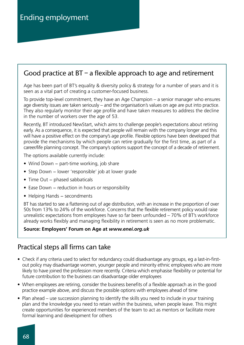### Good practice at  $BT - a$  flexible approach to age and retirement

Age has been part of BT's equality & diversity policy & strategy for a number of years and it is seen as a vital part of creating a customer-focused business.

To provide top-level commitment, they have an Age Champion – a senior manager who ensures age diversity issues are taken seriously – and the organisation's values on age are put into practice. They also regularly monitor their age profile and have taken measures to address the decline in the number of workers over the age of 53.

Recently, BT introduced NewStart, which aims to challenge people's expectations about retiring early. As a consequence, it is expected that people will remain with the company longer and this will have a positive effect on the company's age profile. Flexible options have been developed that provide the mechanisms by which people can retire gradually for the first time, as part of a career/life planning concept. The company's options support the concept of a decade of retirement.

The options available currently include:

- Wind Down − part-time working, job share
- Step Down − lower 'responsible' job at lower grade
- Time Out − phased sabbaticals
- Ease Down − reduction in hours or responsibility
- Helping Hands − secondments

BT has started to see a flattening out of age distribution, with an increase in the proportion of over 50s from 13% to 24% of the workforce. Concerns that the flexible retirement policy would raise unrealistic expectations from employees have so far been unfounded – 70% of BT's workforce already works flexibly and managing flexibility in retirement is seen as no more problematic.

#### **Source: Employers' Forum on Age at** *www.enei.org.uk*

### Practical steps all firms can take

- Check if any criteria used to select for redundancy could disadvantage any groups, eg a last-in-firstout policy may disadvantage women, younger people and minority ethnic employees who are more likely to have joined the profession more recently. Criteria which emphasise flexibility or potential for future contribution to the business can disadvantage older employees
- When employees are retiring, consider the business benefits of a flexible approach as in the good practice example above, and discuss the possible options with employees ahead of time
- Plan ahead use succession planning to identify the skills you need to include in your training plan and the knowledge you need to retain within the business, when people leave. This might create opportunities for experienced members of the team to act as mentors or facilitate more formal learning and development for others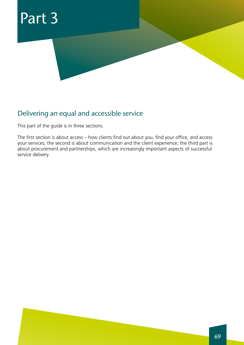

### Delivering an equal and accessible service

This part of the guide is in three sections.

The first section is about access – how clients find out about you, find your office, and access your services; the second is about communication and the client experience; the third part is about procurement and partnerships, which are increasingly important aspects of successful service delivery.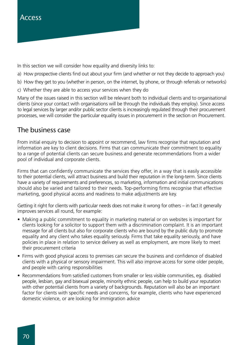In this section we will consider how equality and diversity links to:

- a) How prospective clients find out about your firm (and whether or not they decide to approach you)
- b) How they get to you (whether in person, on the internet, by phone, or through referrals or networks)
- c) Whether they are able to access your services when they do

Many of the issues raised in this section will be relevant both to individual clients and to organisational clients (since your contact with organisations will be through the individuals they employ). Since access to legal services by larger and/or public sector clients is increasingly regulated through their procurement processes, we will consider the particular equality issues in procurement in the section on Procurement.

### The business case

From initial enquiry to decision to appoint or recommend, law firms recognise that reputation and information are key to client decisions. Firms that can communicate their commitment to equality to a range of potential clients can secure business and generate recommendations from a wider pool of individual and corporate clients.

Firms that can confidently communicate the services they offer, in a way that is easily accessible to their potential clients, will attract business and build their reputation in the long-term. Since clients have a variety of requirements and preferences, so marketing, information and initial communications should also be varied and tailored to their needs. Top-performing firms recognise that effective marketing, good physical access and readiness to make adjustments are key.

Getting it right for clients with particular needs does not make it wrong for others – in fact it generally improves services all round, for example:

- Making a public commitment to equality in marketing material or on websites is important for clients looking for a solicitor to support them with a discrimination complaint. It is an important message for all clients but also for corporate clients who are bound by the public duty to promote equality and any client who takes equality seriously. Firms that take equality seriously, and have policies in place in relation to service delivery as well as employment, are more likely to meet their procurement criteria
- Firms with good physical access to premises can secure the business and confidence of disabled clients with a physical or sensory impairment. This will also improve access for some older people, and people with caring responsibilities
- Recommendations from satisfied customers from smaller or less visible communities, eg. disabled people, lesbian, gay and bisexual people, minority ethnic people, can help to build your reputation with other potential clients from a variety of backgrounds. Reputation will also be an important factor for clients with specific needs and concerns, for example, clients who have experienced domestic violence, or are looking for immigration advice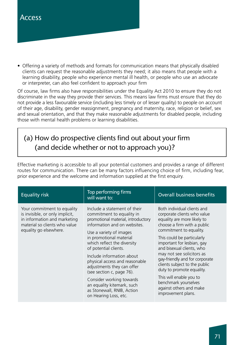• Offering a variety of methods and formats for communication means that physically disabled clients can request the reasonable adjustments they need; it also means that people with a learning disability, people who experience mental ill health, or people who use an advocate or interpreter, can also feel confident to approach your firm

Of course, law firms also have responsibilities under the Equality Act 2010 to ensure they do not discriminate in the way they provide their services. This means law firms must ensure that they do not provide a less favourable service (including less timely or of lesser quality) to people on account of their age, disability, gender reassignment, pregnancy and maternity, race, religion or belief, sex and sexual orientation, and that they make reasonable adjustments for disabled people, including those with mental health problems or learning disabilities.

# (a) How do prospective clients find out about your firm (and decide whether or not to approach you)?

Effective marketing is accessible to all your potential customers and provides a range of different routes for communication. There can be many factors influencing choice of firm, including fear, prior experience and the welcome and information supplied at the first enquiry.

| <b>Equality risk</b>                                                                                                                                      | Top performing firms<br>will want to:                                                                                                                                                                                                                                                                                                                                                                                                                                                    | <b>Overall business benefits</b>                                                                                                                                                                                                                                                                                                                                                                                                                                              |
|-----------------------------------------------------------------------------------------------------------------------------------------------------------|------------------------------------------------------------------------------------------------------------------------------------------------------------------------------------------------------------------------------------------------------------------------------------------------------------------------------------------------------------------------------------------------------------------------------------------------------------------------------------------|-------------------------------------------------------------------------------------------------------------------------------------------------------------------------------------------------------------------------------------------------------------------------------------------------------------------------------------------------------------------------------------------------------------------------------------------------------------------------------|
| Your commitment to equality<br>is invisible, or only implicit,<br>in information and marketing<br>material so clients who value<br>equality go elsewhere. | Include a statement of their<br>commitment to equality in<br>promotional material, introductory<br>information and on websites.<br>Use a variety of images<br>in promotional material<br>which reflect the diversity<br>of potential clients.<br>Include information about<br>physical access and reasonable<br>adjustments they can offer<br>(see section c, page 76).<br>Consider working towards<br>an equality kitemark, such<br>as Stonewall, RNIB, Action<br>on Hearing Loss, etc. | Both individual clients and<br>corporate clients who value<br>equality are more likely to<br>choose a firm with a public<br>commitment to equality.<br>This could be particularly<br>important for lesbian, gay<br>and bisexual clients, who<br>may not see solicitors as<br>gay-friendly and for corporate<br>clients subject to the public<br>duty to promote equality.<br>This will enable you to<br>benchmark yourselves<br>against others and make<br>improvement plans. |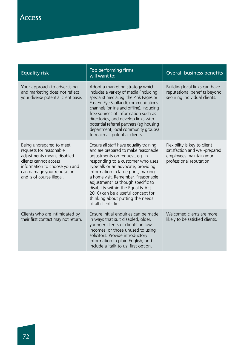| <b>Equality risk</b>                                                                                                                                                                                    | Top performing firms<br>will want to:                                                                                                                                                                                                                                                                                                                                                                                                                 | <b>Overall business benefits</b>                                                                                      |
|---------------------------------------------------------------------------------------------------------------------------------------------------------------------------------------------------------|-------------------------------------------------------------------------------------------------------------------------------------------------------------------------------------------------------------------------------------------------------------------------------------------------------------------------------------------------------------------------------------------------------------------------------------------------------|-----------------------------------------------------------------------------------------------------------------------|
| Your approach to advertising<br>and marketing does not reflect<br>your diverse potential client base.                                                                                                   | Adopt a marketing strategy which<br>includes a variety of media (including<br>specialist media, eg. the Pink Pages or<br>Eastern Eye Scotland), communications<br>channels (online and offline), including<br>free sources of information such as<br>directories, and develop links with<br>potential referral partners (eg housing<br>department, local community groups)<br>to reach all potential clients.                                         | Building local links can have<br>reputational benefits beyond<br>securing individual clients.                         |
| Being unprepared to meet<br>requests for reasonable<br>adjustments means disabled<br>clients cannot access<br>information to choose you and<br>can damage your reputation,<br>and is of course illegal. | Ensure all staff have equality training<br>and are prepared to make reasonable<br>adjustments on request, eg. in<br>responding to a customer who uses<br>Typetalk or an advocate, providing<br>information in large print, making<br>a home visit. Remember, "reasonable<br>adjustment" (although specific to<br>disability within the Equality Act<br>2010) can be a useful concept for<br>thinking about putting the needs<br>of all clients first. | Flexibility is key to client<br>satisfaction and well-prepared<br>employees maintain your<br>professional reputation. |
| Clients who are intimidated by<br>their first contact may not return.                                                                                                                                   | Ensure initial enquiries can be made<br>in ways that suit disabled, older,<br>younger clients or clients on low<br>incomes, or those unused to using<br>solicitors. Provide introductory<br>information in plain English, and<br>include a 'talk to us' first option.                                                                                                                                                                                 | Welcomed clients are more<br>likely to be satisfied clients.                                                          |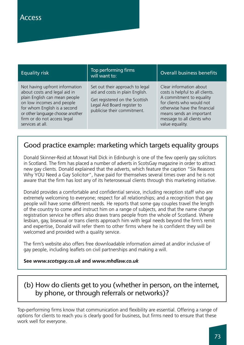| <b>Equality risk</b>                                                                                                                                                                                                                                | Top performing firms<br>will want to:                                                                                                                              | <b>Overall business benefits</b>                                                                                                                                                                                                  |
|-----------------------------------------------------------------------------------------------------------------------------------------------------------------------------------------------------------------------------------------------------|--------------------------------------------------------------------------------------------------------------------------------------------------------------------|-----------------------------------------------------------------------------------------------------------------------------------------------------------------------------------------------------------------------------------|
| Not having upfront information<br>about costs and legal aid in<br>plain English can mean people<br>on low incomes and people<br>for whom English is a second<br>or other language choose another<br>firm or do not access legal<br>services at all. | Set out their approach to legal<br>aid and costs in plain English.<br>Get registered on the Scottish<br>Legal Aid Board register to<br>publicise their commitment. | Clear information about<br>costs is helpful to all clients.<br>A commitment to equality<br>for clients who would not<br>otherwise have the financial<br>means sends an important<br>message to all clients who<br>value equality. |

# Good practice example: marketing which targets equality groups

Donald Skinner-Reid at Mowat Hall Dick in Edinburgh is one of the few openly gay solicitors in Scotland. The firm has placed a number of adverts in ScotsGay magazine in order to attract new gay clients. Donald explained that the adverts, which feature the caption "Six Reasons Why YOU Need a Gay Solicitor", have paid for themselves several times over and he is not aware that the firm has lost any of its heterosexual clients through this marketing initiative.

Donald provides a comfortable and confidential service, including reception staff who are extremely welcoming to everyone; respect for all relationships; and a recognition that gay people will have some different needs. He reports that some gay couples travel the length of the country to come and instruct him on a range of subjects, and that the name change registration service he offers also draws trans people from the whole of Scotland. Where lesbian, gay, bisexual or trans clients approach him with legal needs beyond the firm's remit and expertise, Donald will refer them to other firms where he is confident they will be welcomed and provided with a quality service.

The firm's website also offers free downloadable information aimed at and/or inclusive of gay people, including leaflets on civil partnerships and making a will.

#### **See** *www.scotsgay.co.uk* **and** *www.mhdlaw.co.uk*

# (b) How do clients get to you (whether in person, on the internet, by phone, or through referrals or networks)?

Top-performing firms know that communication and flexibility are essential. Offering a range of options for clients to reach you is clearly good for business, but firms need to ensure that these work well for everyone.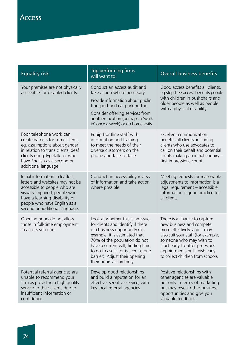| <b>Equality risk</b>                                                                                                                                                                                                                    | Top performing firms<br>will want to:                                                                                                                                                                                                                                                                             | <b>Overall business benefits</b>                                                                                                                                                                                                                                 |
|-----------------------------------------------------------------------------------------------------------------------------------------------------------------------------------------------------------------------------------------|-------------------------------------------------------------------------------------------------------------------------------------------------------------------------------------------------------------------------------------------------------------------------------------------------------------------|------------------------------------------------------------------------------------------------------------------------------------------------------------------------------------------------------------------------------------------------------------------|
| Your premises are not physically<br>accessible for disabled clients.                                                                                                                                                                    | Conduct an access audit and<br>take action where necessary.<br>Provide information about public<br>transport and car parking too.<br>Consider offering services from<br>another location (perhaps a 'walk<br>in' once a week) or do home visits.                                                                  | Good access benefits all clients,<br>eg step-free access benefits people<br>with children in pushchairs and<br>older people as well as people<br>with a physical disability.                                                                                     |
| Poor telephone work can<br>create barriers for some clients,<br>eg. assumptions about gender<br>in relation to trans clients, deaf<br>clients using Typetalk, or who<br>have English as a second or<br>additional language.             | Equip frontline staff with<br>information and training<br>to meet the needs of their<br>diverse customers on the<br>phone and face-to-face.                                                                                                                                                                       | Excellent communication<br>benefits all clients, including<br>clients who use advocates to<br>call on their behalf and potential<br>clients making an initial enquiry -<br>first impressions count.                                                              |
| Initial information in leaflets,<br>letters and websites may not be<br>accessible to people who are<br>visually impaired, people who<br>have a learning disability or<br>people who have English as a<br>second or additional language. | Conduct an accessibility review<br>of information and take action<br>where possible.                                                                                                                                                                                                                              | Meeting requests for reasonable<br>adjustments to information is a<br>legal requirement - accessible<br>information is good practice for<br>all clients.                                                                                                         |
| Opening hours do not allow<br>those in full-time employment<br>to access solicitors.                                                                                                                                                    | Look at whether this is an issue<br>for clients and identify if there<br>is a business opportunity (for<br>example, it is estimated that<br>70% of the population do not<br>have a current will, finding time<br>to go to asolicitor is seen as one<br>barrier). Adjust their opening<br>their hours accordingly. | There is a chance to capture<br>new business and compete<br>more effectively, and it may<br>also suit your staff (for example,<br>someone who may wish to<br>start early to offer pre-work<br>appointments but finish early<br>to collect children from school). |
| Potential referral agencies are<br>unable to recommend your<br>firm as providing a high quality<br>service to their clients due to<br>insufficient information or<br>confidence.                                                        | Develop good relationships<br>and build a reputation for an<br>effective, sensitive service, with<br>key local referral agencies.                                                                                                                                                                                 | Positive relationships with<br>other agencies are valuable<br>not only in terms of marketing<br>but may reveal other business<br>opportunities and give you<br>valuable feedback.                                                                                |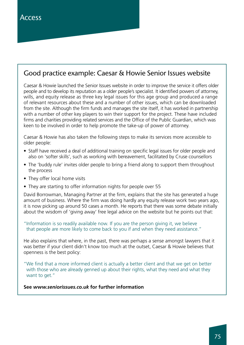## Good practice example: Caesar & Howie Senior Issues website

Caesar & Howie launched the Senior Issues website in order to improve the service it offers older people and to develop its reputation as a older people's specialist. It identified powers of attorney, wills, and equity release as three key legal issues for this age group and produced a range of relevant resources about these and a number of other issues, which can be downloaded from the site. Although the firm funds and manages the site itself, it has worked in partnership with a number of other key players to win their support for the project. These have included firms and charities providing related services and the Office of the Public Guardian, which was keen to be involved in order to help promote the take-up of power of attorney.

Caesar & Howie has also taken the following steps to make its services more accessible to older people:

- Staff have received a deal of additional training on specific legal issues for older people and also on 'softer skills', such as working with bereavement, facilitated by Cruse counsellors
- The 'buddy rule' invites older people to bring a friend along to support them throughout the process
- They offer local home visits
- They are starting to offer information nights for people over 55

David Borrowman, Managing Partner at the firm, explains that the site has generated a huge amount of business. Where the firm was doing hardly any equity release work two years ago, it is now picking up around 50 cases a month. He reports that there was some debate initially about the wisdom of 'giving away' free legal advice on the website but he points out that:

#### "Information is so readily available now. If you are the person giving it, we believe that people are more likely to come back to you if and when they need assistance."

He also explains that where, in the past, there was perhaps a sense amongst lawyers that it was better if your client didn't know too much at the outset, Caesar & Howie believes that openness is the best policy:

"We find that a more informed client is actually a better client and that we get on better with those who are already genned up about their rights, what they need and what they want to get."

#### **See** *www.seniorissues.co.uk* **for further information**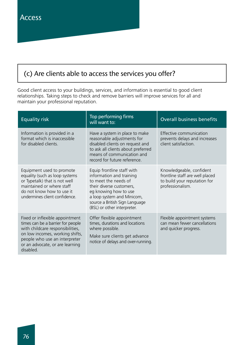# (c) Are clients able to access the services you offer?

Good client access to your buildings, services, and information is essential to good client relationships. Taking steps to check and remove barriers will improve services for all and maintain your professional reputation.

| <b>Equality risk</b>                                                                                                                                                                                                         | Top performing firms<br>will want to:                                                                                                                                                                                              | <b>Overall business benefits</b>                                                                                |
|------------------------------------------------------------------------------------------------------------------------------------------------------------------------------------------------------------------------------|------------------------------------------------------------------------------------------------------------------------------------------------------------------------------------------------------------------------------------|-----------------------------------------------------------------------------------------------------------------|
| Information is provided in a<br>format which is inaccessible<br>for disabled clients.                                                                                                                                        | Have a system in place to make<br>reasonable adjustments for<br>disabled clients on request and<br>to ask all clients about preferred<br>means of communication and<br>record for future reference.                                | Effective communication<br>prevents delays and increases<br>client satisfaction.                                |
| Equipment used to promote<br>equality (such as loop systems<br>or Typetalk) that is not well<br>maintained or where staff<br>do not know how to use it<br>undermines client confidence.                                      | Equip frontline staff with<br>information and training<br>to meet the needs of<br>their diverse customers,<br>eg knowing how to use<br>a loop system and Minicom,<br>source a British Sign Language<br>(BSL) or other interpreter. | Knowledgeable, confident<br>frontline staff are well placed<br>to build your reputation for<br>professionalism. |
| Fixed or inflexible appointment<br>times can be a barrier for people<br>with childcare responsibilities,<br>on low incomes, working shifts,<br>people who use an interpreter<br>or an advocate, or are learning<br>disabled. | Offer flexible appointment<br>times, durations and locations<br>where possible.<br>Make sure clients get advance<br>notice of delays and over-running.                                                                             | Flexible appointment systems<br>can mean fewer cancellations<br>and quicker progress.                           |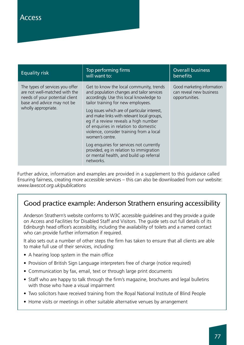| <b>Equality risk</b>                                                                                                                                    | Top performing firms<br>will want to:                                                                                                                                                                                                                                                                                                                                                                                                                                                                                                                               | <b>Overall business</b><br>benefits                                     |
|---------------------------------------------------------------------------------------------------------------------------------------------------------|---------------------------------------------------------------------------------------------------------------------------------------------------------------------------------------------------------------------------------------------------------------------------------------------------------------------------------------------------------------------------------------------------------------------------------------------------------------------------------------------------------------------------------------------------------------------|-------------------------------------------------------------------------|
| The types of services you offer<br>are not well-matched with the<br>needs of your potential client<br>base and advice may not be<br>wholly appropriate. | Get to know the local community, trends<br>and population changes and tailor services<br>accordingly. Use this local knowledge to<br>tailor training for new employees.<br>Log issues which are of particular interest,<br>and make links with relevant local groups,<br>eg if a review reveals a high number<br>of enquiries in relation to domestic<br>violence, consider training from a local<br>women's centre.<br>Log enquiries for services not currently<br>provided, eq in relation to immigration<br>or mental health, and build up referral<br>networks. | Good marketing information<br>can reveal new business<br>opportunities. |

Further advice, information and examples are provided in a supplement to this guidance called Ensuring fairness, creating more accessible services – this can also be downloaded from our website: *www.lawscot.org.uk/publications*

# Good practice example: Anderson Strathern ensuring accessibility

Anderson Strathern's website conforms to W3C accessible guidelines and they provide a guide on Access and Facilities for Disabled Staff and Visitors. The guide sets out full details of its Edinburgh head office's accessibility, including the availability of toilets and a named contact who can provide further information if required.

It also sets out a number of other steps the firm has taken to ensure that all clients are able to make full use of their services, including:

- A hearing loop system in the main office
- Provision of British Sign Language interpreters free of charge (notice required)
- Communication by fax, email, text or through large print documents
- Staff who are happy to talk through the firm's magazine, brochures and legal bulletins with those who have a visual impairment
- Two solicitors have received training from the Royal National Institute of Blind People
- Home visits or meetings in other suitable alternative venues by arrangement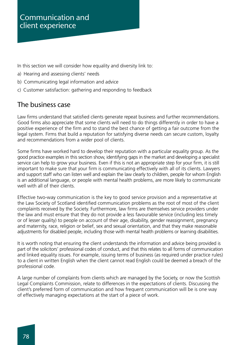In this section we will consider how equality and diversity link to:

- a) Hearing and assessing clients' needs
- b) Communicating legal information and advice
- c) Customer satisfaction: gathering and responding to feedback

### The business case

Law firms understand that satisfied clients generate repeat business and further recommendations. Good firms also appreciate that some clients will need to do things differently in order to have a positive experience of the firm and to stand the best chance of getting a fair outcome from the legal system. Firms that build a reputation for satisfying diverse needs can secure custom, loyalty and recommendations from a wider pool of clients.

Some firms have worked hard to develop their reputation with a particular equality group. As the good practice examples in this section show, identifying gaps in the market and developing a specialist service can help to grow your business. Even if this is not an appropriate step for your firm, it is still important to make sure that your firm is communicating effectively with all of its clients. Lawyers and support staff who can listen well and explain the law clearly to children, people for whom English is an additional language, or people with mental health problems, are more likely to communicate well with all of their clients.

Effective two-way communication is the key to good service provision and a representative at the Law Society of Scotland identified communication problems as the root of most of the client complaints received by the Society. Furthermore, law firms are themselves service providers under the law and must ensure that they do not provide a less favourable service (including less timely or of lesser quality) to people on account of their age, disability, gender reassignment, pregnancy and maternity, race, religion or belief, sex and sexual orientation, and that they make reasonable adjustments for disabled people, including those with mental health problems or learning disabilities.

It is worth noting that ensuring the client understands the information and advice being provided is part of the solicitors' professional codes of conduct, and that this relates to all forms of communication and linked equality issues. For example, issuing terms of business (as required under practice rules) to a client in written English when the client cannot read English could be deemed a breach of the professional code.

A large number of complaints from clients which are managed by the Society, or now the Scottish Legal Complaints Commission, relate to differences in the expectations of clients. Discussing the client's preferred form of communication and how frequent communication will be is one way of effectively managing expectations at the start of a piece of work.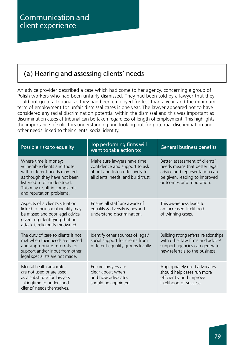# (a) Hearing and assessing clients' needs

An advice provider described a case which had come to her agency, concerning a group of Polish workers who had been unfairly dismissed. They had been told by a lawyer that they could not go to a tribunal as they had been employed for less than a year, and the minimum term of employment for unfair dismissal cases is one year. The lawyer appeared not to have considered any racial discrimination potential within the dismissal and this was important as discrimination cases at tribunal can be taken regardless of length of employment. This highlights the importance of solicitors understanding and looking out for potential discrimination and other needs linked to their clients' social identity.

| Possible risks to equality                                                                                                                                                                                       | Top performing firms will<br>want to take action to:                                                                                     | <b>General business benefits</b>                                                                                                                             |
|------------------------------------------------------------------------------------------------------------------------------------------------------------------------------------------------------------------|------------------------------------------------------------------------------------------------------------------------------------------|--------------------------------------------------------------------------------------------------------------------------------------------------------------|
| Where time is money;<br>vulnerable clients and those<br>with different needs may feel<br>as though they have not been<br>listened to or understood.<br>This may result in complaints<br>and reputation problems. | Make sure lawyers have time,<br>confidence and support to ask<br>about and listen effectively to<br>all clients' needs, and build trust. | Better assessment of clients'<br>needs means that better legal<br>advice and representation can<br>be given, leading to improved<br>outcomes and reputation. |
| Aspects of a client's situation<br>linked to their social identity may<br>be missed and poor legal advice<br>given, eg identifying that an<br>attack is religiously motivated.                                   | Ensure all staff are aware of<br>equality & diversity issues and<br>understand discrimination.                                           | This awareness leads to<br>an increased likelihood<br>of winning cases.                                                                                      |
| The duty of care to clients is not<br>met when their needs are missed<br>and appropriate referrals for<br>support and/or input from other<br>legal specialists are not made.                                     | Identify other sources of legal/<br>social support for clients from<br>different equality groups locally.                                | Building strong referral relationships<br>with other law firms and advice/<br>support agencies can generate<br>new referrals to the business.                |
| Mental health advocates<br>are not used or are used<br>as a substitute for lawyers<br>takingtime to understand<br>clients' needs themselves.                                                                     | Ensure lawyers are<br>clear about when<br>and how advocates<br>should be appointed.                                                      | Appropriately used advocates<br>should help cases run more<br>efficiently and improve<br>likelihood of success.                                              |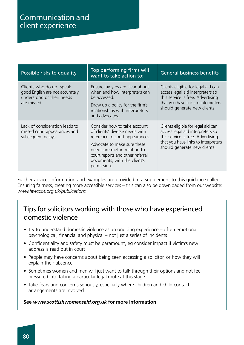| Possible risks to equality                                                                              | Top performing firms will<br>want to take action to:                                                                                                                                                                                                | <b>General business benefits</b>                                                                                                                                                   |
|---------------------------------------------------------------------------------------------------------|-----------------------------------------------------------------------------------------------------------------------------------------------------------------------------------------------------------------------------------------------------|------------------------------------------------------------------------------------------------------------------------------------------------------------------------------------|
| Clients who do not speak<br>good English are not accurately<br>understood or their needs<br>are missed. | Ensure lawyers are clear about<br>when and how interpreters can<br>be accessed.<br>Draw up a policy for the firm's<br>relationships with interpreters<br>and advocates.                                                                             | Clients eligible for legal aid can<br>access legal aid interpreters so<br>this service is free. Advertising<br>that you have links to interpreters<br>should generate new clients. |
| Lack of consideration leads to<br>missed court appearances and<br>subsequent delays.                    | Consider how to take account<br>of clients' diverse needs with<br>reference to court appearances.<br>Advocate to make sure these<br>needs are met in relation to<br>court reports and other referral<br>documents, with the client's<br>permission. | Clients eligible for legal aid can<br>access legal aid interpreters so<br>this service is free. Advertising<br>that you have links to interpreters<br>should generate new clients. |

Further advice, information and examples are provided in a supplement to this guidance called Ensuring fairness, creating more accessible services – this can also be downloaded from our website: *www.lawscot.org.uk/publications*

### Tips for solicitors working with those who have experienced domestic violence

- Try to understand domestic violence as an ongoing experience often emotional, psychological, financial and physical – not just a series of incidents
- Confidentiality and safety must be paramount, eg consider impact if victim's new address is read out in court
- People may have concerns about being seen accessing a solicitor, or how they will explain their absence
- Sometimes women and men will just want to talk through their options and not feel pressured into taking a particular legal route at this stage
- Take fears and concerns seriously, especially where children and child contact arrangements are involved

#### **See** *www.scottishwomensaid.org.uk* **for more information**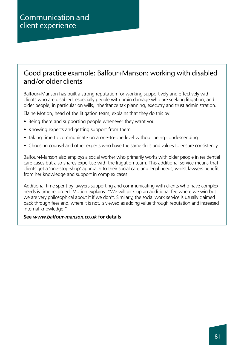### Good practice example: Balfour+Manson: working with disabled and/or older clients

Balfour+Manson has built a strong reputation for working supportively and effectively with clients who are disabled, especially people with brain damage who are seeking litigation, and older people, in particular on wills, inheritance tax planning, executry and trust administration.

Elaine Motion, head of the litigation team, explains that they do this by:

- Being there and supporting people whenever they want you
- Knowing experts and getting support from them
- Taking time to communicate on a one-to-one level without being condescending
- Choosing counsel and other experts who have the same skills and values to ensure consistency

Balfour+Manson also employs a social worker who primarily works with older people in residential care cases but also shares expertise with the litigation team. This additional service means that clients get a 'one-stop-shop' approach to their social care and legal needs, whilst lawyers benefit from her knowledge and support in complex cases.

Additional time spent by lawyers supporting and communicating with clients who have complex needs is time recorded. Motion explains: "We will pick up an additional fee where we win but we are very philosophical about it if we don't. Similarly, the social work service is usually claimed back through fees and, where it is not, is viewed as adding value through reputation and increased internal knowledge."

#### **See** *www.balfour-manson.co.uk* **for details**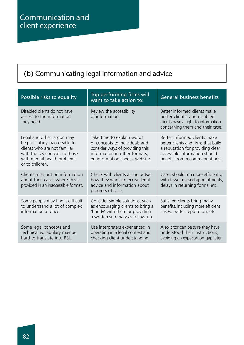# (b) Communicating legal information and advice

| Possible risks to equality                                                                                                                                                        | Top performing firms will<br>want to take action to:                                                                                                                | <b>General business benefits</b>                                                                                                                                          |
|-----------------------------------------------------------------------------------------------------------------------------------------------------------------------------------|---------------------------------------------------------------------------------------------------------------------------------------------------------------------|---------------------------------------------------------------------------------------------------------------------------------------------------------------------------|
| Disabled clients do not have<br>access to the information<br>they need.                                                                                                           | Review the accessibility<br>of information.                                                                                                                         | Better informed clients make<br>better clients, and disabled<br>clients have a right to information<br>concerning them and their case.                                    |
| Legal and other jargon may<br>be particularly inaccessible to<br>clients who are not familiar<br>with the UK context, to those<br>with mental health problems,<br>or to children. | Take time to explain words<br>or concepts to individuals and<br>consider ways of providing this<br>information in other formats,<br>eg information sheets, website. | Better informed clients make<br>better clients and firms that build<br>a reputation for providing clear<br>accessible information should<br>benefit from recommendations. |
| Clients miss out on information<br>about their cases where this is<br>provided in an inaccessible format.                                                                         | Check with clients at the outset<br>how they want to receive legal<br>advice and information about<br>progress of case.                                             | Cases should run more efficiently,<br>with fewer missed appointments,<br>delays in returning forms, etc.                                                                  |
| Some people may find it difficult<br>to understand a lot of complex<br>information at once.                                                                                       | Consider simple solutions, such<br>as encouraging clients to bring a<br>'buddy' with them or providing<br>a written summary as follow-up.                           | Satisfied clients bring many<br>benefits, including more efficient<br>cases, better reputation, etc.                                                                      |
| Some legal concepts and<br>technical vocabulary may be<br>hard to translate into BSL.                                                                                             | Use interpreters experienced in<br>operating in a legal context and<br>checking client understanding.                                                               | A solicitor can be sure they have<br>understood their instructions,<br>avoiding an expectation gap later.                                                                 |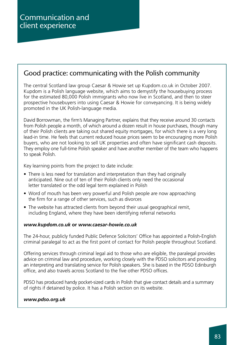## Good practice: communicating with the Polish community

The central Scotland law group Caesar & Howie set up Kupdom.co.uk in October 2007. Kupdom is a Polish language website, which aims to demystify the housebuying process for the estimated 80,000 Polish immigrants who now live in Scotland, and then to steer prospective housebuyers into using Caesar & Howie for conveyancing. It is being widely promoted in the UK Polish-language media.

David Borrowman, the firm's Managing Partner, explains that they receive around 30 contacts from Polish people a month, of which around a dozen result in house purchases, though many of their Polish clients are taking out shared equity mortgages, for which there is a very long lead-in time. He feels that current reduced house prices seem to be encouraging more Polish buyers, who are not looking to sell UK properties and often have significant cash deposits. They employ one full-time Polish speaker and have another member of the team who happens to speak Polish.

Key learning points from the project to date include:

- There is less need for translation and interpretation than they had originally anticipated. Nine out of ten of their Polish clients only need the occasional letter translated or the odd legal term explained in Polish
- Word of mouth has been very powerful and Polish people are now approaching the firm for a range of other services, such as divorces
- The website has attracted clients from beyond their usual geographical remit, including England, where they have been identifying referral networks

#### *www.kupdom.co.uk* **or** *www.caesar-howie.co.uk*

The 24-hour, publicly funded Public Defence Solicitors' Office has appointed a Polish-English criminal paralegal to act as the first point of contact for Polish people throughout Scotland.

Offering services through criminal legal aid to those who are eligible, the paralegal provides advice on criminal law and procedure, working closely with the PDSO solicitors and providing an interpreting and translating service for Polish speakers. She is based in the PDSO Edinburgh office, and also travels across Scotland to the five other PDSO offices.

PDSO has produced handy pocket-sized cards in Polish that give contact details and a summary of rights if detained by police. It has a Polish section on its website.

#### *www.pdso.org.uk*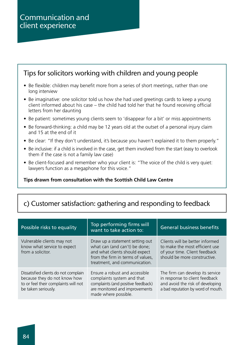## Tips for solicitors working with children and young people

- Be flexible: children may benefit more from a series of short meetings, rather than one long interview
- Be imaginative: one solicitor told us how she had used greetings cards to keep a young client informed about his case – the child had told her that he found receiving official letters from her daunting
- Be patient: sometimes young clients seem to 'disappear for a bit' or miss appointments
- Be forward-thinking: a child may be 12 years old at the outset of a personal injury claim and 15 at the end of it
- Be clear: "If they don't understand, it's because you haven't explained it to them properly."
- Be inclusive: if a child is involved in the case, get them involved from the start (easy to overlook them if the case is not a family law case)
- Be client-focused and remember who your client is: "The voice of the child is very quiet: lawyers function as a megaphone for this voice."

#### **Tips drawn from consultation with the Scottish Child Law Centre**

# c) Customer satisfaction: gathering and responding to feedback

| Possible risks to equality                                                                                                          | Top performing firms will<br>want to take action to:                                                                                                                     | <b>General business benefits</b>                                                                                                             |
|-------------------------------------------------------------------------------------------------------------------------------------|--------------------------------------------------------------------------------------------------------------------------------------------------------------------------|----------------------------------------------------------------------------------------------------------------------------------------------|
| Vulnerable clients may not<br>know what service to expect<br>from a solicitor.                                                      | Draw up a statement setting out<br>what can (and can't) be done;<br>and what clients should expect<br>from the firm in terms of values,<br>treatment, and communication. | Clients will be better informed<br>to make the most efficient use<br>of your time. Client feedback<br>should be more constructive.           |
| Dissatisfied clients do not complain<br>because they do not know how<br>to or feel their complaints will not<br>be taken seriously. | Ensure a robust and accessible<br>complaints system and that<br>complaints (and positive feedback)<br>are monitored and improvements<br>made where possible.             | The firm can develop its service<br>in response to client feedback<br>and avoid the risk of developing<br>a bad reputation by word of mouth. |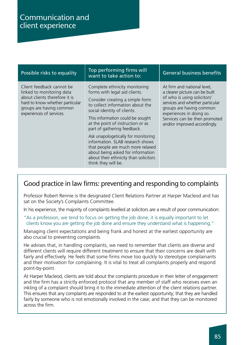| Possible risks to equality                                                                                                                                                         | Top performing firms will<br>want to take action to:                                                                                                                                                                                                                         | <b>General business benefits</b>                                                                                                                                                                                                                         |
|------------------------------------------------------------------------------------------------------------------------------------------------------------------------------------|------------------------------------------------------------------------------------------------------------------------------------------------------------------------------------------------------------------------------------------------------------------------------|----------------------------------------------------------------------------------------------------------------------------------------------------------------------------------------------------------------------------------------------------------|
| Client feedback cannot be<br>linked to monitoring data<br>about clients therefore it is<br>hard to know whether particular<br>groups are having common<br>experiences of services. | Complete ethnicity monitoring<br>forms with legal aid clients.<br>Consider creating a simple form<br>to collect information about the<br>social identity of clients.<br>This information could be sought<br>at the point of instruction or as<br>part of gathering feedback. | At firm and national level,<br>a clearer picture can be built<br>of who is using solicitors'<br>services and whether particular<br>groups are having common<br>experiences in doing so.<br>Services can be then promoted<br>and/or improved accordingly. |
|                                                                                                                                                                                    | Ask unapologetically for monitoring<br>information. SLAB research shows<br>that people are much more relaxed<br>about being asked for information<br>about their ethnicity than solicitors<br>think they will be.                                                            |                                                                                                                                                                                                                                                          |

### Good practice in law firms: preventing and responding to complaints

Professor Robert Rennie is the designated Client Relations Partner at Harper Macleod and has sat on the Society's Complaints Committee.

In his experience, the majority of complaints levelled at solicitors are a result of poor communication:

"As a profession, we tend to focus on getting the job done; it is equally important to let clients know you are getting the job done and ensure they understand what is happening."

Managing client expectations and being frank and honest at the earliest opportunity are also crucial to preventing complaints.

He advises that, in handling complaints, we need to remember that clients are diverse and different clients will require different treatment to ensure that their concerns are dealt with fairly and effectively. He feels that some firms move too quickly to stereotype complainants and their motivation for complaining. It is vital to treat all complaints properly and respond point-by-point.

At Harper Macleod, clients are told about the complaints procedure in their letter of engagement and the firm has a strictly enforced protocol that any member of staff who receives even an inkling of a complaint should bring it to the immediate attention of the client relations partner. This ensures that any complaints are responded to at the earliest opportunity; that they are handled fairly by someone who is not emotionally involved in the case; and that they can be monitored across the firm.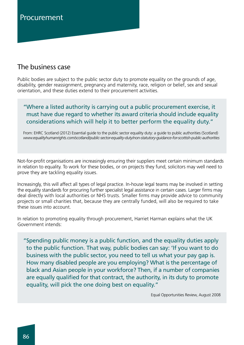# Procurement

# The business case

Public bodies are subject to the public sector duty to promote equality on the grounds of age, disability, gender reassignment, pregnancy and maternity, race, religion or belief, sex and sexual orientation, and these duties extend to their procurement activities.

### "Where a listed authority is carrying out a public procurement exercise, it must have due regard to whether its award criteria should include equality considerations which will help it to better perform the equality duty."

From: EHRC Scotland (2012) Essential guide to the public sector equality duty: a guide to public authorities (Scotland) *www.equalityhumanrights.com/scotland/public-sector-equality-duty/non-statutory-guidance-for-scottish-public-authorities*

Not-for-profit organisations are increasingly ensuring their suppliers meet certain minimum standards in relation to equality. To work for these bodies, or on projects they fund, solicitors may well need to prove they are tackling equality issues.

Increasingly, this will affect all types of legal practice. In-house legal teams may be involved in setting the equality standards for procuring further specialist legal assistance in certain cases. Larger firms may deal directly with local authorities or NHS trusts. Smaller firms may provide advice to community projects or small charities that, because they are centrally funded, will also be required to take these issues into account.

In relation to promoting equality through procurement, Harriet Harman explains what the UK Government intends:

"Spending public money is a public function, and the equality duties apply to the public function. That way, public bodies can say: 'If you want to do business with the public sector, you need to tell us what your pay gap is. How many disabled people are you employing? What is the percentage of black and Asian people in your workforce? Then, if a number of companies are equally qualified for that contract, the authority, in its duty to promote equality, will pick the one doing best on equality."

Equal Opportunities Review, August 2008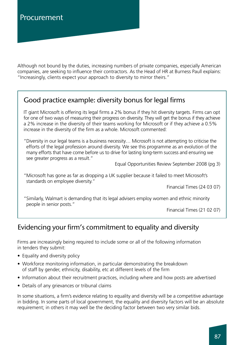Although not bound by the duties, increasing numbers of private companies, especially American companies, are seeking to influence their contractors. As the Head of HR at Burness Paull explains: "Increasingly, clients expect your approach to diversity to mirror theirs."

## Good practice example: diversity bonus for legal firms

IT giant Microsoft is offering its legal firms a 2% bonus if they hit diversity targets. Firms can opt for one of two ways of measuring their progress on diversity. They will get the bonus if they achieve a 2% increase in the diversity of their teams working for Microsoft or if they achieve a 0.5% increase in the diversity of the firm as a whole. Microsoft commented:

"Diversity in our legal teams is a business necessity… Microsoft is not attempting to criticise the efforts of the legal profession around diversity. We see this programme as an evolution of the many efforts that have come before us to drive for lasting long-term success and ensuring we see greater progress as a result."

Equal Opportunities Review September 2008 (pg 3)

"Microsoft has gone as far as dropping a UK supplier because it failed to meet Microsoft's standards on employee diversity."

Financial Times (24 03 07)

"Similarly, Walmart is demanding that its legal advisers employ women and ethnic minority people in senior posts."

Financial Times (21 02 07)

# Evidencing your firm's commitment to equality and diversity

Firms are increasingly being required to include some or all of the following information in tenders they submit:

- Equality and diversity policy
- Workforce monitoring information, in particular demonstrating the breakdown of staff by gender, ethnicity, disability, etc at different levels of the firm
- Information about their recruitment practices, including where and how posts are advertised
- Details of any grievances or tribunal claims

In some situations, a firm's evidence relating to equality and diversity will be a competitive advantage in bidding. In some parts of local government, the equality and diversity factors will be an absolute requirement; in others it may well be the deciding factor between two very similar bids.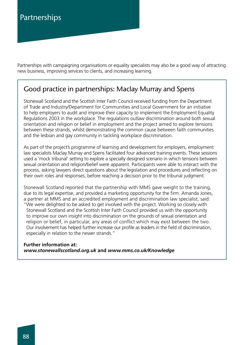Partnerships with campaigning organisations or equality specialists may also be a good way of attracting new business, improving services to clients, and increasing learning.

### Good practice in partnerships: Maclay Murray and Spens

Stonewall Scotland and the Scottish Inter Faith Council received funding from the Department of Trade and Industry/Department for Communities and Local Government for an initiative to help employers to audit and improve their capacity to implement the Employment Equality Regulations 2003 in the workplace. The regulations outlaw discrimination around both sexual orientation and religion or belief in employment and the project aimed to explore tensions between these strands, whilst demonstrating the common cause between faith communities and the lesbian and gay community in tackling workplace discrimination.

As part of the project's programme of learning and development for employers, employment law specialists Maclay Murray and Spens facilitated four advanced training events. These sessions used a 'mock tribunal' setting to explore a specially designed scenario in which tensions between sexual orientation and religion/belief were apparent. Participants were able to interact with the process, asking lawyers direct questions about the legislation and procedures and reflecting on their own roles and responses, before reaching a decision prior to the tribunal judgment.

Stonewall Scotland reported that the partnership with MMS gave weight to the training, due to its legal expertise, and provided a marketing opportunity for the firm. Amanda Jones, a partner at MMS and an accredited employment and discrimination law specialist, said: "We were delighted to be asked to get involved with the project. Working so closely with Stonewall Scotland and the Scottish Inter Faith Council provided us with the opportunity to improve our own insight into discrimination on the grounds of sexual orientation and religion or belief, in particular, any areas of conflict which may exist between the two. Our involvement has helped further increase our profile as leaders in the field of discrimination, especially in relation to the newer strands."

#### **Further information at:** *www.stonewallscotland.org.uk* **and** *www.mms.co.uk/Knowledge*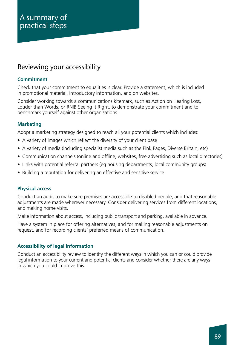## Reviewing your accessibility

#### **Commitment**

Check that your commitment to equalities is clear. Provide a statement, which is included in promotional material, introductory information, and on websites.

Consider working towards a communications kitemark, such as Action on Hearing Loss, Louder than Words, or RNIB Seeing it Right, to demonstrate your commitment and to benchmark yourself against other organisations.

#### **Marketing**

Adopt a marketing strategy designed to reach all your potential clients which includes:

- A variety of images which reflect the diversity of your client base
- A variety of media (including specialist media such as the Pink Pages, Diverse Britain, etc)
- Communication channels (online and offline, websites, free advertising such as local directories)
- Links with potential referral partners (eg housing departments, local community groups)
- Building a reputation for delivering an effective and sensitive service

#### **Physical access**

Conduct an audit to make sure premises are accessible to disabled people, and that reasonable adjustments are made wherever necessary. Consider delivering services from different locations, and making home visits.

Make information about access, including public transport and parking, available in advance.

Have a system in place for offering alternatives, and for making reasonable adjustments on request, and for recording clients' preferred means of communication.

#### **Accessibility of legal information**

Conduct an accessibility review to identify the different ways in which you can or could provide legal information to your current and potential clients and consider whether there are any ways in which you could improve this.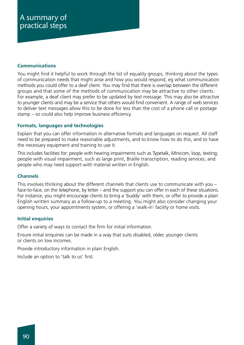#### **Communications**

You might find it helpful to work through the list of equality groups, thinking about the types of communication needs that might arise and how you would respond, eg what communication methods you could offer to a deaf client. You may find that there is overlap between the different groups and that some of the methods of communication may be attractive to other clients. For example, a deaf client may prefer to be updated by text message. This may also be attractive to younger clients and may be a service that others would find convenient. A range of web services to deliver text messages allow this to be done for less than the cost of a phone call or postage stamp – so could also help improve business efficiency.

#### **Formats, languages and technologies**

Explain that you can offer information in alternative formats and languages on request. All staff need to be prepared to make reasonable adjustments, and to know how to do this, and to have the necessary equipment and training to use it.

This includes facilities for: people with hearing impairments such as Typetalk, Minicom, loop, texting; people with visual impairment, such as large print, Braille transcription, reading services; and people who may need support with material written in English.

#### **Channels**

This involves thinking about the different channels that clients use to communicate with you – face-to-face, on the telephone, by letter – and the support you can offer in each of these situations. For instance, you might encourage clients to bring a 'buddy' with them, or offer to provide a plain English written summary as a follow-up to a meeting. You might also consider changing your opening hours, your appointments system, or offering a 'walk-in' facility or home visits.

#### **Initial enquiries**

Offer a variety of ways to contact the firm for initial information.

Ensure initial enquiries can be made in a way that suits disabled, older, younger clients or clients on low incomes.

Provide introductory information in plain English.

Include an option to 'talk to us' first.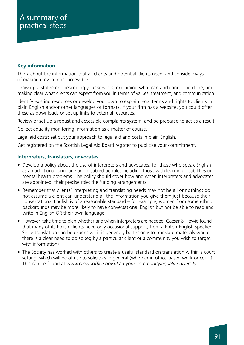#### **Key information**

Think about the information that all clients and potential clients need, and consider ways of making it even more accessible.

Draw up a statement describing your services, explaining what can and cannot be done, and making clear what clients can expect from you in terms of values, treatment, and communication.

Identify existing resources or develop your own to explain legal terms and rights to clients in plain English and/or other languages or formats. If your firm has a website, you could offer these as downloads or set up links to external resources.

Review or set up a robust and accessible complaints system, and be prepared to act as a result.

Collect equality monitoring information as a matter of course.

Legal aid costs: set out your approach to legal aid and costs in plain English.

Get registered on the Scottish Legal Aid Board register to publicise your commitment.

#### **Interpreters, translators, advocates**

- Develop a policy about the use of interpreters and advocates, for those who speak English as an additional language and disabled people, including those with learning disabilities or mental health problems. The policy should cover how and when interpreters and advocates are appointed; their precise role; the funding arrangements
- Remember that clients' interpreting and translating needs may not be all or nothing: do not assume a client can understand all the information you give them just because their conversational English is of a reasonable standard – for example, women from some ethnic backgrounds may be more likely to have conversational English but not be able to read and write in English OR their own language
- However, take time to plan whether and when interpreters are needed. Caesar & Howie found that many of its Polish clients need only occasional support, from a Polish-English speaker. Since translation can be expensive, it is generally better only to translate materials where there is a clear need to do so (eg by a particular client or a community you wish to target with information)
- The Society has worked with others to create a useful standard on translation within a court setting, which will be of use to solicitors in general (whether in office-based work or court). This can be found at *www.crownoffice.gov.uk/in-your-community/equality-diversity*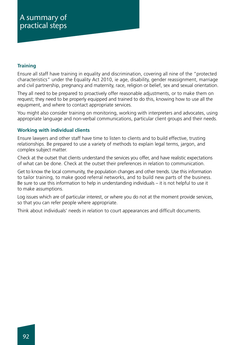#### **Training**

Ensure all staff have training in equality and discrimination, covering all nine of the "protected characteristics" under the Equality Act 2010, ie age, disability, gender reassignment, marriage and civil partnership, pregnancy and maternity, race, religion or belief, sex and sexual orientation.

They all need to be prepared to proactively offer reasonable adjustments, or to make them on request; they need to be properly equipped and trained to do this, knowing how to use all the equipment, and where to contact appropriate services.

You might also consider training on monitoring, working with interpreters and advocates, using appropriate language and non-verbal communications, particular client groups and their needs.

#### **Working with individual clients**

Ensure lawyers and other staff have time to listen to clients and to build effective, trusting relationships. Be prepared to use a variety of methods to explain legal terms, jargon, and complex subject matter.

Check at the outset that clients understand the services you offer, and have realistic expectations of what can be done. Check at the outset their preferences in relation to communication.

Get to know the local community, the population changes and other trends. Use this information to tailor training, to make good referral networks, and to build new parts of the business. Be sure to use this information to help in understanding individuals – it is not helpful to use it to make assumptions.

Log issues which are of particular interest, or where you do not at the moment provide services, so that you can refer people where appropriate.

Think about individuals' needs in relation to court appearances and difficult documents.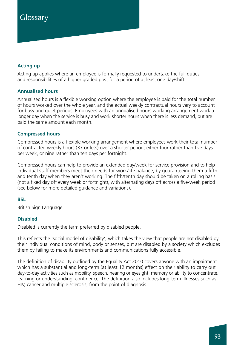# **Glossary**

#### **Acting up**

Acting up applies where an employee is formally requested to undertake the full duties and responsibilities of a higher graded post for a period of at least one day/shift.

#### **Annualised hours**

Annualised hours is a flexible working option where the employee is paid for the total number of hours worked over the whole year, and the actual weekly contractual hours vary to account for busy and quiet periods. Employees with an annualised hours working arrangement work a longer day when the service is busy and work shorter hours when there is less demand, but are paid the same amount each month.

#### **Compressed hours**

Compressed hours is a flexible working arrangement where employees work their total number of contracted weekly hours (37 or less) over a shorter period, either four rather than five days per week, or nine rather than ten days per fortnight.

Compressed hours can help to provide an extended day/week for service provision and to help individual staff members meet their needs for work/life balance, by guaranteeing them a fifth and tenth day when they aren't working. The fifth/tenth day should be taken on a rolling basis (not a fixed day off every week or fortnight), with alternating days off across a five-week period (see below for more detailed guidance and variations).

#### **BSL**

British Sign Language.

#### **Disabled**

Disabled is currently the term preferred by disabled people.

This reflects the 'social model of disability', which takes the view that people are not disabled by their individual conditions of mind, body or senses, but are disabled by a society which excludes them by failing to make its environments and communications fully accessible.

The definition of disability outlined by the Equality Act 2010 covers anyone with an impairment which has a substantial and long-term (at least 12 months) effect on their ability to carry out day-to-day activities such as mobility, speech, hearing or eyesight, memory or ability to concentrate, learning or understanding, continence. The definition also includes long-term illnesses such as HIV, cancer and multiple sclerosis, from the point of diagnosis.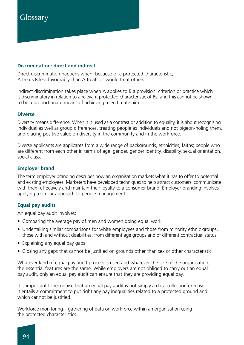# **Glossary**

#### **Discrimination: direct and indirect**

Direct discrimination happens when, because of a protected characteristic, A treats B less favourably than A treats or would treat others.

Indirect discrimination takes place when A applies to B a provision, criterion or practice which is discriminatory in relation to a relevant protected characteristic of Bs, and this cannot be shown to be a proportionate means of achieving a legitimate aim.

#### **Diverse**

Diversity means difference. When it is used as a contrast or addition to equality, it is about recognising individual as well as group differences, treating people as individuals and not pigeon-holing them, and placing positive value on diversity in the community and in the workforce.

Diverse applicants are applicants from a wide range of backgrounds, ethnicities, faiths; people who are different from each other in terms of age, gender, gender identity, disability, sexual orientation, social class.

#### **Employer brand**

The term employer branding describes how an organisation markets what it has to offer to potential and existing employees. Marketers have developed techniques to help attract customers, communicate with them effectively and maintain their loyalty to a consumer brand. Employer branding involves applying a similar approach to people management.

#### **Equal pay audits**

An equal pay audit involves:

- Comparing the average pay of men and women doing equal work
- Undertaking similar comparisons for white employees and those from minority ethnic groups, those with and without disabilities, from different age groups and of different contractual status
- Explaining any equal pay gaps
- Closing any gaps that cannot be justified on grounds other than sex or other characteristic

Whatever kind of equal pay audit process is used and whatever the size of the organisation, the essential features are the same. While employers are not obliged to carry out an equal pay audit, only an equal pay audit can ensure that they are providing equal pay.

It is important to recognise that an equal pay audit is not simply a data collection exercise. It entails a commitment to put right any pay inequalities related to a protected ground and which cannot be justified.

Workforce monitoring – gathering of data on workforce within an organisation using the protected characteristics.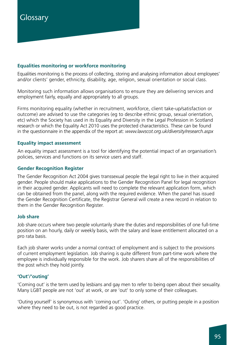#### **Equalities monitoring or workforce monitoring**

Equalities monitoring is the process of collecting, storing and analysing information about employees' and/or clients' gender, ethnicity, disability, age, religion, sexual orientation or social class.

Monitoring such information allows organisations to ensure they are delivering services and employment fairly, equally and appropriately to all groups.

Firms monitoring equality (whether in recruitment, workforce, client take-up/satisfaction or outcome) are advised to use the categories (eg to describe ethnic group, sexual orientation, etc) which the Society has used in its Equality and Diversity in the Legal Profession in Scotland research or which the Equality Act 2010 uses the protected characteristics. These can be found in the questionnaire in the appendix of the report at: *www.lawscot.org.uk/diversity/research.aspx*

#### **Equality impact assessment**

An equality impact assessment is a tool for identifying the potential impact of an organisation's policies, services and functions on its service users and staff.

#### **Gender Recognition Register**

The Gender Recognition Act 2004 gives transsexual people the legal right to live in their acquired gender. People should make applications to the Gender Recognition Panel for legal recognition in their acquired gender. Applicants will need to complete the relevant application form, which can be obtained from the panel, along with the required evidence. When the panel has issued the Gender Recognition Certificate, the Registrar General will create a new record in relation to them in the Gender Recognition Register.

#### **Job share**

Job share occurs where two people voluntarily share the duties and responsibilities of one full-time position on an hourly, daily or weekly basis, with the salary and leave entitlement allocated on a pro rata basis.

Each job sharer works under a normal contract of employment and is subject to the provisions of current employment legislation. Job sharing is quite different from part-time work where the employee is individually responsible for the work. Job sharers share all of the responsibilities of the post which they hold jointly.

#### **'Out'/'outing'**

'Coming out' is the term used by lesbians and gay men to refer to being open about their sexuality. Many LGBT people are not 'out' at work, or are 'out' to only some of their colleagues.

'Outing yourself' is synonymous with 'coming out'. 'Outing' others, or putting people in a position where they need to be out, is not regarded as good practice.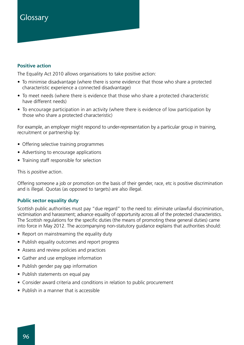# **Glossary**

#### **Positive action**

The Equality Act 2010 allows organisations to take positive action:

- To minimise disadvantage (where there is some evidence that those who share a protected characteristic experience a connected disadvantage)
- To meet needs (where there is evidence that those who share a protected characteristic have different needs)
- To encourage participation in an activity (where there is evidence of low participation by those who share a protected characteristic)

For example, an employer might respond to under-representation by a particular group in training, recruitment or partnership by:

- Offering selective training programmes
- Advertising to encourage applications
- Training staff responsible for selection

This is *positive* action.

Offering someone a job or promotion on the basis of their gender, race, etc is positive discrimination and is illegal. Quotas (as opposed to targets) are also illegal.

#### **Public sector equality duty**

Scottish public authorities must pay "due regard" to the need to: eliminate unlawful discrimination, victimisation and harassment; advance equality of opportunity across all of the protected characteristics. The Scottish regulations for the specific duties (the means of promoting these general duties) came into force in May 2012. The accompanying non-statutory guidance explains that authorities should:

- Report on mainstreaming the equality duty
- Publish equality outcomes and report progress
- Assess and review policies and practices
- Gather and use employee information
- Publish gender pay gap information
- Publish statements on equal pay
- Consider award criteria and conditions in relation to public procurement
- Publish in a manner that is accessible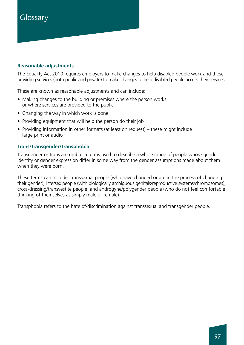# **Glossary**

#### **Reasonable adjustments**

The Equality Act 2010 requires employers to make changes to help disabled people work and those providing services (both public and private) to make changes to help disabled people access their services.

These are known as reasonable adjustments and can include:

- Making changes to the building or premises where the person works or where services are provided to the public
- Changing the way in which work is done
- Providing equipment that will help the person do their job
- Providing information in other formats (at least on request) these might include large print or audio

#### **Trans/transgender/transphobia**

Transgender or trans are umbrella terms used to describe a whole range of people whose gender identity or gender expression differ in some way from the gender assumptions made about them when they were born.

These terms can include: transsexual people (who have changed or are in the process of changing their gender); intersex people (with biologically ambiguous genitals/reproductive systems/chromosomes); cross-dressing/transvestite people; and androgyne/polygender people (who do not feel comfortable thinking of themselves as simply male or female).

Transphobia refers to the hate of/discrimination against transsexual and transgender people.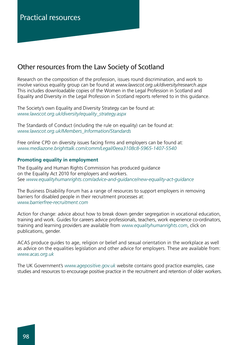### Other resources from the Law Society of Scotland

Research on the composition of the profession, issues round discrimination, and work to involve various equality group can be found at *www.lawscot.org.uk/diversity/research.aspx* This includes downloadable copies of the Women in the Legal Profession in Scotland and Equality and Diversity in the Legal Profession in Scotland reports referred to in this guidance.

The Society's own Equality and Diversity Strategy can be found at: *www.lawscot.org.uk/diversity/equality\_strategy.aspx*

The Standards of Conduct (including the rule on equality) can be found at: *www.lawscot.org.uk/Members\_Information/Standards*

Free online CPD on diversity issues facing firms and employers can be found at: *www.mediazone.brighttalk.com/comm/Legal/0eea3108c8-5965-1407-5540*

#### **Promoting equality in employment**

The Equality and Human Rights Commission has produced guidance on the Equality Act 2010 for employers and workers. See *www.equalityhumanrights.com/advice-and-guidance/new-equality-act-guidance*

The Business Disability Forum has a range of resources to support employers in removing barriers for disabled people in their recruitment processes at: *www.barrierfree-recruitment.com*

Action for change: advice about how to break down gender segregation in vocational education, training and work. Guides for careers advice professionals, teachers, work experience co-ordinators, training and learning providers are available from *www.equalityhumanrights.com*, click on publications, gender.

ACAS produce guides to age, religion or belief and sexual orientation in the workplace as well as advice on the equalities legislation and other advice for employers. These are available from: *www.acas.org.uk*

The UK Government's *www.agepositive.gov.uk* website contains good practice examples, case studies and resources to encourage positive practice in the recruitment and retention of older workers.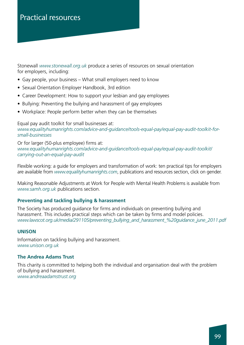Stonewall *www.stonewall.org.uk* produce a series of resources on sexual orientation for employers, including:

- Gay people, your business What small employers need to know
- Sexual Orientation Employer Handbook, 3rd edition
- Career Development: How to support your lesbian and gay employees
- Bullying: Preventing the bullying and harassment of gay employees
- Workplace: People perform better when they can be themselves

Equal pay audit toolkit for small businesses at: *www.equalityhumanrights.com/advice-and-guidance/tools-equal-pay/equal-pay-audit-toolkit-forsmall-businesses*

Or for larger (50-plus employee) firms at: *www.equalityhumanrights.com/advice-and-guidance/tools-equal-pay/equal-pay-audit-toolkit/ carrying-out-an-equal-pay-audit*

Flexible working: a guide for employers and transformation of work: ten practical tips for employers are available from *www.equalityhumanrights.com*, publications and resources section, click on gender.

Making Reasonable Adjustments at Work for People with Mental Health Problems is available from *www.samh.org.uk* publications section.

#### **Preventing and tackling bullying & harassment**

The Society has produced guidance for firms and individuals on preventing bullying and harassment. This includes practical steps which can be taken by firms and model policies. *www.lawscot.org.uk/media/291105/preventing\_bullying\_and\_harassment\_%20guidance\_june\_2011.pdf*

#### **UNISON**

Information on tackling bullying and harassment. *www.unison.org.uk*

#### **The Andrea Adams Trust**

This charity is committed to helping both the individual and organisation deal with the problem of bullying and harassment. *www.andreaadamstrust.org*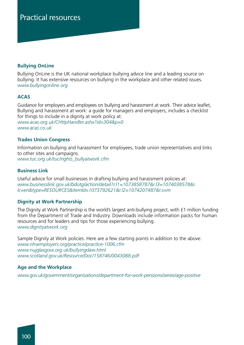#### **Bullying OnLine**

Bullying OnLine is the UK national workplace bullying advice line and a leading source on bullying. It has extensive resources on bullying in the workplace and other related issues. *www.bullyingonline.org*

#### **ACAS**

Guidance for employers and employees on bullying and harassment at work. Their advice leaflet, Bullying and harassment at work: a guide for managers and employers, includes a checklist for things to include in a dignity at work policy at: *www.acas.org.uk/CHttpHandler.ashx?id=304&p=0 www.acas.co.uk*

#### **Trades Union Congress**

Information on bullying and harassment for employees, trade union representatives and links to other sites and campaigns. *www.tuc.org.uk/tuc/rights\_bullyatwork.cfm*

#### **Business Link**

Useful advice for small businesses in drafting bullying and harassment policies at: *www.businesslink.gov.uk/bdotg/action/detail?r.l1=1073858787&r.l3=1074038578&r. lc=en&type=RESOURCES&itemId=1073792621&r.l2=1074207487&r.s=m* 

#### **Dignity at Work Partnership**

The Dignity at Work Partnership is the world's largest anti-bullying project, with £1 million funding from the Department of Trade and Industry. Downloads include information packs for human resources and for leaders and tips for those experiencing bullying. *www.dignityatwork.org*

Sample Dignity at Work policies. Here are a few starting points in addition to the above: *www.nhsemployers.org/practice/practice-1006.cfm www.nujglasgow.org.uk/bullyingdaw.html www.scotland.gov.uk/Resource/Doc/158746/0043088.pdf* 

#### **Age and the Workplace**

*www.gov.uk/government/organisations/department-for-work-pensions/series/age-positive*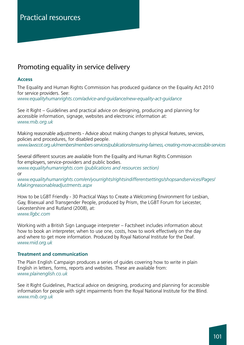## Promoting equality in service delivery

#### **Access**

The Equality and Human Rights Commission has produced guidance on the Equality Act 2010 for service providers. See: *www.equalityhumanrights.com/advice-and-guidance/new-equality-act-guidance*

See it Right – Guidelines and practical advice on designing, producing and planning for accessible information, signage, websites and electronic information at: *www.rnib.org.uk*

Making reasonable adjustments - Advice about making changes to physical features, services, policies and procedures, for disabled people. *www.lawscot.org.uk/members/members-services/publications/ensuring-fairness,-creating-more-accessible-services*

Several different sources are available from the Equality and Human Rights Commission for employers, service-providers and public bodies. *www.equalityhumanrights.com (publications and resources section)* or

*www.equalityhumanrights.com/en/yourrights/rightsindifferentsettings/shopsandservices/Pages/ Makingreasonableadjustments.aspx* 

How to be LGBT Friendly - 30 Practical Ways to Create a Welcoming Environment for Lesbian, Gay, Bisexual and Transgender People, produced by Prism, the LGBT Forum for Leicester, Leicestershire and Rutland (2008), at: *www.llgbc.com*

Working with a British Sign Language interpreter – Factsheet includes information about how to book an interpreter, when to use one, costs, how to work effectively on the day and where to get more information. Produced by Royal National Institute for the Deaf. *www.rnid.org.uk*

#### **Treatment and communication**

The Plain English Campaign produces a series of guides covering how to write in plain English in letters, forms, reports and websites. These are available from: *www.plainenglish.co.uk*

See it Right Guidelines, Practical advice on designing, producing and planning for accessible information for people with sight impairments from the Royal National Institute for the Blind. *www.rnib.org.uk*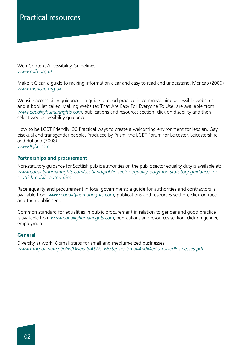Web Content Accessibility Guidelines. *www.rnib.org.uk*

Make it Clear, a guide to making information clear and easy to read and understand, Mencap (2006) *www.mencap.org.uk*

Website accessibility guidance – a guide to good practice in commissioning accessible websites and a booklet called Making Websites That Are Easy For Everyone To Use, are available from *www.equalityhumanrights.com*, publications and resources section, click on disability and then select web accessibility guidance.

How to be LGBT Friendly: 30 Practical ways to create a welcoming environment for lesbian, Gay, bisexual and transgender people. Produced by Prism, the LGBT Forum for Leicester, Leicestershire and Rutland (2008)

*www.llgbc.com*

#### **Partnerships and procurement**

Non-statutory guidance for Scottish public authorities on the public sector equality duty is available at: *www.equalityhumanrights.com/scotland/public-sector-equality-duty/non-statutory-guidance-forscottish-public-authorities*

Race equality and procurement in local government: a guide for authorities and contractors is available from *www.equalityhumanrights.com*, publications and resources section, click on race and then public sector.

Common standard for equalities in public procurement in relation to gender and good practice is available from *www.equalityhumanrights.com*, publications and resources section, click on gender, employment.

#### **General**

Diversity at work: 8 small steps for small and medium-sized businesses: *www.hfhrpol.waw.pl/pliki/DiversityAtWork8StepsForSmallAndMediumsizedBisinesses.pdf*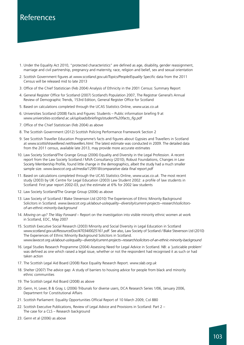- 01. Under the Equality Act 2010, "protected characteristics" are defined as age, disability, gender reassignment, marriage and civil partnership, pregnancy and maternity, race, religion and belief, sex and sexual orientation
- 02. Scottish Government figures at *www.scotland.gov.uk/Topics/People/Equality* Specific data from the 2011 Census will be released mid to late 2013
- 03. Office of the Chief Statistician (Feb 2004) Analysis of Ethnicity in the 2001 Census: Summary Report
- 04. General Register Office for Scotland (2007) Scotland's Population 2007, The Registrar General's Annual Review of Demographic Trends, 153rd Edition, General Register Office for Scotland
- 05. Based on calculations completed through the UCAS Statistics Online, *www.ucas.co.uk*
- 06. Universities Scotland (2008) Facts and Figures: Students Public information briefing 9 at *www.universities-scotland.ac.uk/uploads/briefings/student%20facts\_fig.pdf*
- 7. Office of the Chief Statistician (Feb 2004) as above
- 8. The Scottish Government (2012) Scottish Policing Performance Framework Section 2
- 09. See Scottish Traveller Education Programme's facts and figures about Gypsies and Travellers in Scotland at *www.scottishtravellered.net/travellers.html.* The latest estimate was conducted in 2009. The detailed data from the 2011 census, available late 2013, may provide more accurate estimates
- 10. Law Society Scotland/The Grange Group (2006) Equality and Diversity in the Legal Profession. A recent report from the Law Society Scotland / MVA Consultancy (2010), Robust Foundations, Changes in Law Society Membership Profile, found little change in the demographics, albeit the study had a much smaller sample size. *www.lawscot.org.uk/media/129918/comparative data final report.pdf*
- 11. Based on calculations completed through the UCAS Statistics Online, *www.ucas.co.uk.* The most recent study (2003) by UK Centre for Legal Education (2003) Law Student 2002: a profile of law students in Scotland: First year report 2002-03, put the estimate at 6% for 2002 law students
- 12. Law Society Scotland/The Grange Group (2006) as above
- 13. Law Society of Scotland / Blake Stevenson Ltd (2010) The Experiences of Ethnic Minority Background Solicitors in Scotland. *www.lawscot.org.uk/about-us/equality--diversity/current-projects--research/solicitorsof-an-ethnic-minority-background*
- 14. *Moving on up? The Way Forward* Report on the investigation into visible minority ethnic women at work in Scotland, EOC, May 2007
- 15. Scottish Executive Social Research (2003) Minority and Social Diversity in Legal Education in Scotland *www.scotland.gov.uk/Resource/Doc/47034/0025161.pdf.* See also, Law Society of Scotland / Blake Stevenson Ltd (2010) The Experiences of Ethnic Minority Background Solicitors in Scotland. *www.lawscot.org.uk/about-us/equality--diversity/current-projects--research/solicitors-of-an-ethnic-minority-background*
- 16. Legal Studies Research Programme (2004) Assessing Need for Legal Advice in Scotland. NB: a 'justiciable problem' was defined as one which raised a legal issue, whether or not the respondent had recognised it as such or had taken action
- 17. The Scottish Legal Aid Board (2008) Race Equality Research Report. *www.slab.org.uk*
- 18. Shelter (2007) The advice gap: A study of barriers to housing advice for people from black and minority ethnic communities
- 19. The Scottish Legal Aid Board (2008) as above
- 20. Genn, H, Lever, B & Gray, L (2006) Tribunals for diverse users, DCA Research Series 1/06, January 2006, Department for Constitutional Affairs
- 21. Scottish Parliament: Equality Opportunities Official Report of 10 March 2009, Col 880
- 22. Scottish Executive Publications, Review of Legal Advice and Provisions in Scotland: Part 2 The case for a CLS – Research background
- 23. Genn et al (2006) as above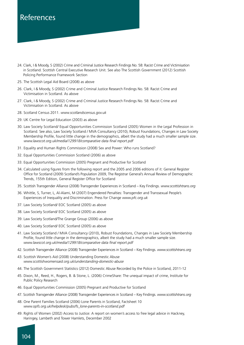- 24. Clark, I & Moody, S (2002) Crime and Criminal Justice Research Findings No. 58: Racist Crime and Victimisation in Scotland. Scottish Central Executive Research Unit. See also The Scottish Government (2012) Scottish Policing Performance Framework Section
- 25. The Scottish Legal Aid Board (2008) as above
- 26. Clark, I & Moody, S (2002) Crime and Criminal Justice Research Findings No. 58: Racist Crime and Victimisation in Scotland. As above
- 27. Clark, I & Moody, S (2002) Crime and Criminal Justice Research Findings No. 58: Racist Crime and Victimisation in Scotland. As above
- 28. Scotland Census 2011. *www.scotlandscensus.gov.uk*
- 29. UK Centre for Legal Education (2003) as above
- 30. Law Society Scotland/ Equal Opportunities Commission Scotland (2005) Women in the Legal Profession in Scotland. See also, Law Society Scotland / MVA Consultancy (2010), Robust Foundations, Changes in Law Society Membership Profile, found little change in the demographics, albeit the study had a much smaller sample size. *www.lawscot.org.uk/media/129918/comparative data final report.pdf*
- 31. Equality and Human Rights Commission (2008) Sex and Power: Who runs Scotland?
- 32. Equal Opportunities Commission Scotland (2006) as above
- 33. Equal Opportunities Commission (2005) Pregnant and Productive for Scotland
- 34. Calculated using figures from the following report and the 2005 and 2006 editions of it: General Register Office for Scotland (2009) Scotland's Population 2009, The Registrar General's Annual Review of Demographic Trends, 155th Edition, General Register Office for Scotland
- 35. Scottish Transgender Alliance (2008) Transgender Experiences in Scotland Key Findings. *www.scottishtrans.org*
- 36. Whittle, S, Turner, L, Al-Alami, M (2007) Engendered Penalties: Transgender and Transsexual People's Experiences of Inequality and Discrimination. Press for Change *www.pfc.org.uk*
- 37. Law Society Scotland/ EOC Scotland (2005) as above
- 38. Law Society Scotland/ EOC Scotland (2005) as above
- 39. Law Society Scotland/The Grange Group (2006) as above
- 40. Law Society Scotland/ EOC Scotland (2005) as above
- 41. Law Society Scotland / MVA Consultancy (2010), Robust Foundations, Changes in Law Society Membership Profile, found little change in the demographics, albeit the study had a much smaller sample size. *www.lawscot.org.uk/media/129918/comparative data final report.pdf*
- 42. Scottish Transgender Alliance (2008) Transgender Experiences in Scotland Key Findings. *www.scottishtrans.org*
- 43. Scottish Women's Aid (2008) Understanding Domestic Abuse *www.scottishwomensaid.org.uk/understanding-domestic-abuse*
- 44. The Scottish Government Statistics (2012) Domestic Abuse Recorded by the Police in Scotland, 2011-12
- 45. Dixon, M., Reed, H., Rogers, B. & Stone, L. (2006) CrimeShare: The unequal impact of crime, Institute for Public Policy Research
- 46. Equal Opportunities Commission (2005) Pregnant and Productive for Scotland
- 47. Scottish Transgender Alliance (2008) Transgender Experiences in Scotland Key Findings. *www.scottishtrans.org*
- 48. One Parent Families Scotland (2006) Lone Parents in Scotland, Factsheet 10 *www.opfs.org.uk/helpdesk/pubs/fs\_lone-parents-in-scotland.pdf*
- 49. Rights of Women (2002) Access to Justice: A report on women's access to free legal advice in Hackney, Haringey, Lambeth and Tower Hamlets, December 2002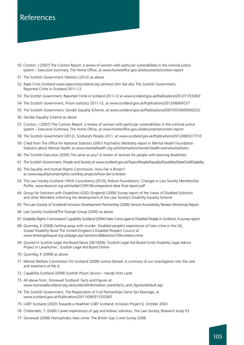- 50. Corston, J (2007) The Corston Report: a review of women with particular vulnerabilities in the criminal justice system – Executive Summary, The Home Office, at *www.homeoffice.gov.uk/documents/corston-report*
- 51. The Scottish Government Statistics (2012) as above
- 52. Rape Crisis Scotland *www.rapecrisisscotland.org.uk/news.htm* See also The Scottish Government, Reported Crime in Scotland 2011-12
- 53. The Scottish Government, Reported Crime in Scotland 2011-12 at *www.scotland.gov.uk/Publications/2012/11/5336/3*
- 54. The Scottish Government, Prison statistics 2011-12, at *www.scotland.gov.uk/Publications/2012/06/6972/7*
- 55. The Scottish Government, Gender Equality Scheme, at *www.scotland.gov.uk/Publications/2007/03/30095002/22*
- 56. Gender Equality Scheme as above
- 57. Corston, J (2007) The Corston Report: a review of women with particular vulnerabilities in the criminal justice system – Executive Summary, The Home Office, at *www.homeoffice.gov.uk/documents/corston-report*
- 58. The Scottish Government (2012), Scotland's People 2011, at *www.scotland.gov.uk/Publications/2012/08/5277/10*
- 59. Cited from The Office for National Statistics (2001) Psychiatric Morbidity report in Mental Health Foundation Statistics about Mental Health at *www.mentalhealth.org.uk/information/mental-health-overview/statistics*
- 60. The Scottish Executive (2000) The same as you? A review of services for people with learning disabilities
- 61. The Scottish Government, People and Society at *www.scotland.gov.uk/Topics/People/Equality/Equalities/DataGrid/Disability*
- 62. The Equality and Human Rights Commission, How Fair is Britain? at *www.equalityhumanrights.com/key-projects/how-fair-is-britain*
- 63. The Law Society Scotland / MVA Consultancy (2010), Robust Foundations, Changes in Law Society Membership Profile, *www.lawscot.org.uk/media/129918/comparative data final report.pdf*
- 64. Group for Solicitors with Disabilities (GSD) (England) (2006) Survey report of the Views of Disabled Solicitors and other Members informing the development of the Law Society's Disability Equality Scheme
- 65. The Law Society of Scotland/ Inclusion Development Partnership (2006) Service Accessibility Review Workshop Report
- 66. Law Society Scotland/The Grange Group (2006) as above
- 67. Disability Rights Commission/ Capability Scotland (2004) Hate Crime against Disabled People in Scotland, A survey report
- 68. Quarmby, K (2008) Getting away with murder: Disabled people's experiences of hate crime in the UK, Scope/ Disability Now/ The United Kingdom's Disabled People's Council at *www.timetogetequal.org.uk/page.asp?section=90&sectionTitle=Hate+crime*
- 69. Quoted in Scottish Legal Aid Board News (26/10/06) 'Scottish Legal Aid Board funds Disability Legal Advice Project in Lanarkshire', Scottish Legal Aid Board Online
- 70. Quarmby, K (2008) as above
- 71. Mental Welfare Commission for Scotland (2008) Justice Denied: A summary of our investigation into the care and treatment of Ms A
- 72. Capability Scotland (2008) Scottish Prison Service Handy hints cards
- 73. All above from: Stonewall Scotland: Facts and Figures at: *www.stonewallscotland.org.uk/scotland/information\_bank/facts\_and\_figures/default.asp*
- 74. The Scottish Government, The Registration of Civil Partnerships Same Sex Marriage, at *www.scotland.gov.uk/Publications/2011/09/05153328/3*
- 75. LGBT Scotland (2003) Towards a Healthier LGBT Scotland, Inclusion Project 6, October 2003
- 76. Chittenden, T. (2006) Career experiences of gay and lesbian solicitors, The Law Society, Research study 53
- 77. Stonewall (2008) Homophobic hate crime: The British Gay Crime Survey 2008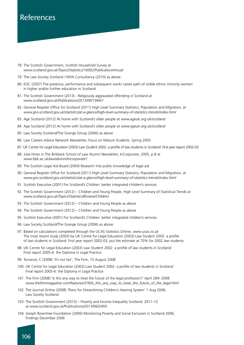- 78. The Scottish Government, Scottish Household Survey at *www.scotland.gov.uk/Topics/Statistics/16002/PublicationAnnual*
- 79. The Law Society Scotland / MVA Consultancy (2010) as above.
- 80. EOC (2007) The presence, performance and subsequent work/ career path of visible ethnic minority women in higher and/or further education in Scotland
- 81. The Scottish Government (2013) Religiously aggravated offending in Scotland at *www.scotland.gov.uk/Publications/2013/06/1944/1*
- 82. General Register Office for Scotland (2011) High Level Summary Statistics, Population and Migration, at *www.gro-scotland.gov.uk/statistics/at-a-glance/high-level-summary-of-statistics-trends/index.html*
- 83. Age Scotland (2012) At home with Scotland's older people at *www.ageuk.org.uk/scotland*
- 84. Age Scotland (2012) At home with Scotland's older people at *www.ageuk.org.uk/scotland*
- 85. Law Society Scotland/The Grange Group (2006) as above
- 86. Law Careers Advice Network Newsletter, Focus on Mature Students, Spring 2005
- 87. UK Centre for Legal Education (2003) Law Student 2002: a profile of law students in Scotland: First year report 2002-03
- 88. Julie Hines in The Birkbeck School of Law Alumni Newsletter, InCorporate, 2005, p.8 at *www.bbk.ac.uk/law/alumni/incorporate1*
- 89. The Scottish Legal Aid Board (2004) Research into public knowledge of legal aid
- 90. General Register Office for Scotland (2011) High Level Summary Statistics, Population and Migration, at *www.gro-scotland.gov.uk/statistics/at-a-glance/high-level-summary-of-statistics-trends/index.html*
- 91. Scottish Executive (2001) For Scotland's Children: better integrated children's services
- 92. The Scottish Government (2012) Children and Young People, High Level Summary of Statistical Trends at *www.scotland.gov.uk/Topics/Statistics/Browse/Children*
- 93. The Scottish Government (2012) Children and Young People as above
- 94. The Scottish Government (2012) Children and Young People as above
- 95. Scottish Executive (2001) For Scotland's Children: better integrated children's services
- 96. Law Society Scotland/The Grange Group (2006) as above
- 97. Based on calculations completed through the UCAS Statistics Online, *www.ucas.co.uk* The most recent study (2003) by UK Centre for Legal Education (2003) Law Student 2002: a profile of law students in Scotland: First year report 2002-03, put the estimate at 70% for 2002 law students
- 98. UK Centre for Legal Education (2003) Law Student 2002: a profile of law students in Scotland: Final report 2005-6: the Diploma in Legal Practice
- 99. Torrance, C (2008) 'It's not fair', The Firm, 15 August 2008
- 100. UK Centre for Legal Education (2003) Law Student 2002: a profile of law students in Scotland: Final report 2005-6: the Diploma in Legal Practice
- 101. The Firm (2008) 'Is this any way to treat the future of the legal profession?' April 28th 2008 *www.thefirmmagazine.com/features/376/Is\_this\_any\_way\_to\_treat\_the\_future\_of\_the\_legal.html*
- 102. The Journal Online (2008) 'Plans for Streamlining Children's Hearing System' 1 Aug 2008, Law Society Scotland
- 103. The Scottish Government (2013) Poverty and Income Inequality Scotland: 2011-12 at www.scotland.gov.uk/Publications/2013/06/2493
- 104. Joseph Rowntree Foundation (2006) Monitoring Poverty and Social Exclusion in Scotland 2006, Findings December 2006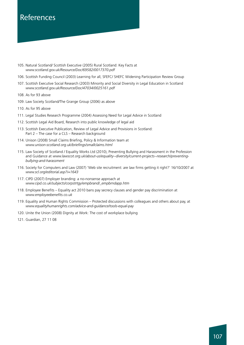- 105. Natural Scotland/ Scottish Executive (2005) Rural Scotland: Key Facts at *www.scotland.gov.uk/Resource/Doc/69582/0017370.pdf*
- 106. Scottish Funding Council (2003) Learning for all, SFEFC/ SHEFC Widening Participation Review Group
- 107. Scottish Executive Social Research (2003) Minority and Social Diversity in Legal Education in Scotland *www.scotland.gov.uk/Resource/Doc/47034/0025161.pdf*
- 108. As for 93 above
- 109. Law Society Scotland/The Grange Group (2006) as above
- 110. As for 95 above
- 111. Legal Studies Research Programme (2004) Assessing Need for Legal Advice in Scotland
- 112. Scottish Legal Aid Board, Research into public knowledge of legal aid
- 113. Scottish Executive Publication, Review of Legal Advice and Provisions in Scotland: Part 2 – The case for a CLS – Research background
- 114. Unison (2008) Small Claims Briefing, Policy & Information team at *www.unison-scotland.org.uk/briefings/smallclaims.html*
- 115. Law Society of Scotland / Equality Works Ltd (2010), Preventing Bullying and Harassment in the Profession and Guidance at *www.lawscot.org.uk/about-us/equality--diversity/current-projects--research/preventingbullying-and-harassment*
- 116. Society for Computers and Law (2007) 'Web site recruitment: are law firms getting it right?' 16/10/2007 at *www.scl.org/editorial.asp?i=1643*
- 117. CIPD (2007) Employer branding: a no-nonsense approach at *www.cipd.co.uk/subjects/corpstrtgy/empbrand/\_empbrndapp.htm*
- 118. Employee Benefits Equality act 2010 bans pay secrecy clauses and gender pay discrimination at *www.employeebenefits.co.uk*
- 119. Equality and Human Rights Commission Protected discussions with colleagues and others about pay, at *www.equalityhumanrights.com/advice-and-guidance/tools-equal-pay*
- 120. Unite the Union (2008) Dignity at Work: The cost of workplace bullying
- 121. Guardian, 27 11 08